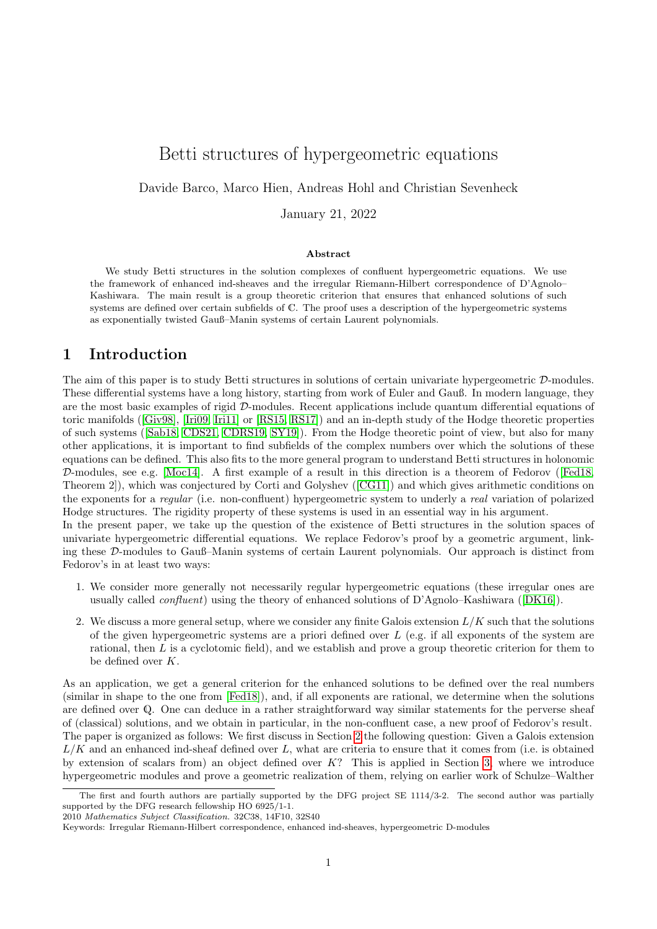# Betti structures of hypergeometric equations

Davide Barco, Marco Hien, Andreas Hohl and Christian Sevenheck

January 21, 2022

#### Abstract

We study Betti structures in the solution complexes of confluent hypergeometric equations. We use the framework of enhanced ind-sheaves and the irregular Riemann-Hilbert correspondence of D'Agnolo– Kashiwara. The main result is a group theoretic criterion that ensures that enhanced solutions of such systems are defined over certain subfields of C. The proof uses a description of the hypergeometric systems as exponentially twisted Gauß–Manin systems of certain Laurent polynomials.

# 1 Introduction

The aim of this paper is to study Betti structures in solutions of certain univariate hypergeometric D-modules. These differential systems have a long history, starting from work of Euler and Gauß. In modern language, they are the most basic examples of rigid D-modules. Recent applications include quantum differential equations of toric manifolds([\[Giv98\]](#page-34-0), [\[Iri09,](#page-34-1) [Iri11\]](#page-34-2) or [\[RS15,](#page-34-3) [RS17\]](#page-35-0)) and an in-depth study of the Hodge theoretic properties of such systems([\[Sab18,](#page-35-1) [CDS21,](#page-33-0) [CDRS19,](#page-33-1) [SY19\]](#page-35-2)). From the Hodge theoretic point of view, but also for many other applications, it is important to find subfields of the complex numbers over which the solutions of these equations can be defined. This also fits to the more general program to understand Betti structures in holonomic D-modules, see e.g. [\[Moc14\]](#page-34-4). A first example of a result in this direction is a theorem of Fedorov([\[Fed18,](#page-34-5) Theorem 2]), which was conjectured by Corti and Golyshev([\[CG11\]](#page-33-2)) and which gives arithmetic conditions on the exponents for a regular (i.e. non-confluent) hypergeometric system to underly a real variation of polarized Hodge structures. The rigidity property of these systems is used in an essential way in his argument. In the present paper, we take up the question of the existence of Betti structures in the solution spaces of

univariate hypergeometric differential equations. We replace Fedorov's proof by a geometric argument, linking these D-modules to Gauß–Manin systems of certain Laurent polynomials. Our approach is distinct from Fedorov's in at least two ways:

- 1. We consider more generally not necessarily regular hypergeometric equations (these irregular ones are usually called confluent) using the theory of enhanced solutions of D'Agnolo–Kashiwara([\[DK16\]](#page-33-3)).
- 2. We discuss a more general setup, where we consider any finite Galois extension  $L/K$  such that the solutions of the given hypergeometric systems are a priori defined over  $L$  (e.g. if all exponents of the system are rational, then L is a cyclotomic field), and we establish and prove a group theoretic criterion for them to be defined over K.

As an application, we get a general criterion for the enhanced solutions to be defined over the real numbers (similar in shape to the one from [\[Fed18\]](#page-34-5)), and, if all exponents are rational, we determine when the solutions are defined over Q. One can deduce in a rather straightforward way similar statements for the perverse sheaf of (classical) solutions, and we obtain in particular, in the non-confluent case, a new proof of Fedorov's result. The paper is organized as follows: We first discuss in Section [2](#page-1-0) the following question: Given a Galois extension  $L/K$  and an enhanced ind-sheaf defined over L, what are criteria to ensure that it comes from (i.e. is obtained by extension of scalars from) an object defined over  $K$ ? This is applied in Section [3,](#page-13-0) where we introduce hypergeometric modules and prove a geometric realization of them, relying on earlier work of Schulze–Walther

The first and fourth authors are partially supported by the DFG project SE 1114/3-2. The second author was partially supported by the DFG research fellowship HO 6925/1-1.

<sup>2010</sup> Mathematics Subject Classification. 32C38, 14F10, 32S40

Keywords: Irregular Riemann-Hilbert correspondence, enhanced ind-sheaves, hypergeometric D-modules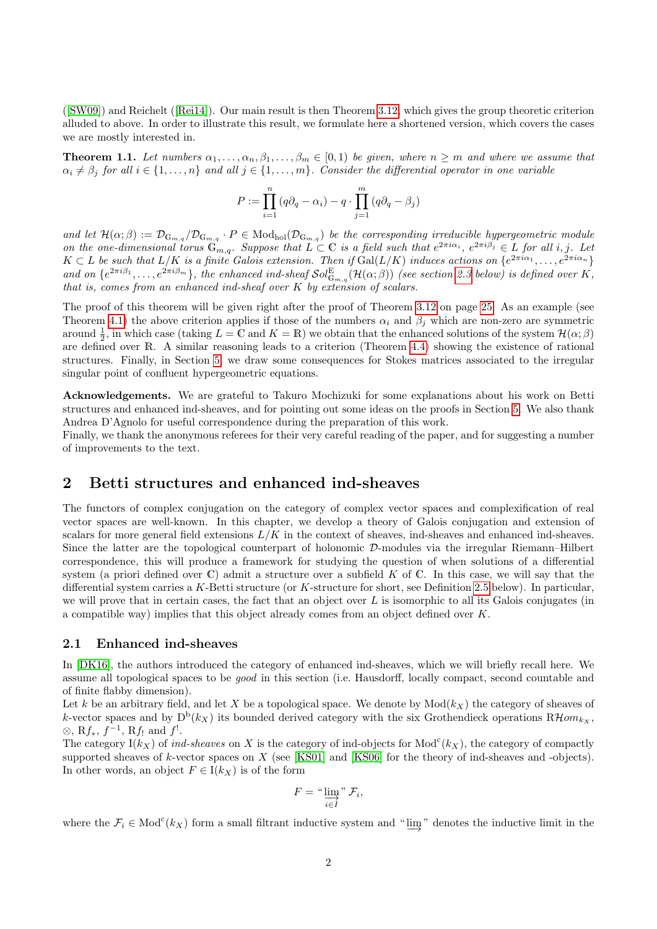([\[SW09\]](#page-35-3)) and Reichelt([\[Rei14\]](#page-34-6)). Our main result is then Theorem [3.12,](#page-24-0) which gives the group theoretic criterion alluded to above. In order to illustrate this result, we formulate here a shortened version, which covers the cases we are mostly interested in.

<span id="page-1-2"></span>**Theorem 1.1.** Let numbers  $\alpha_1, \ldots, \alpha_n, \beta_1, \ldots, \beta_m \in [0,1)$  be given, where  $n \geq m$  and where we assume that  $\alpha_i \neq \beta_j$  for all  $i \in \{1, \ldots, n\}$  and all  $j \in \{1, \ldots, m\}$ . Consider the differential operator in one variable

$$
P := \prod_{i=1}^{n} (q\partial_q - \alpha_i) - q \cdot \prod_{j=1}^{m} (q\partial_q - \beta_j)
$$

and let  $\mathcal{H}(\alpha;\beta):=\mathcal{D}_{\mathbb{G}_{m,q}}/\mathcal{D}_{\mathbb{G}_{m,q}}\cdot P\in \mathrm{Mod}_{\mathrm{hol}}(\mathcal{D}_{\mathbb{G}_{m,q}})$  be the corresponding irreducible hypergeometric module on the one-dimensional torus  $\mathbb{G}_{m,q}$ . Suppose that  $L \subset \mathbb{C}$  is a field such that  $e^{2\pi i \alpha_i}$ ,  $e^{2\pi i \beta_j} \in L$  for all i, j. Let  $K \subset L$  be such that  $L/K$  is a finite Galois extension. Then if  $Gal(L/K)$  induces actions on  $\{e^{2\pi i\alpha_1}, \ldots, e^{2\pi i\alpha_n}\}$ and on  $\{e^{2\pi i\beta_1},\ldots,e^{2\pi i\beta_m}\}\$ , the enhanced ind-sheaf  $\mathcal{S}ol_{\mathbb{G}_{m,q}}^{\mathbb{E}}(\mathcal{H}(\alpha;\beta))$  (see section [2.3](#page-11-0) below) is defined over K, that is, comes from an enhanced ind-sheaf over  $K$  by extension of scalars.

The proof of this theorem will be given right after the proof of Theorem [3.12](#page-24-0) on page [25.](#page-24-1) As an example (see Theorem [4.1\)](#page-25-0) the above criterion applies if those of the numbers  $\alpha_i$  and  $\beta_j$  which are non-zero are symmetric around  $\frac{1}{2}$ , in which case (taking  $L = \mathbb{C}$  and  $K = \mathbb{R}$ ) we obtain that the enhanced solutions of the system  $\mathcal{H}(\alpha; \beta)$ are defined over R. A similar reasoning leads to a criterion (Theorem [4.4\)](#page-26-0) showing the existence of rational structures. Finally, in Section [5,](#page-28-0) we draw some consequences for Stokes matrices associated to the irregular singular point of confluent hypergeometric equations.

Acknowledgements. We are grateful to Takuro Mochizuki for some explanations about his work on Betti structures and enhanced ind-sheaves, and for pointing out some ideas on the proofs in Section [5.](#page-28-0) We also thank Andrea D'Agnolo for useful correspondence during the preparation of this work.

Finally, we thank the anonymous referees for their very careful reading of the paper, and for suggesting a number of improvements to the text.

# <span id="page-1-0"></span>2 Betti structures and enhanced ind-sheaves

The functors of complex conjugation on the category of complex vector spaces and complexification of real vector spaces are well-known. In this chapter, we develop a theory of Galois conjugation and extension of scalars for more general field extensions  $L/K$  in the context of sheaves, ind-sheaves and enhanced ind-sheaves. Since the latter are the topological counterpart of holonomic D-modules via the irregular Riemann–Hilbert correspondence, this will produce a framework for studying the question of when solutions of a differential system (a priori defined over  $\mathbb C$ ) admit a structure over a subfield K of  $\mathbb C$ . In this case, we will say that the differential system carries a K-Betti structure (or K-structure for short, see Definition [2.5](#page-5-0) below). In particular, we will prove that in certain cases, the fact that an object over  $L$  is isomorphic to all its Galois conjugates (in a compatible way) implies that this object already comes from an object defined over K.

#### <span id="page-1-1"></span>2.1 Enhanced ind-sheaves

In [\[DK16\]](#page-33-3), the authors introduced the category of enhanced ind-sheaves, which we will briefly recall here. We assume all topological spaces to be good in this section (i.e. Hausdorff, locally compact, second countable and of finite flabby dimension).

Let k be an arbitrary field, and let X be a topological space. We denote by  $Mod(k_X)$  the category of sheaves of k-vector spaces and by  $D^b(k_X)$  its bounded derived category with the six Grothendieck operations  $R\mathcal{H}om_{k_X}$ , ⊗, R $f_*$ ,  $f^{-1}$ , R $f_!$  and  $f_!$ .

The category  $I(k_X)$  of ind-sheaves on X is the category of ind-objects for  $Mod<sup>c</sup>(k_X)$ , the category of compactly supported sheaves of k-vector spaces on X (see [\[KS01\]](#page-34-7) and [\[KS06\]](#page-34-8) for the theory of ind-sheaves and -objects). In other words, an object  $F \in I(k_X)$  is of the form

$$
F = \lim_{i \in I} \sum_{i \in I} \mathcal{F}_i,
$$

where the  $\mathcal{F}_i \in \text{Mod}^c(k_X)$  form a small filtrant inductive system and " $\varinjlim$ " denotes the inductive limit in the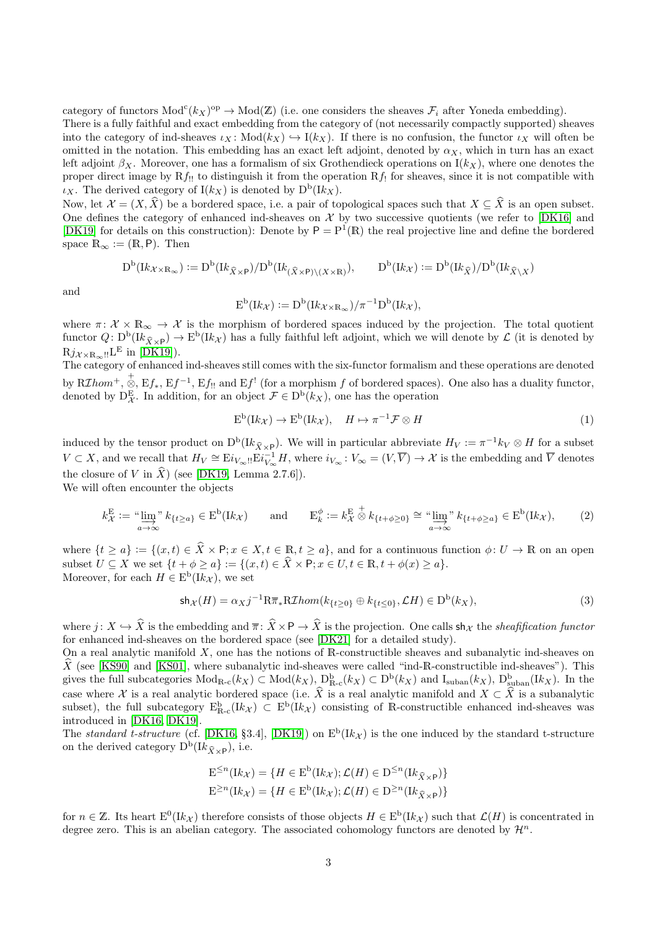category of functors  $Mod<sup>c</sup>(k<sub>X</sub>)<sup>op</sup> \to Mod(Z)$  (i.e. one considers the sheaves  $\mathcal{F}_i$  after Yoneda embedding).

There is a fully faithful and exact embedding from the category of (not necessarily compactly supported) sheaves into the category of ind-sheaves  $\iota_X : Mod(k_X) \hookrightarrow I(k_X)$ . If there is no confusion, the functor  $\iota_X$  will often be omitted in the notation. This embedding has an exact left adjoint, denoted by  $\alpha_X$ , which in turn has an exact left adjoint  $\beta_X$ . Moreover, one has a formalism of six Grothendieck operations on  $I(k_X)$ , where one denotes the proper direct image by  $Rf_{!!}$  to distinguish it from the operation  $Rf_{!!}$  for sheaves, since it is not compatible with  $\iota_X$ . The derived category of  $I(k_X)$  is denoted by  $D^b(Ik_X)$ .

Now, let  $\mathcal{X} = (X, \hat{X})$  be a bordered space, i.e. a pair of topological spaces such that  $X \subseteq \hat{X}$  is an open subset. One defines the category of enhanced ind-sheaves on  $\mathcal X$  by two successive quotients (we refer to [\[DK16\]](#page-33-3) and [\[DK19\]](#page-33-4) for details on this construction): Denote by  $P = P^1(\mathbb{R})$  the real projective line and define the bordered space  $\mathbb{R}_{\infty} := (\mathbb{R}, \mathsf{P})$ . Then

$$
D^{\mathrm{b}}(\mathrm{I}k_{\mathcal{X}\times\mathbb{R}_{\infty}}):=D^{\mathrm{b}}(\mathrm{I}k_{\widehat{X}\times\mathsf{P}})/D^{\mathrm{b}}(\mathrm{I}k_{(\widehat{X}\times\mathsf{P})\backslash(X\times\mathbb{R})}),\qquad D^{\mathrm{b}}(\mathrm{I}k_{\mathcal{X}}):=D^{\mathrm{b}}(\mathrm{I}k_{\widehat{X}})/D^{\mathrm{b}}(\mathrm{I}k_{\widehat{X}\backslash X})
$$

and

$$
E^{b}(Ik_{\mathcal{X}}) := D^{b}(Ik_{\mathcal{X} \times \mathbb{R}_{\infty}})/\pi^{-1}D^{b}(Ik_{\mathcal{X}}),
$$

where  $\pi: \mathcal{X} \times \mathbb{R}_{\infty} \to \mathcal{X}$  is the morphism of bordered spaces induced by the projection. The total quotient functor  $Q: D^b(K_{\hat{X}\times \mathsf{P}}) \to E^b(K_{\mathcal{X}})$  has a fully faithful left adjoint, which we will denote by  $\mathcal{L}$  (it is denoted by  $\text{R}j_{\mathcal{X}\times\mathbb{R}_{\infty}!!}\text{L}^{\text{E}}$  in [\[DK19\]](#page-33-4)).

The category of enhanced ind-sheaves still comes with the six-functor formalism and these operations are denoted by  $R\mathcal{I}hom^+$ ,  $\stackrel{+}{\otimes}$ ,  $\mathrm{E}f_*, \mathrm{E}f^{-1}, \mathrm{E}f_{!!}$  and  $\mathrm{E}f^{!}$  (for a morphism  $f$  of bordered spaces). One also has a duality functor, denoted by  $D_{\mathcal{X}}^{\mathcal{E}}$ . In addition, for an object  $\mathcal{F} \in D^{\mathcal{b}}(k_{X}),$  one has the operation

<span id="page-2-0"></span>
$$
E^{b}(lk_{\mathcal{X}}) \to E^{b}(lk_{\mathcal{X}}), \quad H \mapsto \pi^{-1} \mathcal{F} \otimes H \tag{1}
$$

induced by the tensor product on  $D^b(Ik_{\hat{X}\times P})$ . We will in particular abbreviate  $H_V := \pi^{-1}k_V \otimes H$  for a subset  $V \subset X$ , and we recall that  $H_V \cong E_i_{V_{\infty}!!} E_i_{V_{\infty}}^{-1} H$ , where  $i_{V_{\infty}} : V_{\infty} = (V, \overline{V}) \to X$  is the embedding and  $\overline{V}$  denotes the closure of V in  $\hat{X}$ ) (see [\[DK19,](#page-33-4) Lemma 2.7.6]).

We will often encounter the objects

<span id="page-2-2"></span>
$$
k_{\mathcal{X}}^{\mathcal{E}} := \lim_{a \to \infty}^{\infty} k_{\{t \ge a\}} \in \mathcal{E}^{\mathcal{b}}(lk_{\mathcal{X}}) \quad \text{and} \quad \mathcal{E}_{k}^{\phi} := k_{\mathcal{X}}^{\mathcal{E}} \stackrel{\dagger}{\otimes} k_{\{t + \phi \ge 0\}} \cong \lim_{a \to \infty}^{\infty} k_{\{t + \phi \ge a\}} \in \mathcal{E}^{\mathcal{b}}(lk_{\mathcal{X}}), \tag{2}
$$

where  $\{t \geq a\} := \{(x, t) \in \hat{X} \times P; x \in X, t \in \mathbb{R}, t \geq a\}$ , and for a continuous function  $\phi: U \to \mathbb{R}$  on an open subset  $U \subseteq X$  we set  $\{t + \phi \geq a\} := \{(x, t) \in \widehat{X} \times \mathsf{P}; x \in U, t \in \mathbb{R}, t + \phi(x) \geq a\}.$ Moreover, for each  $H \in E^{\text{b}}(\mathbb{I}k_{\mathcal{X}})$ , we set

<span id="page-2-1"></span>
$$
\mathsf{sh}_{\mathcal{X}}(H) = \alpha_X j^{-1} \mathbb{R} \overline{\pi}_* \mathbb{R} \mathcal{I} \hom(k_{\{t \ge 0\}} \oplus k_{\{t \le 0\}}, \mathcal{L}H) \in \mathcal{D}^{\mathsf{b}}(k_X),\tag{3}
$$

where  $j: X \hookrightarrow \widehat{X}$  is the embedding and  $\overline{\pi} : \widehat{X} \times \mathsf{P} \to \widehat{X}$  is the projection. One calls sh<sub>X</sub> the *sheafification functor* for enhanced ind-sheaves on the bordered space (see [\[DK21\]](#page-33-5) for a detailed study).

On a real analytic manifold  $X$ , one has the notions of R-constructible sheaves and subanalytic ind-sheaves on  $\hat{X}$  (see [\[KS90\]](#page-34-9) and [\[KS01\]](#page-34-7), where subanalytic ind-sheaves were called "ind-R-constructible ind-sheaves"). This gives the full subcategories  $Mod_{R-c}(k_X) \subset Mod(k_X)$ ,  $D_{R-c}^b(k_X) \subset D^b(k_X)$  and  $I_{suban}(k_X)$ ,  $D_{suban}^b(lk_X)$ . In the case where X is a real analytic bordered space (i.e.  $\hat{X}$  is a real analytic manifold and  $X \subset \hat{X}$  is a subanalytic subset), the full subcategory  $E_{R-c}^{b}(lk_{\mathcal{X}}) \subset E^{b}(lk_{\mathcal{X}})$  consisting of R-constructible enhanced ind-sheaves was introduced in [\[DK16,](#page-33-3) [DK19\]](#page-33-4).

The standard t-structure (cf. [\[DK16,](#page-33-3) §3.4], [\[DK19\]](#page-33-4)) on  $E^b(Ik_{\mathcal{X}})$  is the one induced by the standard t-structure on the derived category  $D^b(Ik_{\hat{X}\times P}),$  i.e.

$$
E^{\leq n}(Ik_{\mathcal{X}}) = \{ H \in E^{b}(Ik_{\mathcal{X}}); \mathcal{L}(H) \in D^{\leq n}(Ik_{\widehat{X} \times P}) \}
$$
  

$$
E^{\geq n}(Ik_{\mathcal{X}}) = \{ H \in E^{b}(Ik_{\mathcal{X}}); \mathcal{L}(H) \in D^{\geq n}(Ik_{\widehat{X} \times P}) \}
$$

for  $n \in \mathbb{Z}$ . Its heart  $E^0(Ik_{\mathcal{X}})$  therefore consists of those objects  $H \in E^b(Ik_{\mathcal{X}})$  such that  $\mathcal{L}(H)$  is concentrated in degree zero. This is an abelian category. The associated cohomology functors are denoted by  $\mathcal{H}^n$ .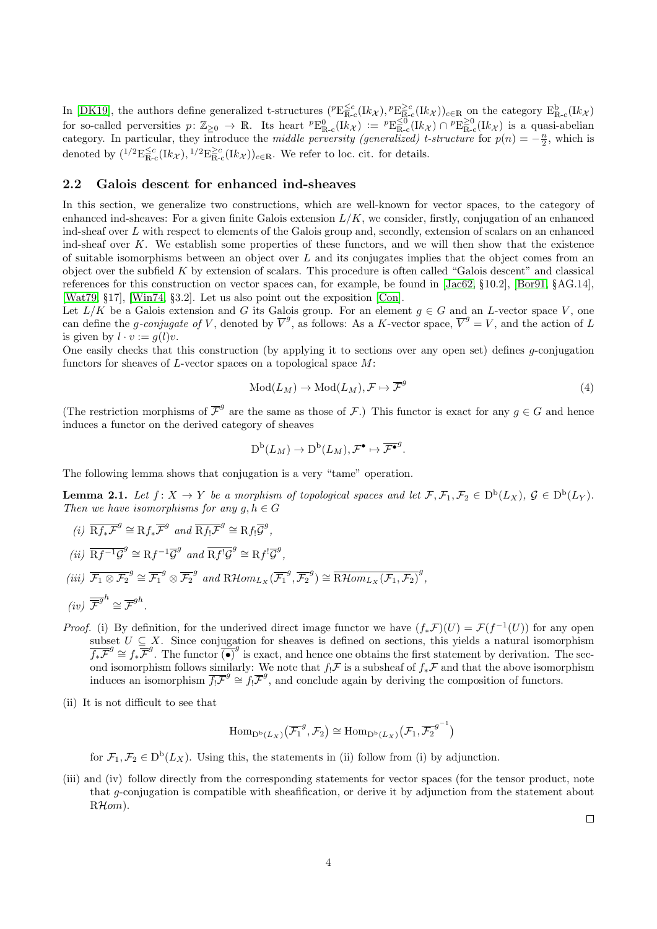In [\[DK19\]](#page-33-4), the authors define generalized t-structures  $({}^p\text{E}_{\text{R-c}}^{\leq c}(\text{I}k_{\mathcal{X}}), {}^p\text{E}_{\text{R-c}}^{\geq c}(\text{I}k_{\mathcal{X}}))_{c \in \mathbb{R}}$  on the category  $\text{E}_{\text{R-c}}^{\text{b}}(\text{I}k_{\mathcal{X}})$ for so-called perversities  $p: \mathbb{Z}_{\geq 0} \to \mathbb{R}$ . Its heart  ${}^p \text{E}_{\mathbb{R}-c}^0(\text{I}k_{\mathcal{X}}) := {}^p \text{E}_{\mathbb{R}-c}^{\leq 0}(\text{I}k_{\mathcal{X}}) \cap {}^p \text{E}_{\mathbb{R}-c}^{\geq 0}(\text{I}k_{\mathcal{X}})$  is a quasi-abelian category. In particular, they introduce the *middle perversity (generalized) t-structure* for  $p(n) = -\frac{n}{2}$ , which is denoted by  $\binom{1/2 \mathbf{E}_{\mathbb{R}-c}^{\leq c} (Ik_{\mathcal{X}}), 1/2 \mathbf{E}_{\mathbb{R}-c}^{\geq c} (Ik_{\mathcal{X}})\big)_{c \in \mathbb{R}}$ . We refer to loc. cit. for details.

#### 2.2 Galois descent for enhanced ind-sheaves

In this section, we generalize two constructions, which are well-known for vector spaces, to the category of enhanced ind-sheaves: For a given finite Galois extension  $L/K$ , we consider, firstly, conjugation of an enhanced ind-sheaf over L with respect to elements of the Galois group and, secondly, extension of scalars on an enhanced ind-sheaf over K. We establish some properties of these functors, and we will then show that the existence of suitable isomorphisms between an object over  $L$  and its conjugates implies that the object comes from an object over the subfield  $K$  by extension of scalars. This procedure is often called "Galois descent" and classical references for this construction on vector spaces can, for example, be found in [\[Jac62,](#page-34-10) §10.2], [\[Bor91,](#page-33-6) §AG.14], [\[Wat79,](#page-35-4) §17], [\[Win74,](#page-35-5) §3.2]. Let us also point out the exposition [\[Con\]](#page-33-7).

Let  $L/K$  be a Galois extension and G its Galois group. For an element  $g \in G$  and an L-vector space V, one can define the g-conjugate of V, denoted by  $\overline{V}^g$ , as follows: As a K-vector space,  $\overline{V}^g = V$ , and the action of L is given by  $l \cdot v := q(l)v$ .

One easily checks that this construction (by applying it to sections over any open set) defines g-conjugation functors for sheaves of L-vector spaces on a topological space M:

$$
Mod(L_M) \to Mod(L_M), \mathcal{F} \mapsto \overline{\mathcal{F}}^g
$$
\n<sup>(4)</sup>

(The restriction morphisms of  $\overline{\mathcal{F}}^g$  are the same as those of  $\mathcal{F}$ .) This functor is exact for any  $g \in G$  and hence induces a functor on the derived category of sheaves

$$
\mathrm{D}^{\mathrm{b}}(L_M) \to \mathrm{D}^{\mathrm{b}}(L_M), \mathcal{F}^\bullet \mapsto \overline{\mathcal{F}^\bullet}^g.
$$

The following lemma shows that conjugation is a very "tame" operation.

<span id="page-3-0"></span>**Lemma 2.1.** Let  $f: X \to Y$  be a morphism of topological spaces and let  $\mathcal{F}, \mathcal{F}_1, \mathcal{F}_2 \in D^b(L_X)$ ,  $\mathcal{G} \in D^b(L_Y)$ . Then we have isomorphisms for any  $q, h \in G$ 

- (i)  $\overline{\mathcal{R}f_*\mathcal{F}}^g \cong \mathcal{R}f_*\overline{\mathcal{F}}^g$  and  $\overline{\mathcal{R}f_!\mathcal{F}}^g \cong \mathcal{R}f_!\overline{\mathcal{G}}^g$ ,
- (ii)  $\overline{\mathrm{R}f^{-1}\mathcal{G}}^g \cong \mathrm{R}f^{-1}\overline{\mathcal{G}}^g$  and  $\overline{\mathrm{R}f^{\prime}\mathcal{G}}^g \cong \mathrm{R}f^{\prime}\overline{\mathcal{G}}^g$ ,
- (iii)  $\overline{\mathcal{F}_1 \otimes \mathcal{F}_2}^g \cong \overline{\mathcal{F}_1}^g \otimes \overline{\mathcal{F}_2}^g$  and  $R\mathcal{H}om_{L_X}(\overline{\mathcal{F}_1}^g, \overline{\mathcal{F}_2}^g) \cong \overline{R\mathcal{H}om_{L_X}(\mathcal{F}_1, \mathcal{F}_2)}^g$ ,

$$
(iv) \ \overline{\overline{\mathcal{F}}}^{gh} \cong \overline{\mathcal{F}}^{gh}.
$$

- *Proof.* (i) By definition, for the underived direct image functor we have  $(f_*\mathcal{F})(U) = \mathcal{F}(f^{-1}(U))$  for any open subset  $U \subseteq X$ . Since conjugation for sheaves is defined on sections, this yields a natural isomorphism  $\overline{f_*F}^g \cong f_*\overline{F}^g$ . The functor  $\overline{(\bullet)}^g$  is exact, and hence one obtains the first statement by derivation. The second isomorphism follows similarly: We note that  $f_! \mathcal{F}$  is a subsheaf of  $f_* \mathcal{F}$  and that the above isomorphism induces an isomorphism  $\overline{f_! \mathcal{F}}^g \cong f_! \overline{\mathcal{F}}^g$ , and conclude again by deriving the composition of functors.
- (ii) It is not difficult to see that

$$
\mathrm{Hom}_{\mathrm{D}^{\mathrm{b}}(L_X)}(\overline{\mathcal{F}_1}^g, \mathcal{F}_2) \cong \mathrm{Hom}_{\mathrm{D}^{\mathrm{b}}(L_X)}(\mathcal{F}_1, \overline{\mathcal{F}_2}^{g^{-1}})
$$

for  $\mathcal{F}_1, \mathcal{F}_2 \in D^b(L_X)$ . Using this, the statements in (ii) follow from (i) by adjunction.

(iii) and (iv) follow directly from the corresponding statements for vector spaces (for the tensor product, note that g-conjugation is compatible with sheafification, or derive it by adjunction from the statement about RHom).

 $\Box$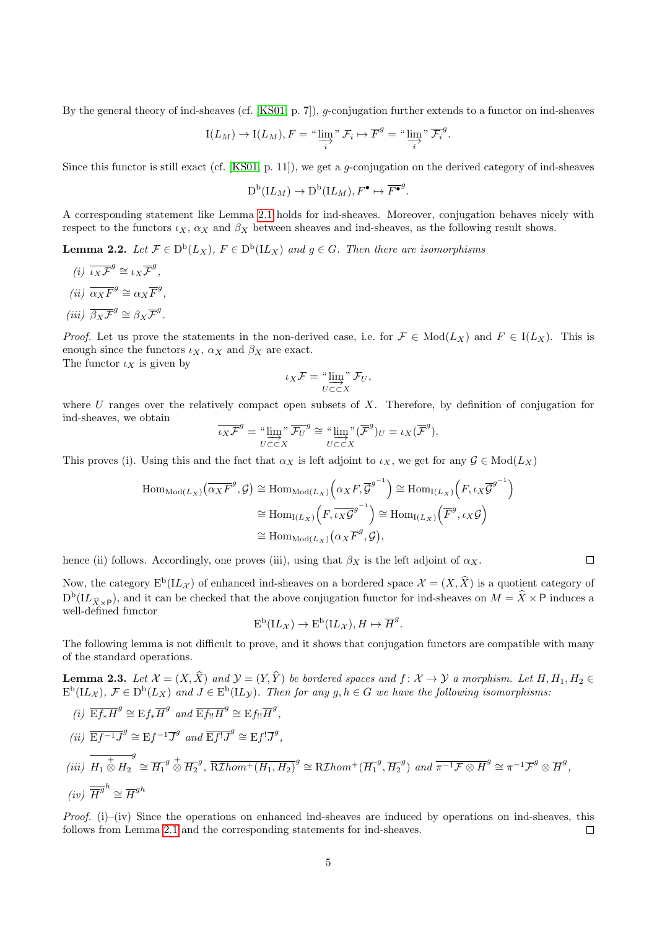By the general theory of ind-sheaves (cf. [\[KS01,](#page-34-7) p. 7]), g-conjugation further extends to a functor on ind-sheaves

$$
I(L_M) \to I(L_M), F = \text{``}\varinjlim_{i} \text{''} \mathcal{F}_i \mapsto \overline{F}^g = \text{``}\varinjlim_{i} \text{''} \overline{\mathcal{F}_i}^g.
$$

Since this functor is still exact (cf.  $[KS01, p. 11]$ ), we get a *q*-conjugation on the derived category of ind-sheaves

$$
D^{\mathrm{b}}(\mathbf{I} L_M) \to D^{\mathrm{b}}(\mathbf{I} L_M), F^{\bullet} \mapsto \overline{F^{\bullet}}^g.
$$

A corresponding statement like Lemma [2.1](#page-3-0) holds for ind-sheaves. Moreover, conjugation behaves nicely with respect to the functors  $\iota_X$ ,  $\alpha_X$  and  $\beta_X$  between sheaves and ind-sheaves, as the following result shows.

**Lemma 2.2.** Let  $\mathcal{F} \in D^b(L_X)$ ,  $F \in D^b(L_X)$  and  $g \in G$ . Then there are isomorphisms

(i)  $\overline{\iota_X \mathcal{F}}^g \cong \iota_X \overline{\mathcal{F}}^g$ , (*ii*)  $\overline{\alpha_X F}^g \cong \alpha_X \overline{F}^g$ , (iii)  $\overline{\beta_X \mathcal{F}}^g \cong \beta_X \overline{\mathcal{F}}^g$ .

*Proof.* Let us prove the statements in the non-derived case, i.e. for  $\mathcal{F} \in Mod(L_X)$  and  $F \in I(L_X)$ . This is enough since the functors  $\iota_X$ ,  $\alpha_X$  and  $\beta_X$  are exact.

The functor  $\iota_X$  is given by

$$
\iota_X \mathcal{F} = \mathop{\lim_{U \subset \subset X}}^{\infty} \mathcal{F}_U,
$$

where U ranges over the relatively compact open subsets of X. Therefore, by definition of conjugation for ind-sheaves, we obtain

$$
\overline{\iota_X \mathcal{F}}^g = \lim_{U \subset \subset X} \overline{\mathcal{F}_U}^g \cong \lim_{U \subset \subset X} \overline{\mathcal{F}}^g_{U} = \iota_X(\overline{\mathcal{F}}^g).
$$

This proves (i). Using this and the fact that  $\alpha_X$  is left adjoint to  $\iota_X$ , we get for any  $\mathcal{G} \in Mod(L_X)$ 

$$
\text{Hom}_{\text{Mod}(L_X)}(\overline{\alpha_X F}^g, \mathcal{G}) \cong \text{Hom}_{\text{Mod}(L_X)}(\alpha_X F, \overline{\mathcal{G}}^{g^{-1}}) \cong \text{Hom}_{\text{I}(L_X)}(F, \iota_X \overline{\mathcal{G}}^{g^{-1}})
$$

$$
\cong \text{Hom}_{\text{I}(L_X)}(F, \overline{\iota_X \mathcal{G}}^{g^{-1}}) \cong \text{Hom}_{\text{I}(L_X)}(\overline{F}^g, \iota_X \mathcal{G})
$$

$$
\cong \text{Hom}_{\text{Mod}(L_X)}(\alpha_X \overline{F}^g, \mathcal{G}),
$$

hence (ii) follows. Accordingly, one proves (iii), using that  $\beta_X$  is the left adjoint of  $\alpha_X$ .

Now, the category  $E^b(I\mathcal{L}_\mathcal{X})$  of enhanced ind-sheaves on a bordered space  $\mathcal{X} = (X, \hat{X})$  is a quotient category of  $D^b(L_{\hat{X}\times\mathsf{P}})$ , and it can be checked that the above conjugation functor for ind-sheaves on  $M = \hat{X}\times\mathsf{P}$  induces a well-defined functor

$$
E^b(IL_{\mathcal{X}}) \to E^b(IL_{\mathcal{X}}), H \mapsto \overline{H}^g.
$$

The following lemma is not difficult to prove, and it shows that conjugation functors are compatible with many of the standard operations.

<span id="page-4-0"></span>**Lemma 2.3.** Let  $\mathcal{X} = (X, \hat{X})$  and  $\mathcal{Y} = (Y, \hat{Y})$  be bordered spaces and  $f : \mathcal{X} \to \mathcal{Y}$  a morphism. Let  $H, H_1, H_2 \in$  $\mathrm{E}^{\mathrm{b}}(\mathbf{L}_\mathcal{X}),\ \mathcal{F}\in\mathrm{D}^{\mathrm{b}}(L_X)$  and  $J\in\mathrm{E}^{\mathrm{b}}(\mathbf{L}_\mathcal{Y})$ . Then for any  $g,h\in G$  we have the following isomorphisms.

- (i)  $\overline{\mathrm{E}f_*H}^g \cong \mathrm{E}f_*\overline{H}^g$  and  $\overline{\mathrm{E}f_{!!}H}^g \cong \mathrm{E}f_{!!}\overline{H}^g$ ,
- (ii)  $\overline{\mathrm{E}f^{-1}J}^{g} \cong \mathrm{E}f^{-1}\overline{J}^{g}$  and  $\overline{\mathrm{E}f^{!}J}^{g} \cong \mathrm{E}f^{!}\overline{J}^{g}$ ,

$$
(iii) \ \overline{H_1 \overset{+}{\otimes} H_2}^g \cong \overline{H_1}^g \overset{+}{\otimes} \overline{H_2}^g, \ \overline{\text{R}Thom}^+(H_1, H_2)^g \cong \text{R}Thom^+(\overline{H_1}^g, \overline{H_2}^g) \ \text{and} \ \overline{\pi^{-1} \mathcal{F} \otimes H}^g \cong \pi^{-1} \overline{\mathcal{F}}^g \otimes \overline{H}^g,
$$
  

$$
(iv) \ \overline{\overline{H}}^{gh} \cong \overline{H}^{gh}
$$

*Proof.* (i)–(iv) Since the operations on enhanced ind-sheaves are induced by operations on ind-sheaves, this follows from Lemma [2.1](#page-3-0) and the corresponding statements for ind-sheaves.  $\Box$ 

 $\Box$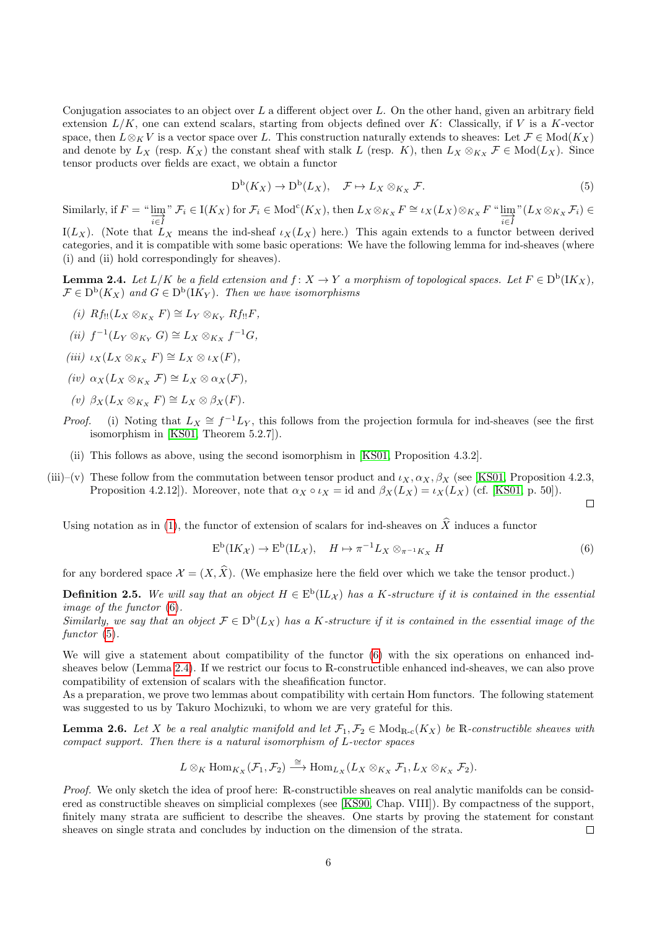Conjugation associates to an object over  $L$  a different object over  $L$ . On the other hand, given an arbitrary field extension  $L/K$ , one can extend scalars, starting from objects defined over  $K$ : Classically, if V is a K-vector space, then  $L \otimes_K V$  is a vector space over L. This construction naturally extends to sheaves: Let  $\mathcal{F} \in Mod(K_X)$ and denote by  $L_X$  (resp.  $K_X$ ) the constant sheaf with stalk L (resp. K), then  $L_X \otimes_{K_X} \mathcal{F} \in Mod(L_X)$ . Since tensor products over fields are exact, we obtain a functor

<span id="page-5-2"></span>
$$
D^{b}(K_X) \to D^{b}(L_X), \quad \mathcal{F} \mapsto L_X \otimes_{K_X} \mathcal{F}.
$$
 (5)

Similarly, if  $F = \sqrt{\lim_{n \to \infty}}$ i∈I  $\mathcal{F}_i \in I(K_X)$  for  $\mathcal{F}_i \in \text{Mod}^c(K_X)$ , then  $L_X \otimes_{K_X} F \cong \iota_X(L_X) \otimes_{K_X} F$  "  $\varinjlim_{\substack{\longrightarrow \\ \longrightarrow}}$ " i∈I  $(L_X \otimes_{K_X} \mathcal{F}_i) \in$ 

I( $L_X$ ). (Note that  $L_X$  means the ind-sheaf  $\iota_X(L_X)$  here.) This again extends to a functor between derived categories, and it is compatible with some basic operations: We have the following lemma for ind-sheaves (where (i) and (ii) hold correspondingly for sheaves).

<span id="page-5-3"></span>**Lemma 2.4.** Let  $L/K$  be a field extension and  $f: X \to Y$  a morphism of topological spaces. Let  $F \in D^b(\overline{K_X})$ ,  $\mathcal{F} \in D^{\mathrm{b}}(K_X)$  and  $G \in D^{\mathrm{b}}(K_Y)$ . Then we have isomorphisms

- (i)  $Rf_{!!}(L_X \otimes_{K_X} F) \cong L_Y \otimes_{K_Y} Rf_{!!} F$ ,
- (ii)  $f^{-1}(L_Y \otimes_{K_Y} G) \cong L_X \otimes_{K_X} f^{-1} G$ ,
- (iii)  $\iota_X(L_X \otimes_{K_X} F) \cong L_X \otimes \iota_X(F)$ ,
- (iv)  $\alpha_X(L_X \otimes_{K_X} \mathcal{F}) \cong L_X \otimes \alpha_X(\mathcal{F}),$
- (v)  $\beta_X(L_X \otimes_{K_X} F) \cong L_X \otimes \beta_X(F)$ .
- *Proof.* (i) Noting that  $L_X \cong f^{-1}L_Y$ , this follows from the projection formula for ind-sheaves (see the first isomorphism in [\[KS01,](#page-34-7) Theorem 5.2.7]).
	- (ii) This follows as above, using the second isomorphism in [\[KS01,](#page-34-7) Proposition 4.3.2].
- (iii)–(v) These follow from the commutation between tensor product and  $\iota_X$ ,  $\alpha_X$ ,  $\beta_X$  (see [\[KS01,](#page-34-7) Proposition 4.2.3, Proposition 4.2.12]). Moreover, note that  $\alpha_X \circ \iota_X = id$  and  $\beta_X(L_X) = \iota_X(L_X)$  (cf. [\[KS01,](#page-34-7) p. 50]).

Using notation as in [\(1\)](#page-2-0), the functor of extension of scalars for ind-sheaves on  $\hat{X}$  induces a functor

<span id="page-5-1"></span>
$$
E^{b}(IK_{\mathcal{X}}) \to E^{b}(IL_{\mathcal{X}}), \quad H \mapsto \pi^{-1}L_{X} \otimes_{\pi^{-1}K_{X}} H
$$
\n
$$
(6)
$$

 $\Box$ 

for any bordered space  $\mathcal{X} = (X, \hat{X})$ . (We emphasize here the field over which we take the tensor product.)

<span id="page-5-0"></span>**Definition 2.5.** We will say that an object  $H \in E^b(U_\mathcal{X})$  has a K-structure if it is contained in the essential image of the functor [\(6\)](#page-5-1).

Similarly, we say that an object  $\mathcal{F} \in D^b(L_X)$  has a K-structure if it is contained in the essential image of the functor  $(5)$ .

We will give a statement about compatibility of the functor  $(6)$  with the six operations on enhanced indsheaves below (Lemma [2.4\)](#page-5-3). If we restrict our focus to R-constructible enhanced ind-sheaves, we can also prove compatibility of extension of scalars with the sheafification functor.

As a preparation, we prove two lemmas about compatibility with certain Hom functors. The following statement was suggested to us by Takuro Mochizuki, to whom we are very grateful for this.

<span id="page-5-4"></span>**Lemma 2.6.** Let X be a real analytic manifold and let  $\mathcal{F}_1, \mathcal{F}_2 \in Mod_{\mathbb{R}_c}(K_X)$  be  $\mathbb{R}$ -constructible sheaves with compact support. Then there is a natural isomorphism of L-vector spaces

$$
L\otimes_K \text{Hom}_{K_X}(\mathcal{F}_1,\mathcal{F}_2)\stackrel{\cong}{\longrightarrow}\text{Hom}_{L_X}(L_X\otimes_{K_X}\mathcal{F}_1,L_X\otimes_{K_X}\mathcal{F}_2).
$$

Proof. We only sketch the idea of proof here: R-constructible sheaves on real analytic manifolds can be considered as constructible sheaves on simplicial complexes (see [\[KS90,](#page-34-9) Chap. VIII]). By compactness of the support, finitely many strata are sufficient to describe the sheaves. One starts by proving the statement for constant sheaves on single strata and concludes by induction on the dimension of the strata.  $\Box$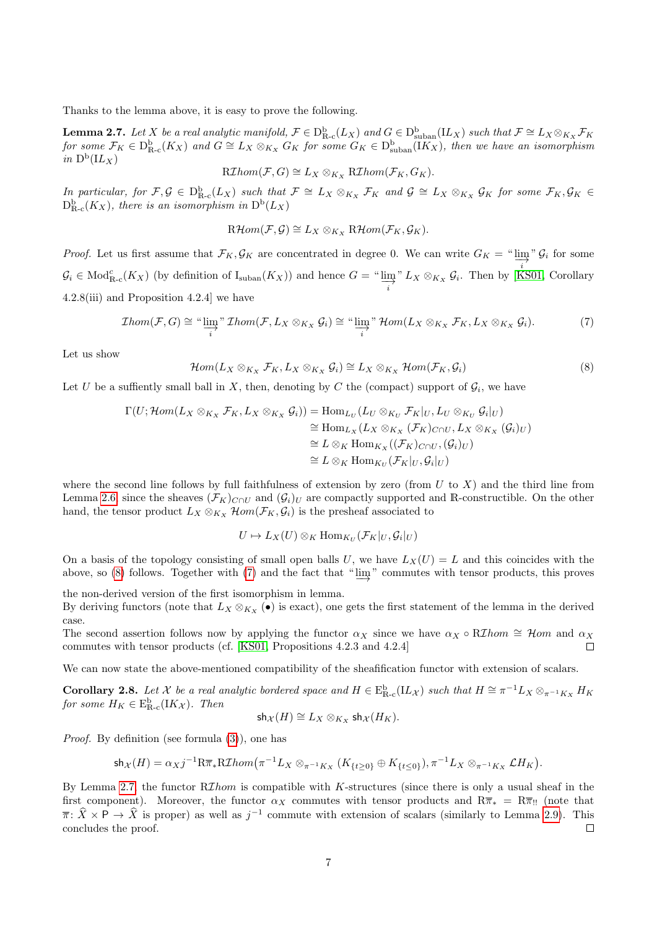Thanks to the lemma above, it is easy to prove the following.

<span id="page-6-2"></span>**Lemma 2.7.** Let X be a real analytic manifold,  $\mathcal{F} \in D_{\text{R-c}}^{\text{b}}(L_X)$  and  $G \in D_{\text{suban}}^{\text{b}}(IL_X)$  such that  $\mathcal{F} \cong L_X \otimes_{K_X} \mathcal{F}_K$ for some  $\mathcal{F}_K \in D^{\text{b}}_{\text{R-c}}(K_X)$  and  $G \cong L_X \otimes_{K_X} G_K$  for some  $G_K \in D^{\text{b}}_{\text{suban}}(IK_X)$ , then we have an isomorphism in  $D^b(IL_X)$ 

$$
R\mathcal{I}hom(\mathcal{F}, G) \cong L_X \otimes_{K_X} R\mathcal{I}hom(\mathcal{F}_K, G_K).
$$

In particular, for  $\mathcal{F}, \mathcal{G} \in D_{\mathbb{R}-c}^{\mathbb{b}}(L_X)$  such that  $\mathcal{F} \cong L_X \otimes_{K_X} \mathcal{F}_K$  and  $\mathcal{G} \cong L_X \otimes_{K_X} \mathcal{G}_K$  for some  $\mathcal{F}_K, \mathcal{G}_K \in$  $D_{\mathbb{R}\text{-c}}^{\text{b}}(K_{X}),$  there is an isomorphism in  $\mathrm{D}^{\text{b}}(L_{X})$ 

 $R\mathcal{H}om(\mathcal{F}, \mathcal{G}) \cong L_X \otimes_{K_X} R\mathcal{H}om(\mathcal{F}_K, \mathcal{G}_K).$ 

*Proof.* Let us first assume that  $\mathcal{F}_K, \mathcal{G}_K$  are concentrated in degree 0. We can write  $G_K = \lim_{n \to \infty} \mathcal{G}_i$  for some  $\mathcal{G}_i \in \text{Mod}_{\mathbb{R}\text{-}\mathrm{c}}^c(K_X)$  (by definition of  $I_{\text{suban}}(K_X)$ ) and hence  $G = \text{``}\varinjlim" L_X \otimes_{K_X} \mathcal{G}_i$ . Then by [K i  $L_X \otimes_{K_X} \mathcal{G}_i$ . Then by [\[KS01,](#page-34-7) Corollary 4.2.8(iii) and Proposition 4.2.4] we have

<span id="page-6-1"></span>
$$
Thom(\mathcal{F}, G) \cong \text{``}\varinjlim_{i} \text{``} \mathcal{I}hom(\mathcal{F}, L_X \otimes_{K_X} \mathcal{G}_i) \cong \text{``}\varinjlim_{i} \text{``} \mathcal{H}om(L_X \otimes_{K_X} \mathcal{F}_K, L_X \otimes_{K_X} \mathcal{G}_i).
$$
 (7)

Let us show

<span id="page-6-0"></span>
$$
\mathcal{H}om(L_X \otimes_{K_X} \mathcal{F}_K, L_X \otimes_{K_X} \mathcal{G}_i) \cong L_X \otimes_{K_X} \mathcal{H}om(\mathcal{F}_K, \mathcal{G}_i)
$$
\n(8)

Let U be a suffiently small ball in X, then, denoting by C the (compact) support of  $\mathcal{G}_i$ , we have

$$
\Gamma(U; \mathcal{H}om(L_X \otimes_{K_X} \mathcal{F}_K, L_X \otimes_{K_X} \mathcal{G}_i)) = \text{Hom}_{L_U}(L_U \otimes_{K_U} \mathcal{F}_K|_U, L_U \otimes_{K_U} \mathcal{G}_i|_U)
$$
  
\n
$$
\cong \text{Hom}_{L_X}(L_X \otimes_{K_X} (\mathcal{F}_K)_{C \cap U}, L_X \otimes_{K_X} (\mathcal{G}_i)_{U})
$$
  
\n
$$
\cong L \otimes_K \text{Hom}_{K_X}((\mathcal{F}_K)_{C \cap U}, (\mathcal{G}_i)_{U})
$$
  
\n
$$
\cong L \otimes_K \text{Hom}_{K_U}(\mathcal{F}_K|_U, \mathcal{G}_i|_U)
$$

where the second line follows by full faithfulness of extension by zero (from  $U$  to  $X$ ) and the third line from Lemma [2.6,](#page-5-4) since the sheaves  $(\mathcal{F}_K)_{C\cap U}$  and  $(\mathcal{G}_i)_U$  are compactly supported and R-constructible. On the other hand, the tensor product  $L_X \otimes_{K_X} \mathcal{H}om(\mathcal{F}_K, \mathcal{G}_i)$  is the presheaf associated to

$$
U \mapsto L_X(U) \otimes_K \text{Hom}_{K_U}(\mathcal{F}_K|_U, \mathcal{G}_i|_U)
$$

On a basis of the topology consisting of small open balls U, we have  $L_X(U) = L$  and this coincides with the above, so [\(8\)](#page-6-0) follows. Together with [\(7\)](#page-6-1) and the fact that " $\varinjlim$ " commutes with tensor products, this proves

the non-derived version of the first isomorphism in lemma.

By deriving functors (note that  $L_X \otimes_{K_X} (\bullet)$  is exact), one gets the first statement of the lemma in the derived case.

The second assertion follows now by applying the functor  $\alpha_X$  since we have  $\alpha_X \circ R\mathcal{I}hom \cong \mathcal{H}om$  and  $\alpha_X$ commutes with tensor products (cf. [\[KS01,](#page-34-7) Propositions 4.2.3 and 4.2.4]  $\Box$ 

We can now state the above-mentioned compatibility of the sheafification functor with extension of scalars.

<span id="page-6-3"></span>**Corollary 2.8.** Let X be a real analytic bordered space and  $H \in \mathbb{E}_{\mathbb{R}\text{-c}}^{\mathbb{b}}(IL_{\mathcal{X}})$  such that  $H \cong \pi^{-1}L_X \otimes_{\pi^{-1}K_X} H_K$ for some  $H_K \in \mathrm{E}^{\mathrm{b}}_{\mathbb{R}\text{-}\mathrm{c}}(\mathrm{I} K_{\mathcal{X}})$ . Then

$$
\mathsf{sh}_{\mathcal{X}}(H) \cong L_X \otimes_{K_X} \mathsf{sh}_{\mathcal{X}}(H_K).
$$

Proof. By definition (see formula [\(3\)](#page-2-1)), one has

$$
\text{sh}_{\mathcal{X}}(H)=\alpha_Xj^{-1}\mathrm{R}\overline{\pi}_{*}\mathrm{R}\mathcal{I}hom\big(\pi^{-1}L_X\otimes_{\pi^{-1}K_X}(K_{\{t\geq0\}}\oplus K_{\{t\leq0\}}),\pi^{-1}L_X\otimes_{\pi^{-1}K_X}\mathcal{L}H_K\big).
$$

By Lemma [2.7,](#page-6-2) the functor  $R\mathcal{I}hom$  is compatible with K-structures (since there is only a usual sheaf in the first component). Moreover, the functor  $\alpha_X$  commutes with tensor products and  $R\overline{\pi}_* = R\overline{\pi}_{!!}$  (note that  $\overline{\pi}$ :  $\hat{X} \times P \to \hat{X}$  is proper) as well as  $j^{-1}$  commute with extension of scalars (similarly to Lemma [2.9\)](#page-7-0). This concludes the proof.  $\Box$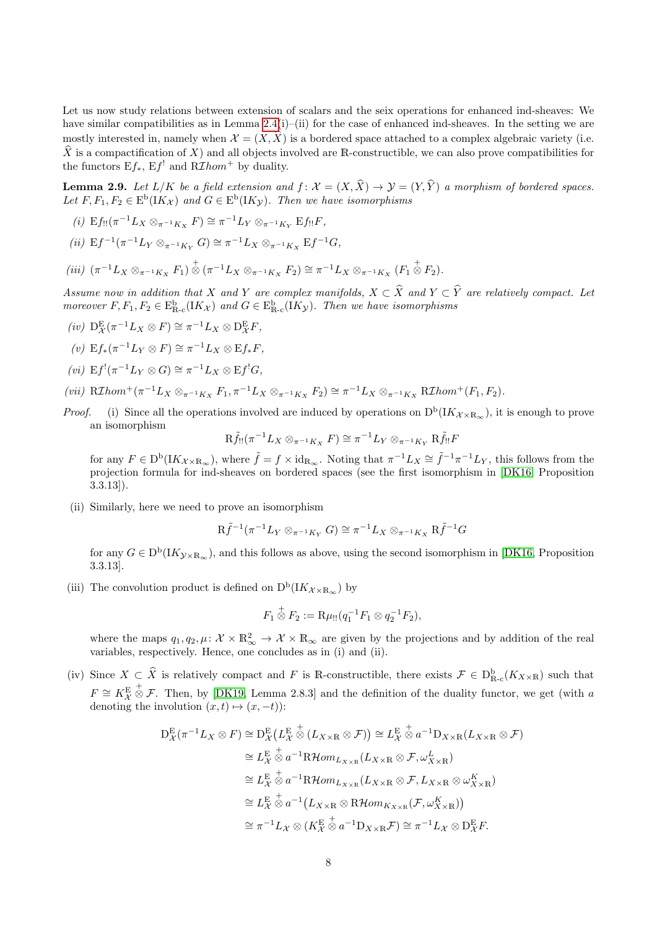Let us now study relations between extension of scalars and the seix operations for enhanced ind-sheaves: We have similar compatibilities as in Lemma [2.4\(](#page-5-3)i)–(ii) for the case of enhanced ind-sheaves. In the setting we are mostly interested in, namely when  $\mathcal{X} = (X, \hat{X})$  is a bordered space attached to a complex algebraic variety (i.e.  $\hat{X}$  is a compactification of X) and all objects involved are R-constructible, we can also prove compatibilities for the functors  $Ef_*$ ,  $Ef'$  and  $R\mathcal{I}hom^+$  by duality.

<span id="page-7-0"></span>**Lemma 2.9.** Let  $L/K$  be a field extension and  $f: \mathcal{X} = (X, \hat{X}) \rightarrow \mathcal{Y} = (Y, \hat{Y})$  a morphism of bordered spaces. Let  $F, F_1, F_2 \in E^b(IK_\mathcal{X})$  and  $G \in E^b(IK_\mathcal{Y})$ . Then we have isomorphisms

- (i)  $E f_{!!} (\pi^{-1} L_X \otimes_{\pi^{-1} K_X} F) \cong \pi^{-1} L_Y \otimes_{\pi^{-1} K_Y} E f_{!!} F$ ,
- (ii)  $E f^{-1}(\pi^{-1} L_Y \otimes_{\pi^{-1} K_Y} G) \cong \pi^{-1} L_X \otimes_{\pi^{-1} K_X} E f^{-1} G$ ,

$$
(iii) \ (\pi^{-1}L_X \otimes_{\pi^{-1}K_X} F_1) \overset{+}{\otimes} (\pi^{-1}L_X \otimes_{\pi^{-1}K_X} F_2) \cong \pi^{-1}L_X \otimes_{\pi^{-1}K_X} (F_1 \overset{+}{\otimes} F_2).
$$

Assume now in addition that X and Y are complex manifolds,  $X \subset \hat{X}$  and  $Y \subset \hat{Y}$  are relatively compact. Let moreover  $F, F_1, F_2 \in \mathcal{E}_{\mathbb{R}-c}^{\mathbf{b}}(K_{\mathcal{X}})$  and  $G \in \mathcal{E}_{\mathbb{R}-c}^{\mathbf{b}}(K_{\mathcal{Y}})$ . Then we have isomorphisms

- $(iv)$   $D_{\mathcal{X}}^{E}(\pi^{-1}L_X \otimes F) \cong \pi^{-1}L_X \otimes D_{\mathcal{X}}^{E}F,$
- (v)  $E f_*(\pi^{-1} L_Y \otimes F) \cong \pi^{-1} L_X \otimes E f_* F$ ,
- (*vi*)  $E f^! (\pi^{-1} L_Y \otimes G) \cong \pi^{-1} L_X \otimes E f^! G,$
- (vii)  $R\mathcal{I}hom^+(\pi^{-1}L_X\otimes_{\pi^{-1}K_X}F_1, \pi^{-1}L_X\otimes_{\pi^{-1}K_X}F_2)\cong \pi^{-1}L_X\otimes_{\pi^{-1}K_X}R\mathcal{I}hom^+(F_1,F_2).$
- *Proof.* (i) Since all the operations involved are induced by operations on  $D^b(IK_{\mathcal{X}\times\mathbb{R}_{\infty}})$ , it is enough to prove an isomorphism

$$
\mathrm{R}\widetilde{f}_{!!}(\pi^{-1}L_X\otimes_{\pi^{-1}K_X}F)\cong \pi^{-1}L_Y\otimes_{\pi^{-1}K_Y}\mathrm{R}\widetilde{f}_{!!}F
$$

for any  $F \in D^{\text{b}}(K_{\mathcal{X} \times \mathbb{R}_{\infty}})$ , where  $\tilde{f} = f \times \text{id}_{\mathbb{R}_{\infty}}$ . Noting that  $\pi^{-1}L_X \cong \tilde{f}^{-1}\pi^{-1}L_Y$ , this follows from the projection formula for ind-sheaves on bordered spaces (see the first isomorphism in [\[DK16,](#page-33-3) Proposition 3.3.13]).

(ii) Similarly, here we need to prove an isomorphism

$$
\mathrm R\tilde f^{-1}(\pi^{-1}L_Y\otimes_{\pi^{-1}K_Y}G)\cong \pi^{-1}L_X\otimes_{\pi^{-1}K_X}\mathrm R\tilde f^{-1}G
$$

for any  $G \in D^b(IK_{\mathcal{Y} \times \mathbb{R}_{\infty}})$ , and this follows as above, using the second isomorphism in [\[DK16,](#page-33-3) Proposition 3.3.13].

(iii) The convolution product is defined on  $D^b(IK_{\mathcal{X}\times\mathbb{R}_{\infty}})$  by

$$
F_1 \overset{+}{\otimes} F_2 := \mathrm{R}\mu_{!!} (q_1^{-1} F_1 \otimes q_2^{-1} F_2),
$$

where the maps  $q_1, q_2, \mu: \mathcal{X} \times \mathbb{R}^2_{\infty} \to \mathcal{X} \times \mathbb{R}_{\infty}$  are given by the projections and by addition of the real variables, respectively. Hence, one concludes as in (i) and (ii).

(iv) Since  $X \subset \hat{X}$  is relatively compact and F is R-constructible, there exists  $\mathcal{F} \in D_{R-c}^{\mathbf{b}}(K_{X\times R})$  such that  $F \cong K_{\mathcal{X}}^{\mathcal{E}}$  $\stackrel{+}{\otimes}$  F. Then, by [\[DK19,](#page-33-4) Lemma 2.8.3] and the definition of the duality functor, we get (with a denoting the involution  $(x, t) \mapsto (x, -t)$ :

$$
D_{\mathcal{X}}^{E}(\pi^{-1}L_{X}\otimes F) \cong D_{\mathcal{X}}^{E}(L_{\mathcal{X}}^{E} \overset{+}{\otimes} (L_{X\times R}\otimes F)) \cong L_{\mathcal{X}}^{E} \overset{+}{\otimes} a^{-1}D_{X\times R}(L_{X\times R}\otimes F)
$$
  
\n
$$
\cong L_{\mathcal{X}}^{E} \overset{+}{\otimes} a^{-1}R\mathcal{H}om_{L_{X\times R}}(L_{X\times R}\otimes F, \omega_{X\times R}^{L})
$$
  
\n
$$
\cong L_{\mathcal{X}}^{E} \overset{+}{\otimes} a^{-1}R\mathcal{H}om_{L_{X\times R}}(L_{X\times R}\otimes F, L_{X\times R}\otimes \omega_{X\times R}^{K})
$$
  
\n
$$
\cong L_{\mathcal{X}}^{E} \overset{+}{\otimes} a^{-1}(L_{X\times R}\otimes R\mathcal{H}om_{K_{X\times R}}(F, \omega_{X\times R}^{K}))
$$
  
\n
$$
\cong \pi^{-1}L_{\mathcal{X}} \otimes (K_{\mathcal{X}}^{E} \overset{+}{\otimes} a^{-1}D_{X\times R}F) \cong \pi^{-1}L_{\mathcal{X}} \otimes D_{\mathcal{X}}^{E}F.
$$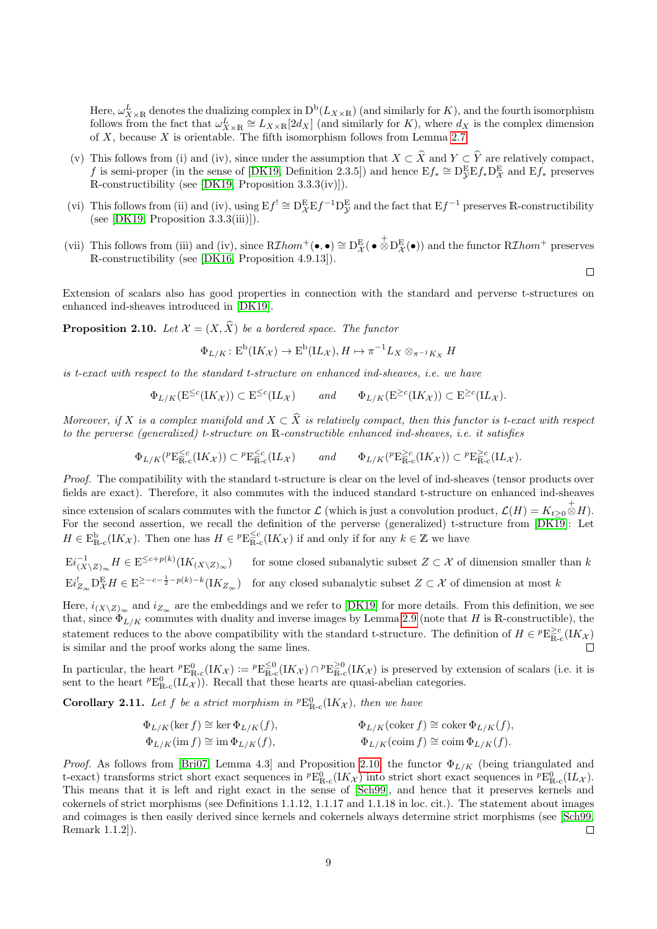Here,  $\omega_{X\times R}^L$  denotes the dualizing complex in  $D^b(L_{X\times R})$  (and similarly for K), and the fourth isomorphism follows from the fact that  $\omega_{X\times\mathbb{R}}^L \cong L_{X\times\mathbb{R}}[2d_X]$  (and similarly for K), where  $d_X$  is the complex dimension of  $X$ , because  $X$  is orientable. The fifth isomorphism follows from Lemma [2.7.](#page-6-2)

- (v) This follows from (i) and (iv), since under the assumption that  $X \subset \hat{X}$  and  $Y \subset \hat{Y}$  are relatively compact, f is semi-proper (in the sense of [\[DK19,](#page-33-4) Definition 2.3.5]) and hence  $E f_* \cong D_{\mathcal{Y}}^E E f_* D_{\mathcal{X}}^E$  and  $E f_*$  preserves R-constructibility (see [\[DK19,](#page-33-4) Proposition 3.3.3(iv)]).
- (vi) This follows from (ii) and (iv), using  $E f' \cong D_{\mathcal{X}}^E E f^{-1} D_{\mathcal{Y}}^E$  and the fact that  $E f^{-1}$  preserves R-constructibility (see  $[DK19, Proposition 3.3.3(iii)]$ ).
- (vii) This follows from (iii) and (iv), since  $R\mathcal{I}hom^+(\bullet,\bullet) \cong D_{\mathcal{X}}^{\mathcal{E}}(\bullet \bigotimes^{\ast} D_{\mathcal{X}}^{\mathcal{E}}(\bullet))$  and the functor  $R\mathcal{I}hom^+$  preserves R-constructibility (see [\[DK16,](#page-33-3) Proposition 4.9.13]).

 $\Box$ 

Extension of scalars also has good properties in connection with the standard and perverse t-structures on enhanced ind-sheaves introduced in [\[DK19\]](#page-33-4).

<span id="page-8-0"></span>**Proposition 2.10.** Let  $\mathcal{X} = (X, \hat{X})$  be a bordered space. The functor

$$
\Phi_{L/K} \colon \mathcal{E}^{\text{b}}(I K_{\mathcal{X}}) \to \mathcal{E}^{\text{b}}(I L_{\mathcal{X}}), H \mapsto \pi^{-1} L_X \otimes_{\pi^{-1} K_X} H
$$

is t-exact with respect to the standard t-structure on enhanced ind-sheaves, i.e. we have

$$
\Phi_{L/K}(\mathcal{E}^{\leq c}(I K_{\mathcal{X}})) \subset \mathcal{E}^{\leq c}(I L_{\mathcal{X}}) \quad \text{and} \quad \Phi_{L/K}(\mathcal{E}^{\geq c}(I K_{\mathcal{X}})) \subset \mathcal{E}^{\geq c}(I L_{\mathcal{X}}).
$$

Moreover, if X is a complex manifold and  $X \subset \hat{X}$  is relatively compact, then this functor is t-exact with respect to the perverse (generalized) t-structure on R-constructible enhanced ind-sheaves, i.e. it satisfies

$$
\Phi_{L/K}(^p \mathcal{E}_{\mathbb{R}\text{-c}}^{\leq c}(I K_{\mathcal{X}})) \subset {}^p \mathcal{E}_{\mathbb{R}\text{-c}}^{\leq c}(I L_{\mathcal{X}}) \quad \text{and} \quad \Phi_{L/K}(^p \mathcal{E}_{\mathbb{R}\text{-c}}^{\geq c}(I K_{\mathcal{X}})) \subset {}^p \mathcal{E}_{\mathbb{R}\text{-c}}^{\geq c}(I L_{\mathcal{X}}).
$$

Proof. The compatibility with the standard t-structure is clear on the level of ind-sheaves (tensor products over fields are exact). Therefore, it also commutes with the induced standard t-structure on enhanced ind-sheaves since extension of scalars commutes with the functor  $\mathcal L$  (which is just a convolution product,  $\mathcal L(H) = K_{t\geq 0} \overset{\leftarrow}{\otimes} H$ ). For the second assertion, we recall the definition of the perverse (generalized) t-structure from [\[DK19\]](#page-33-4): Let

 $H \in \mathbb{E}_{\mathbb{R}\text{-c}}^{\mathbb{b}}(I K_{\mathcal{X}})$ . Then one has  $H \in \mathbb{P}_{\mathbb{R}\text{-c}}^{\leq c}(I K_{\mathcal{X}})$  if and only if for any  $k \in \mathbb{Z}$  we have

$$
\mathrm{E}i_{(X\setminus Z)_{\infty}}^{-1}H \in \mathrm{E}^{\leq c+p(k)}(\mathrm{I}K_{(X\setminus Z)_{\infty}}) \qquad \text{for some closed subanalytic subset } Z \subset \mathcal{X} \text{ of dimension smaller than } k
$$
  

$$
\mathrm{E}i_{Z_{\infty}}^!\mathrm{D}_{\mathcal{X}}^{\mathrm{E}}H \in \mathrm{E}^{\geq -c-\frac{1}{2}-p(k)-k}(\mathrm{I}K_{Z_{\infty}}) \quad \text{for any closed subanalytic subset } Z \subset \mathcal{X} \text{ of dimension at most } k
$$

Here,  $i_{(X\setminus Z)_{\infty}}$  and  $i_{Z_{\infty}}$  are the embeddings and we refer to [\[DK19\]](#page-33-4) for more details. From this definition, we see that, since  $\Phi_{L/K}$  commutes with duality and inverse images by Lemma [2.9](#page-7-0) (note that H is R-constructible), the statement reduces to the above compatibility with the standard t-structure. The definition of  $H \in {^pE}^{\geq c}_{\mathbb{R}-c}(I K_\mathcal{X})$ is similar and the proof works along the same lines.

In particular, the heart  ${}^p\text{E}^0_{\text{R-c}}(IK_\mathcal{X}) := {}^p\text{E}^{\leq 0}_{\text{R-c}}(IK_\mathcal{X}) \cap {}^p\text{E}^{\geq 0}_{\text{R-c}}(IK_\mathcal{X})$  is preserved by extension of scalars (i.e. it is sent to the heart  ${}^p\text{E}^0_{\text{R-c}}(\text{I}L_{\mathcal{X}})$ . Recall that these hearts are quasi-abelian categories.

<span id="page-8-1"></span>**Corollary 2.11.** Let f be a strict morphism in  ${}^p\text{E}^0_{\text{R-c}}(I K_{\mathcal{X}})$ , then we have

$$
\Phi_{L/K}(\ker f) \cong \ker \Phi_{L/K}(f),
$$
  
\n
$$
\Phi_{L/K}(\operatorname{coker} f) \cong \operatorname{coker} \Phi_{L/K}(f),
$$
  
\n
$$
\Phi_{L/K}(\operatorname{coker} f) \cong \operatorname{coker} \Phi_{L/K}(f).
$$
  
\n
$$
\Phi_{L/K}(\operatorname{coker} f) \cong \operatorname{coker} \Phi_{L/K}(f).
$$

*Proof.* As follows from [\[Bri07,](#page-33-8) Lemma 4.3] and Proposition [2.10,](#page-8-0) the functor  $\Phi_{L/K}$  (being triangulated and t-exact) transforms strict short exact sequences in  ${}^p\text{E}^0_{\text{R-c}}(IK_\mathcal{X})$  into strict short exact sequences in  ${}^p\text{E}^0_{\text{R-c}}(IL_\mathcal{X})$ . This means that it is left and right exact in the sense of [\[Sch99\]](#page-35-6), and hence that it preserves kernels and cokernels of strict morphisms (see Definitions 1.1.12, 1.1.17 and 1.1.18 in loc. cit.). The statement about images and coimages is then easily derived since kernels and cokernels always determine strict morphisms (see [\[Sch99,](#page-35-6) Remark 1.1.2]).  $\Box$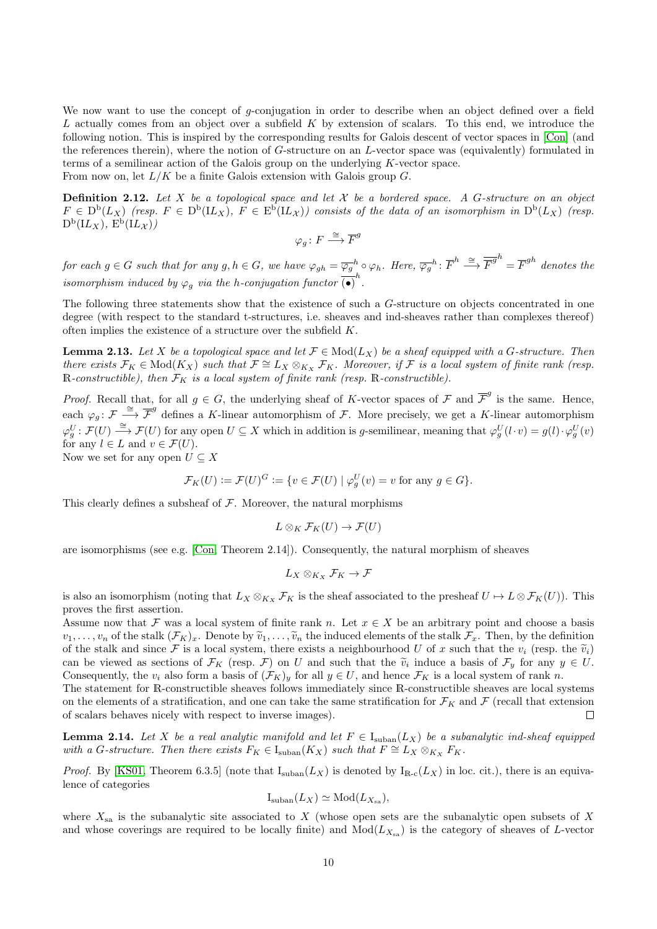We now want to use the concept of g-conjugation in order to describe when an object defined over a field L actually comes from an object over a subfield K by extension of scalars. To this end, we introduce the following notion. This is inspired by the corresponding results for Galois descent of vector spaces in [\[Con\]](#page-33-7) (and the references therein), where the notion of G-structure on an L-vector space was (equivalently) formulated in terms of a semilinear action of the Galois group on the underlying K-vector space. From now on, let  $L/K$  be a finite Galois extension with Galois group  $G$ .

<span id="page-9-1"></span>**Definition 2.12.** Let X be a topological space and let X be a bordered space. A G-structure on an object  $F \in D^b(L_X)$  (resp.  $F \in D^b(L_X)$ ,  $F \in E^b(L_X)$ ) consists of the data of an isomorphism in  $D^b(L_X)$  (resp.  $\mathrm{D}^{\mathrm{b}}(\mathrm{I} L_X),\,\mathrm{E}^{\mathrm{b}}(\mathrm{I} L_\mathcal{X}))$ 

$$
\varphi_g \colon F \xrightarrow{\cong} \overline{F}^g
$$

for each  $g \in G$  such that for any  $g, h \in G$ , we have  $\varphi_{gh} = \overline{\varphi_g}^h \circ \varphi_h$ . Here,  $\overline{\varphi_g}^h$ :  $\overline{F}^h \stackrel{\cong}{\longrightarrow} \overline{F}^{g^h} = \overline{F}^{gh}$  denotes the isomorphism induced by  $\varphi_g$  via the h-conjugation functor  $\overline{(\bullet)}^h$ .

The following three statements show that the existence of such a G-structure on objects concentrated in one degree (with respect to the standard t-structures, i.e. sheaves and ind-sheaves rather than complexes thereof) often implies the existence of a structure over the subfield K.

<span id="page-9-0"></span>**Lemma 2.13.** Let X be a topological space and let  $\mathcal{F} \in Mod(L_X)$  be a sheaf equipped with a G-structure. Then there exists  $\mathcal{F}_K \in Mod(K_X)$  such that  $\mathcal{F} \cong L_X \otimes_{K_X} \mathcal{F}_K$ . Moreover, if  $\mathcal{F}$  is a local system of finite rank (resp. R-constructible), then  $\mathcal{F}_K$  is a local system of finite rank (resp. R-constructible).

*Proof.* Recall that, for all  $g \in G$ , the underlying sheaf of K-vector spaces of F and  $\overline{\mathcal{F}}^g$  is the same. Hence, each  $\varphi_g: \mathcal{F} \stackrel{\cong}{\longrightarrow} \overline{\mathcal{F}}^g$  defines a K-linear automorphism of  $\mathcal{F}$ . More precisely, we get a K-linear automorphism  $\varphi_g^U: \mathcal{F}(U) \stackrel{\cong}{\longrightarrow} \mathcal{F}(U)$  for any open  $U \subseteq X$  which in addition is g-semilinear, meaning that  $\varphi_g^U(l \cdot v) = g(l) \cdot \varphi_g^U(v)$ for any  $l \in L$  and  $v \in \mathcal{F}(U)$ . Now we set for any open  $U \subseteq X$ 

 $\mathcal{F}_K(U) \coloneqq \mathcal{F}(U)^G \coloneqq \{ v \in \mathcal{F}(U) \mid \varphi_g^U(v) = v \text{ for any } g \in G \}.$ 

This clearly defines a subsheaf of  $F$ . Moreover, the natural morphisms

$$
L\otimes_K \mathcal{F}_K(U)\to \mathcal{F}(U)
$$

are isomorphisms (see e.g. [\[Con,](#page-33-7) Theorem 2.14]). Consequently, the natural morphism of sheaves

$$
L_X\otimes_{K_X} \mathcal{F}_K\to \mathcal{F}
$$

is also an isomorphism (noting that  $L_X \otimes_{K_X} \mathcal{F}_K$  is the sheaf associated to the presheaf  $U \mapsto L \otimes \mathcal{F}_K(U)$ ). This proves the first assertion.

Assume now that F was a local system of finite rank n. Let  $x \in X$  be an arbitrary point and choose a basis  $v_1, \ldots, v_n$  of the stalk  $(\mathcal{F}_K)_x$ . Denote by  $\widetilde{v}_1, \ldots, \widetilde{v}_n$  the induced elements of the stalk  $\mathcal{F}_x$ . Then, by the definition of the stalk and since F is a local system, there exists a neighbourhood U of x such that the  $v_i$  (resp. the  $\tilde{v}_i$ ) can be viewed as sections of  $\mathcal{F}_K$  (resp.  $\mathcal{F}$ ) on U and such that the  $\widetilde{v}_i$  induce a basis of  $\mathcal{F}_y$  for any  $y \in U$ .<br>Consequently the velocities of  $(\mathcal{F}_{\text{rel}})$  for all  $y \in U$ , and hence  $\mathcal{F}_{\text{rel}}$  i Consequently, the  $v_i$  also form a basis of  $(\mathcal{F}_K)_y$  for all  $y \in U$ , and hence  $\mathcal{F}_K$  is a local system of rank n. The statement for R-constructible sheaves follows immediately since R-constructible sheaves are local systems

on the elements of a stratification, and one can take the same stratification for  $\mathcal{F}_K$  and  $\mathcal{F}$  (recall that extension of scalars behaves nicely with respect to inverse images).  $\Box$ 

**Lemma 2.14.** Let X be a real analytic manifold and let  $F \in I_{\text{suban}}(L_X)$  be a subanalytic ind-sheaf equipped with a G-structure. Then there exists  $F_K \in I_{\text{suban}}(K_X)$  such that  $F \cong L_X \otimes_{K_X} F_K$ .

*Proof.* By [\[KS01,](#page-34-7) Theorem 6.3.5] (note that  $I_{\text{suban}}(L_X)$  is denoted by  $I_{\text{R-c}}(L_X)$  in loc. cit.), there is an equivalence of categories

$$
I_{\text{suban}}(L_X) \simeq \text{Mod}(L_{X_{\text{sa}}}),
$$

where  $X_{sa}$  is the subanalytic site associated to X (whose open sets are the subanalytic open subsets of X and whose coverings are required to be locally finite) and  $Mod(L_{X_{sa}})$  is the category of sheaves of L-vector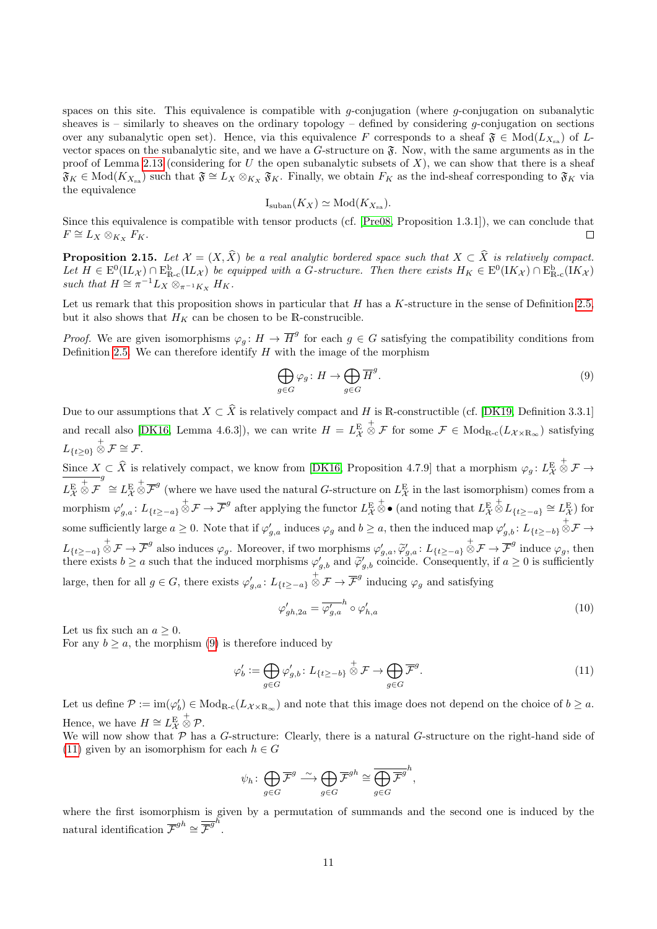spaces on this site. This equivalence is compatible with g-conjugation (where g-conjugation on subanalytic sheaves is – similarly to sheaves on the ordinary topology – defined by considering g-conjugation on sections over any subanalytic open set). Hence, via this equivalence F corresponds to a sheaf  $\mathfrak{F} \in Mod(L_{X_{sa}})$  of Lvector spaces on the subanalytic site, and we have a  $G$ -structure on  $\mathfrak{F}$ . Now, with the same arguments as in the proof of Lemma [2.13](#page-9-0) (considering for U the open subanalytic subsets of  $X$ ), we can show that there is a sheaf  $\mathfrak{F}_K \in Mod(K_{X_{sa}})$  such that  $\mathfrak{F} \cong L_X \otimes_{K_X} \mathfrak{F}_K$ . Finally, we obtain  $F_K$  as the ind-sheaf corresponding to  $\mathfrak{F}_K$  via the equivalence

$$
I_{\text{suban}}(K_X) \simeq \text{Mod}(K_{X_{\text{sa}}}).
$$

Since this equivalence is compatible with tensor products (cf. [\[Pre08,](#page-34-11) Proposition 1.3.1]), we can conclude that  $F \cong L_X \otimes_{K_X} F_K.$  $\Box$ 

<span id="page-10-3"></span>**Proposition 2.15.** Let  $\mathcal{X} = (X, X)$  be a real analytic bordered space such that  $X \subset X$  is relatively compact.<br>Let  $H \in E^0(\mathbf{L}_\mathcal{X}) \cap E^{\mathbf{b}}_{\mathbf{R}-\mathbf{c}}(\mathbf{L}_\mathcal{X})$  be equipped with a G-structure. Then there exist such that  $H \cong \pi^{-1} L_X \otimes_{\pi^{-1} K_X} H_K$ .

Let us remark that this proposition shows in particular that  $H$  has a  $K$ -structure in the sense of Definition [2.5,](#page-5-0) but it also shows that  $H_K$  can be chosen to be R-construcible.

*Proof.* We are given isomorphisms  $\varphi_g: H \to \overline{H}^g$  for each  $g \in G$  satisfying the compatibility conditions from Definition [2.5.](#page-5-0) We can therefore identify  $H$  with the image of the morphism

<span id="page-10-0"></span>
$$
\bigoplus_{g \in G} \varphi_g \colon H \to \bigoplus_{g \in G} \overline{H}^g. \tag{9}
$$

Due to our assumptions that  $X \subset \hat{X}$  is relatively compact and H is R-constructible (cf. [\[DK19,](#page-33-4) Definition 3.3.1] and recall also [\[DK16,](#page-33-3) Lemma 4.6.3]), we can write  $H = L^{\text{E}}_{\mathcal{X}}$  $\stackrel{+}{\otimes}$  *F* for some  $\mathcal{F} \in Mod_{\mathbb{R}\text{-}\mathrm{c}}(L_{\mathcal{X}\times\mathbb{R}_{\infty}})$  satisfying  $L_{\{t\geq0\}}\overset{+}{\otimes} \mathcal{F} \cong \mathcal{F}.$ 

Since  $X \subseteq \hat{X}$  is relatively compact, we know from [\[DK16,](#page-33-3) Proposition 4.7.9] that a morphism  $\varphi_g : L^E_X$  $\stackrel{+}{\otimes}$   ${\mathcal F}$   $\rightarrow$  $L^{\text{E}}_{\mathcal{X}}$ + ⊗ F <sup>g</sup> ≅  $L^{\text{E}}$  $\overline{\otimes} \overline{\mathcal{F}}^g$  (where we have used the natural G-structure on  $L^{\text{E}}_{\mathcal{X}}$  in the last isomorphism) comes from a morphism  $\varphi'_{g,a} : L_{\{t \ge -a\}} \overset{+}{\otimes} \mathcal{F} \to \overline{\mathcal{F}}^g$  after applying the functor  $L^{\mathrm{E}}_\mathcal{X}$  $\stackrel{+}{\otimes}$  • (and noting that  $L^{\text{E}}_{\mathcal{X}}$  $\overset{+}{\otimes} L_{\{t \geq -a\}} \cong L^{\mathcal{E}}_{\mathcal{X}}$ ) for some sufficiently large  $a \geq 0$ . Note that if  $\varphi'_{g,a}$  induces  $\varphi_g$  and  $b \geq a$ , then the induced map  $\varphi'_{g,b}$ :  $L_{\{t \geq -b\}} \overset{+}{\otimes} \mathcal{F} \to$  $L_{\{t\geq -a\}} \overset{+}{\otimes} \mathcal{F} \to \overline{\mathcal{F}}^g$  also induces  $\varphi_g$ . Moreover, if two morphisms  $\varphi'_{g,a}, \overset{\sim}{\varphi'_{g,a}}$ :  $L_{\{t\geq -a\}} \overset{+}{\otimes} \mathcal{F} \to \overline{\mathcal{F}}^g$  induce  $\varphi_g$ , then<br>there exists  $h > g$  such that the indu there exists  $b \ge a$  such that the induced morphisms  $\varphi'_{g,b}$  and  $\widetilde{\varphi}'_{g,b}$  coincide. Consequently, if  $a \ge 0$  is sufficiently large, then for all  $g \in G$ , there exists  $\varphi'_{g,a} : L_{\{t \ge -a\}} \overset{+}{\otimes} \mathcal{F} \to \overline{\mathcal{F}}^g$  inducing  $\varphi_g$  and satisfying

<span id="page-10-2"></span>
$$
\varphi'_{gh,2a} = \overline{\varphi'_{g,a}}^h \circ \varphi'_{h,a} \tag{10}
$$

Let us fix such an  $a \geq 0$ .

For any  $b \ge a$ , the morphism [\(9\)](#page-10-0) is therefore induced by

<span id="page-10-1"></span>
$$
\varphi'_b := \bigoplus_{g \in G} \varphi'_{g,b} \colon L_{\{t \ge -b\}} \stackrel{+}{\otimes} \mathcal{F} \to \bigoplus_{g \in G} \overline{\mathcal{F}}^g. \tag{11}
$$

Let us define  $\mathcal{P} := \text{im}(\varphi_b') \in \text{Mod}_{\mathbb{R}\text{-c}}(L_{\mathcal{X}\times\mathbb{R}_{\infty}})$  and note that this image does not depend on the choice of  $b \ge a$ . Hence, we have  $H \cong L^{\mathcal{E}}_{\mathcal{X}}$  $_{\otimes}^+$   $_{\mathcal{P}.}^+$ 

We will now show that  $P$  has a G-structure: Clearly, there is a natural G-structure on the right-hand side of [\(11\)](#page-10-1) given by an isomorphism for each  $h \in G$ 

$$
\psi_h \colon \bigoplus_{g \in G} \overline{\mathcal{F}}^g \stackrel{\sim}{\longrightarrow} \bigoplus_{g \in G} \overline{\mathcal{F}}^{gh} \cong \overline{\bigoplus_{g \in G} \overline{\mathcal{F}}^g}^h,
$$

where the first isomorphism is given by a permutation of summands and the second one is induced by the natural identification  $\overline{\mathcal{F}}^{gh} \cong \overline{\mathcal{F}}^{gh}$ .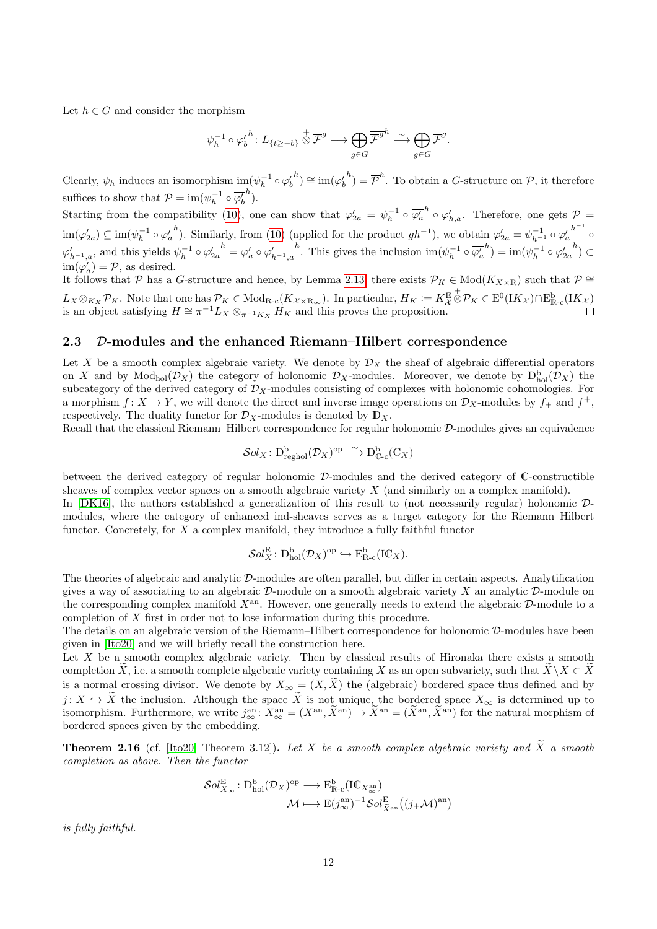Let  $h \in G$  and consider the morphism

$$
\psi_h^{-1} \circ \overline{\varphi_b'}^h \colon L_{\{t \ge -b\}} \overset{+}{\otimes} \overline{\mathcal{F}}^g \longrightarrow \bigoplus_{g \in G} \overline{\overline{\mathcal{F}}^g}^h \overset{\sim}{\longrightarrow} \bigoplus_{g \in G} \overline{\mathcal{F}}^g.
$$

Clearly,  $\psi_h$  induces an isomorphism  $\text{im}(\psi_h^{-1} \circ \overline{\varphi'_b})$  $\lambda^{h}$ )  $\cong \mathrm{im}(\overline{\varphi_{b}^{\prime}})$  $\overline{\mathcal{P}}^h$ ) =  $\overline{\mathcal{P}}^h$ . To obtain a *G*-structure on  $\mathcal{P}$ , it therefore suffices to show that  $P = \text{im}(\psi_h^{-1} \circ \overline{\varphi'_b})$  $\bigg.{}^h$ ).

Starting from the compatibility [\(10\)](#page-10-2), one can show that  $\varphi'_{2a} = \psi_h^{-1} \circ \overline{\varphi'_a}$  $h^h \circ \varphi'_{h,a}$ . Therefore, one gets  $\mathcal{P} =$  $\operatorname{im}(\varphi_{2a}') \subseteq \operatorname{im}(\psi_h^{-1} \circ \overline{\varphi_a'})$ <sup>h</sup>). Similarly, from [\(10\)](#page-10-2) (applied for the product  $gh^{-1}$ ), we obtain  $\varphi'_{2a} = \psi_{h^{-1}}^{-1} \circ \overline{\varphi'_a}$  $h^{-1}$  $\varphi'_{h^{-1},a}$ , and this yields  $\psi_h^{-1} \circ \overline{\varphi'_{2a}}$  $\mathbf{h}^h = \varphi_a^\prime \circ \overline{\varphi^\prime_{h^{-1},a}}$ <sup>h</sup>. This gives the inclusion  $\text{im}(\psi_h^{-1} \circ \overline{\varphi_a'}$  $\bar{h}$ ) = im $(\psi_h^{-1} \circ \overline{\varphi'_{2a}})$  $\binom{h}{\cdot} \subset$  $\text{im}(\varphi'_a) = \mathcal{P}$ , as desired.

It follows that P has a G-structure and hence, by Lemma [2.13,](#page-9-0) there exists  $\mathcal{P}_K \in Mod(K_{X\times \mathbb{R}})$  such that  $\mathcal{P} \cong$  $L_X \otimes_{K_X} \mathcal{P}_K$ . Note that one has  $\mathcal{P}_K \in Mod_{\mathbb{R}^{-c}}(K_{\mathcal{X} \times \mathbb{R}_{\infty}})$ . In particular,  $H_K := K_{\mathcal{X}}^E$  $\overset{+}{\otimes}\mathcal{P}_K\in \mathrm{E}^0(\mathrm{I} K_\mathcal{X})\cap \mathrm{E}^\mathrm{b}_{\mathbb{R}\text{-}\mathrm{c}}(\mathrm{I} K_\mathcal{X})$ is an object satisfying  $H \cong \pi^{-1} L_X \otimes_{\pi^{-1} K_X} H_K$  and this proves the proposition.

#### <span id="page-11-0"></span>2.3 D-modules and the enhanced Riemann–Hilbert correspondence

Let X be a smooth complex algebraic variety. We denote by  $\mathcal{D}_X$  the sheaf of algebraic differential operators on X and by  $Mod_{hol}(\mathcal{D}_X)$  the category of holonomic  $\mathcal{D}_X$ -modules. Moreover, we denote by  $D_{hol}^b(\mathcal{D}_X)$  the subcategory of the derived category of  $\mathcal{D}_X$ -modules consisting of complexes with holonomic cohomologies. For a morphism  $f: X \to Y$ , we will denote the direct and inverse image operations on  $\mathcal{D}_X$ -modules by  $f_+$  and  $f^+$ , respectively. The duality functor for  $\mathcal{D}_X$ -modules is denoted by  $\mathbb{D}_X$ .

Recall that the classical Riemann–Hilbert correspondence for regular holonomic  $D$ -modules gives an equivalence

$$
\mathcal{S}ol_X\colon \mathrm{D}^\mathrm{b}_{\mathrm{reghol}}(\mathcal{D}_X)^\mathrm{op}\stackrel{\sim}{\longrightarrow} \mathrm{D}^\mathrm{b}_{\mathbb{C}\text{-}\mathrm{c}}(\mathbb{C}_X)
$$

between the derived category of regular holonomic D-modules and the derived category of C-constructible sheaves of complex vector spaces on a smooth algebraic variety  $X$  (and similarly on a complex manifold).

In [\[DK16\]](#page-33-3), the authors established a generalization of this result to (not necessarily regular) holonomic Dmodules, where the category of enhanced ind-sheaves serves as a target category for the Riemann–Hilbert functor. Concretely, for X a complex manifold, they introduce a fully faithful functor

$$
\mathcal{S}ol_X^{\mathrm{E}}\colon \mathrm{D}_{\mathrm{hol}}^{\mathrm{b}}(\mathcal{D}_X)^{\mathrm{op}}\hookrightarrow \mathrm{E}_{\mathrm{R-c}}^{\mathrm{b}}(\mathrm{IC}_X).
$$

The theories of algebraic and analytic D-modules are often parallel, but differ in certain aspects. Analytification gives a way of associating to an algebraic  $\mathcal D$ -module on a smooth algebraic variety X an analytic  $\mathcal D$ -module on the corresponding complex manifold  $X^{an}$ . However, one generally needs to extend the algebraic  $\mathcal{D}$ -module to a completion of X first in order not to lose information during this procedure.

The details on an algebraic version of the Riemann–Hilbert correspondence for holonomic D-modules have been given in [\[Ito20\]](#page-34-12) and we will briefly recall the construction here.

Let  $X$  be a smooth complex algebraic variety. Then by classical results of Hironaka there exists a smooth completion X, i.e. a smooth complete algebraic variety containing X as an open subvariety, such that  $\widetilde{X}\setminus X\subset \widetilde{X}$ is a normal crossing divisor. We denote by  $X_{\infty} = (X, X)$  the (algebraic) bordered space thus defined and by  $j: X \hookrightarrow X$  the inclusion. Although the space X is not unique, the bordered space  $X_{\infty}$  is determined up to isomorphism. Furthermore, we write  $j_{\infty}^{\text{an}}: X_{\infty}^{\text{an}} = (X^{\text{an}}, \tilde{X}^{\text{an}}) \to \tilde{X}^{\text{an}} = (\tilde{X}^{\text{an}}, \til$ bordered spaces given by the embedding.

**Theorem 2.16** (cf. [\[Ito20,](#page-34-12) Theorem 3.12]). Let X be a smooth complex algebraic variety and  $\widetilde{X}$  a smooth completion as above. Then the functor

$$
\mathcal{S}ol_{X_{\infty}}^{E}: \mathcal{D}_{hol}^{b}(\mathcal{D}_{X})^{op} \longrightarrow \mathcal{E}_{\mathbb{R}\text{-}c}^{b}(\mathbb{IC}_{X_{\infty}^{\text{an}}})
$$

$$
\mathcal{M} \longmapsto \mathcal{E}(j_{\infty}^{\text{an}})^{-1} \mathcal{S}ol_{\widetilde{X}^{\text{an}}}^{E}((j_{+}\mathcal{M})^{\text{an}})
$$

is fully faithful.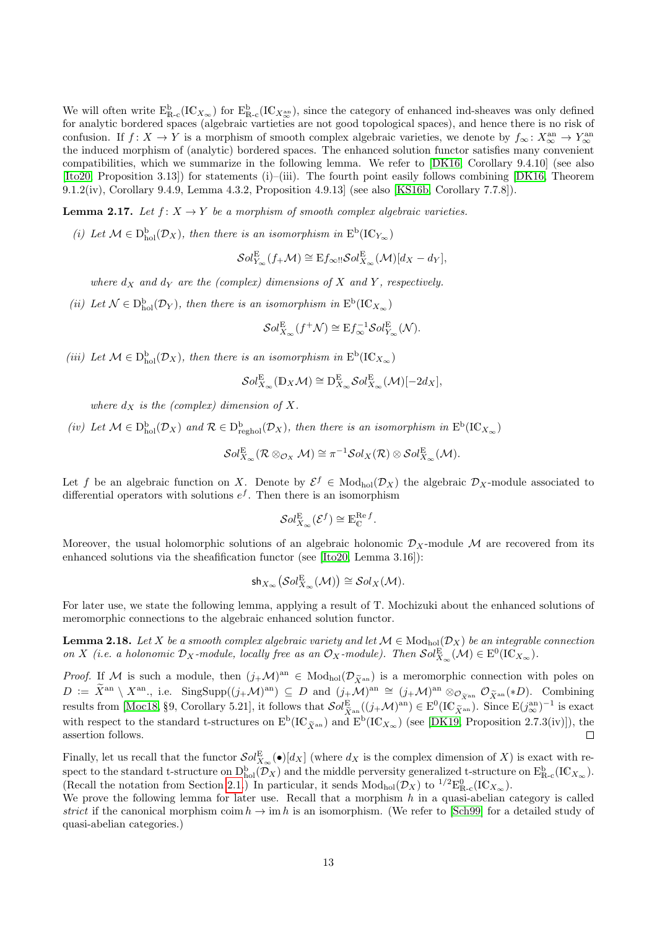We will often write  $E_{\text{R-c}}^{\text{b}}(IC_{X_{\infty}})$  for  $E_{\text{R-c}}^{\text{b}}(IC_{X_{\infty}})$ , since the category of enhanced ind-sheaves was only defined for analytic bordered spaces (algebraic vartieties are not good topological spaces), and hence there is no risk of confusion. If  $f: X \to Y$  is a morphism of smooth complex algebraic varieties, we denote by  $f_{\infty}: X_{\infty}^{\text{an}} \to Y_{\infty}^{\text{an}}$ the induced morphism of (analytic) bordered spaces. The enhanced solution functor satisfies many convenient compatibilities, which we summarize in the following lemma. We refer to [\[DK16,](#page-33-3) Corollary 9.4.10] (see also [\[Ito20,](#page-34-12) Proposition 3.13]) for statements (i)–(iii). The fourth point easily follows combining [\[DK16,](#page-33-3) Theorem 9.1.2(iv), Corollary 9.4.9, Lemma 4.3.2, Proposition 4.9.13] (see also [\[KS16b,](#page-34-13) Corollary 7.7.8]).

<span id="page-12-1"></span>**Lemma 2.17.** Let  $f: X \to Y$  be a morphism of smooth complex algebraic varieties.

(i) Let  $\mathcal{M} \in D_{hol}^b(\mathcal{D}_X)$ , then there is an isomorphism in  $E^b(\mathrm{IC}_{Y_\infty})$ 

 $\mathcal{S}ol_{Y_{\infty}}^{\mathcal{E}}(f_{+}\mathcal{M})\cong \mathrm{E}f_{\infty}$ !! $\mathcal{S}ol_{X_{\infty}}^{\mathcal{E}}(\mathcal{M})[d_{X}-d_{Y}],$ 

where  $d_X$  and  $d_Y$  are the (complex) dimensions of X and Y, respectively.

(ii) Let  $\mathcal{N} \in D_{hol}^b(\mathcal{D}_Y)$ , then there is an isomorphism in  $E^b(\mathrm{IC}_{X_\infty})$ 

 $\mathcal{S}ol_{X_{\infty}}^{\mathcal{E}}(f^+\mathcal{N}) \cong \mathrm{E}f_{\infty}^{-1}\mathcal{S}ol_{Y_{\infty}}^{\mathcal{E}}(\mathcal{N}).$ 

(iii) Let  $\mathcal{M} \in D_{hol}^{b}(\mathcal{D}_{X})$ , then there is an isomorphism in  $E^{b}(\mathrm{IC}_{X_{\infty}})$ 

$$
\mathcal{S}ol_{X_{\infty}}^{\mathcal{E}}(\mathbb{D}_X\mathcal{M})\cong \mathcal{D}_{X_{\infty}}^{\mathcal{E}}\mathcal{S}ol_{X_{\infty}}^{\mathcal{E}}(\mathcal{M})[-2d_X],
$$

where  $d_X$  is the (complex) dimension of X.

(iv) Let  $\mathcal{M} \in D_{hol}^b(\mathcal{D}_X)$  and  $\mathcal{R} \in D_{reghol}^b(\mathcal{D}_X)$ , then there is an isomorphism in  $E^b(\mathrm{IC}_{X_\infty})$ 

$$
\mathcal{S}ol_{X_\infty}^E(\mathcal{R}\otimes_{\mathcal{O}_X}\mathcal{M})\cong \pi^{-1}\mathcal{S}ol_X(\mathcal{R})\otimes\mathcal{S}ol_{X_\infty}^E(\mathcal{M}).
$$

Let f be an algebraic function on X. Denote by  $\mathcal{E}^f \in Mod_{hol}(\mathcal{D}_X)$  the algebraic  $\mathcal{D}_X$ -module associated to differential operators with solutions  $e^f$ . Then there is an isomorphism

$$
\mathcal{S}ol_{X_{\infty}}^{\mathcal{E}}(\mathcal{E}^f) \cong \mathbb{E}_{\mathbb{C}}^{\mathcal{R}ef}.
$$

Moreover, the usual holomorphic solutions of an algebraic holonomic  $\mathcal{D}_X$ -module M are recovered from its enhanced solutions via the sheafification functor (see [\[Ito20,](#page-34-12) Lemma 3.16]):

$$
\mathsf{sh}_{X_\infty}\big(\mathcal{S}ol^\mathcal{E}_{X_\infty}(\mathcal{M})\big)\cong\mathcal{S}ol_X(\mathcal{M}).
$$

For later use, we state the following lemma, applying a result of T. Mochizuki about the enhanced solutions of meromorphic connections to the algebraic enhanced solution functor.

<span id="page-12-0"></span>**Lemma 2.18.** Let X be a smooth complex algebraic variety and let  $\mathcal{M} \in Mod_{hol}(\mathcal{D}_X)$  be an integrable connection on X (i.e. a holonomic  $\mathcal{D}_X$ -module, locally free as an  $\mathcal{O}_X$ -module). Then  $\mathcal{S}ol_{X_\infty}^{\mathcal{E}}(\mathcal{M}) \in \mathrm{E}^0(\mathrm{IC}_{X_\infty})$ .

*Proof.* If M is such a module, then  $(j_+\mathcal{M})^{\text{an}} \in Mod_{hol}(\mathcal{D}_{\tilde{X}^{\text{an}}})$  is a meromorphic connection with poles on  $D := \widetilde{X}^{\rm an} \setminus X^{\rm an}$ , i.e. SingSupp $((j_+\mathcal{M})^{\rm an}) \subseteq D$  and  $(j_+\mathcal{M})^{\rm an} \cong (j_+\mathcal{M})^{\rm an} \otimes_{\mathcal{O}_{\widetilde{X}^{\rm an}}} \mathcal{O}_{\widetilde{X}^{\rm an}}(*D)$ . Combining results from [\[Moc18,](#page-34-14) §9, Corollary 5.21], it follows that  $\mathcal{S}ol_{\tilde{X}^{an}}^{E}((j+\mathcal{M})^{an}) \in E^{0}(\mathrm{IC}_{\tilde{X}^{an}})$ . Since  $E(j_{\alpha}^{an})^{-1}$  is exact with respect to the standard t-structures on  $E^b(\mathrm{IC}_{\tilde{X}^{an}})$  and  $E^b(\mathrm{IC}_{X_{\infty}})$  (see [\[DK19,](#page-33-4) Proposition 2.7.3(iv)]), the assertion follows.  $\Box$ 

Finally, let us recall that the functor  $\mathcal{S}ol_{X_\infty}^{\mathcal{E}}(\bullet)[d_X]$  (where  $d_X$  is the complex dimension of X) is exact with respect to the standard t-structure on  $D_{hol}^b(\tilde{\mathcal{D}}_X)$  and the middle perversity generalized t-structure on  $E_{R-c}^b(\mathrm{IC}_{X_\infty})$ . (Recall the notation from Section [2.1.](#page-1-1)) In particular, it sends  $Mod_{hol}(\mathcal{D}_X)$  to  $^{1/2}E_{\mathbb{R}-c}^0(IC_{X_\infty})$ .

We prove the following lemma for later use. Recall that a morphism  $h$  in a quasi-abelian category is called strict if the canonical morphism coim  $h \to \text{im } h$  is an isomorphism. (We refer to [\[Sch99\]](#page-35-6) for a detailed study of quasi-abelian categories.)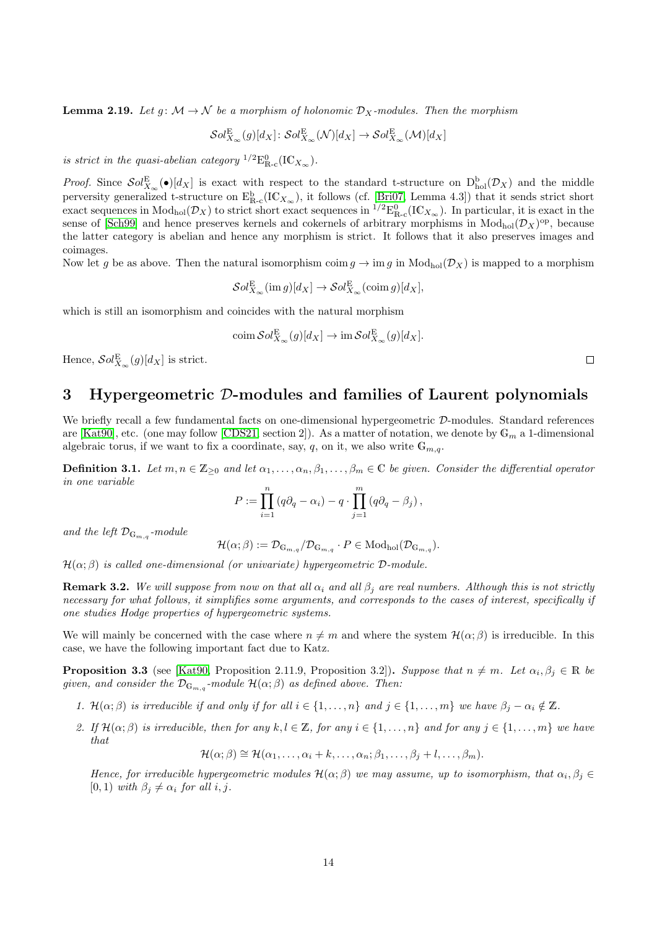<span id="page-13-2"></span>**Lemma 2.19.** Let  $q: \mathcal{M} \to \mathcal{N}$  be a morphism of holonomic  $\mathcal{D}_X$ -modules. Then the morphism

$$
\mathcal{S}ol_{X_{\infty}}^{\mathcal{E}}(g)[d_X]:\mathcal{S}ol_{X_{\infty}}^{\mathcal{E}}(\mathcal{N})[d_X]\to\mathcal{S}ol_{X_{\infty}}^{\mathcal{E}}(\mathcal{M})[d_X]
$$

is strict in the quasi-abelian category  ${}^{1/2}E_{\mathbb{R}\text{-c}}^0(\text{IC}_{X_\infty})$ .

*Proof.* Since  $\mathcal{S}ol_{X_\infty}^{\mathcal{E}}(\bullet)[d_X]$  is exact with respect to the standard t-structure on  $D_{hol}^b(\mathcal{D}_X)$  and the middle perversity generalized t-structure on  $E_{R-c}^b(IC_{X_\infty})$ , it follows (cf. [\[Bri07,](#page-33-8) Lemma 4.3]) that it sends strict short exact sequences in  $Mod_{hol}(\mathcal{D}_X)$  to strict short exact sequences in  $^{1/2}E_{R-c}^0(IC_{X_\infty})$ . In particular, it is exact in the sense of [\[Sch99\]](#page-35-6) and hence preserves kernels and cokernels of arbitrary morphisms in  $Mod_{hol}(\mathcal{D}_X)$ <sup>op</sup>, because the latter category is abelian and hence any morphism is strict. It follows that it also preserves images and coimages.

Now let q be as above. Then the natural isomorphism coim  $q \to \text{im } q$  in  $Mod_{hol}(\mathcal{D}_X)$  is mapped to a morphism

 $\mathcal{S}ol_{X_{\infty}}^{\mathcal{E}}(\operatorname{im} g)[d_X] \to \mathcal{S}ol_{X_{\infty}}^{\mathcal{E}}(\operatorname{coim} g)[d_X],$ 

which is still an isomorphism and coincides with the natural morphism

$$
\operatorname{coim} \mathcal{S}ol_{X_{\infty}}^{\mathcal{E}}(g)[d_X] \to \operatorname{im} \mathcal{S}ol_{X_{\infty}}^{\mathcal{E}}(g)[d_X].
$$

Hence,  $\mathcal{S}ol_{X_{\infty}}^{\mathcal{E}}(g)[d_X]$  is strict.

# <span id="page-13-0"></span>3 Hypergeometric D-modules and families of Laurent polynomials

We briefly recall a few fundamental facts on one-dimensional hypergeometric  $\mathcal{D}$ -modules. Standard references are [\[Kat90\]](#page-34-15), etc. (one may follow [\[CDS21,](#page-33-0) section 2]). As a matter of notation, we denote by  $\mathbb{G}_m$  a 1-dimensional algebraic torus, if we want to fix a coordinate, say, q, on it, we also write  $\mathbb{G}_{m,q}$ .

**Definition 3.1.** Let  $m, n \in \mathbb{Z}_{\geq 0}$  and let  $\alpha_1, \ldots, \alpha_n, \beta_1, \ldots, \beta_m \in \mathbb{C}$  be given. Consider the differential operator in one variable

$$
P := \prod_{i=1}^{n} (q\partial_q - \alpha_i) - q \cdot \prod_{j=1}^{m} (q\partial_q - \beta_j),
$$

and the left  $\mathcal{D}_{\mathbb{G}_{m,q}}$ -module

$$
\mathcal{H}(\alpha;\beta) := \mathcal{D}_{\mathbb{G}_{m,q}}/\mathcal{D}_{\mathbb{G}_{m,q}} \cdot P \in \mathrm{Mod}_{hol}(\mathcal{D}_{\mathbb{G}_{m,q}}).
$$

 $\mathcal{H}(\alpha;\beta)$  is called one-dimensional (or univariate) hypergeometric D-module.

**Remark 3.2.** We will suppose from now on that all  $\alpha_i$  and all  $\beta_j$  are real numbers. Although this is not strictly necessary for what follows, it simplifies some arguments, and corresponds to the cases of interest, specifically if one studies Hodge properties of hypergeometric systems.

We will mainly be concerned with the case where  $n \neq m$  and where the system  $\mathcal{H}(\alpha;\beta)$  is irreducible. In this case, we have the following important fact due to Katz.

<span id="page-13-1"></span>**Proposition 3.3** (see [\[Kat90,](#page-34-15) Proposition 2.11.9, Proposition 3.2]). Suppose that  $n \neq m$ . Let  $\alpha_i, \beta_j \in \mathbb{R}$  be given, and consider the  $\mathcal{D}_{\mathbb{G}_{m,q}}$ -module  $\mathcal{H}(\alpha;\beta)$  as defined above. Then:

- 1.  $\mathcal{H}(\alpha;\beta)$  is irreducible if and only if for all  $i \in \{1,\ldots,n\}$  and  $j \in \{1,\ldots,m\}$  we have  $\beta_i \alpha_i \notin \mathbb{Z}$ .
- 2. If  $\mathcal{H}(\alpha;\beta)$  is irreducible, then for any  $k, l \in \mathbb{Z}$ , for any  $i \in \{1,\ldots,n\}$  and for any  $j \in \{1,\ldots,m\}$  we have that

 $\mathcal{H}(\alpha;\beta) \cong \mathcal{H}(\alpha_1,\ldots,\alpha_i+k,\ldots,\alpha_n;\beta_1,\ldots,\beta_i+l,\ldots,\beta_m).$ 

Hence, for irreducible hypergeometric modules  $\mathcal{H}(\alpha;\beta)$  we may assume, up to isomorphism, that  $\alpha_i, \beta_j \in$ [0, 1) with  $\beta_j \neq \alpha_i$  for all i, j.

 $\Box$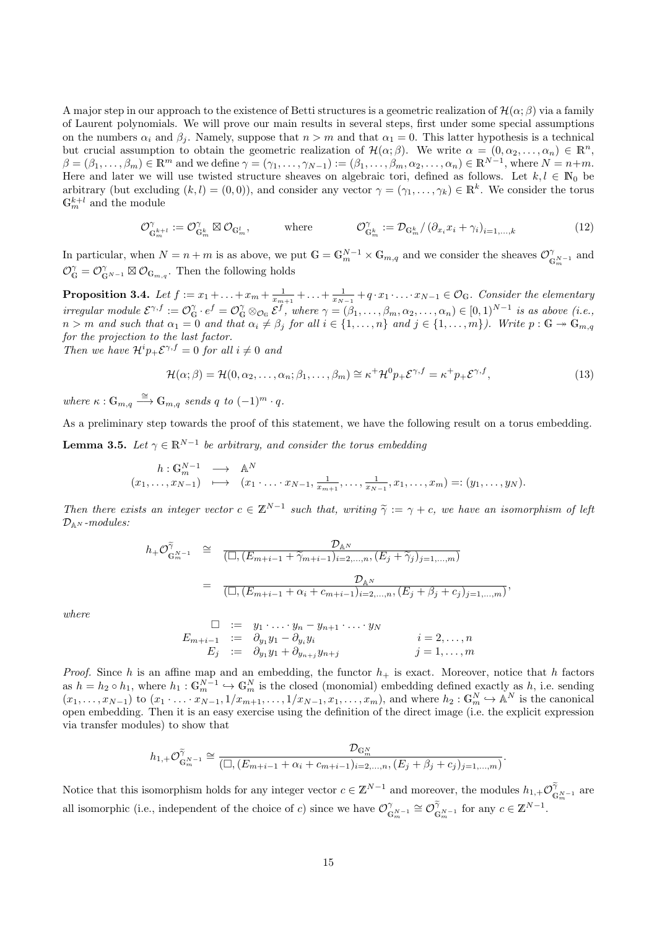A major step in our approach to the existence of Betti structures is a geometric realization of  $\mathcal{H}(\alpha;\beta)$  via a family of Laurent polynomials. We will prove our main results in several steps, first under some special assumptions on the numbers  $\alpha_i$  and  $\beta_j$ . Namely, suppose that  $n > m$  and that  $\alpha_1 = 0$ . This latter hypothesis is a technical but crucial assumption to obtain the geometric realization of  $\mathcal{H}(\alpha;\beta)$ . We write  $\alpha = (0,\alpha_2,\ldots,\alpha_n) \in \mathbb{R}^n$ ,  $\beta=(\beta_1,\ldots,\beta_m)\in\mathbb{R}^m$  and we define  $\gamma=(\gamma_1,\ldots,\gamma_{N-1}):=(\beta_1,\ldots,\beta_m,\alpha_2,\ldots,\alpha_n)\in\mathbb{R}^{N-1}$ , where  $N=n+m$ . Here and later we will use twisted structure sheaves on algebraic tori, defined as follows. Let  $k, l \in \mathbb{N}_0$  be arbitrary (but excluding  $(k, l) = (0, 0)$ ), and consider any vector  $\gamma = (\gamma_1, \dots, \gamma_k) \in \mathbb{R}^k$ . We consider the torus  $\mathbb{G}_m^{k+l}$  and the module

<span id="page-14-2"></span>
$$
\mathcal{O}_{\mathbb{G}_m^{k+l}}^{\gamma} := \mathcal{O}_{\mathbb{G}_m^k}^{\gamma} \boxtimes \mathcal{O}_{\mathbb{G}_m^l}, \qquad \text{where} \qquad \mathcal{O}_{\mathbb{G}_m^k}^{\gamma} := \mathcal{D}_{\mathbb{G}_m^k} / \left( \partial_{x_i} x_i + \gamma_i \right)_{i=1,\dots,k} \tag{12}
$$

In particular, when  $N = n + m$  is as above, we put  $\mathbb{G} = \mathbb{G}_m^{N-1} \times \mathbb{G}_{m,q}$  and we consider the sheaves  $\mathcal{O}_\mathbb{G}^N$  $\int_{\mathbb{G}_m^{N-1}}$  and  $\mathcal{O}_{\mathbb{G}}^{\gamma} = \mathcal{O}_{\mathbb{G}^{N-1}}^{\gamma} \boxtimes \mathcal{O}_{\mathbb{G}_{m,q}}$ . Then the following holds

<span id="page-14-0"></span>**Proposition 3.4.** Let  $f := x_1 + \ldots + x_m + \frac{1}{x_{m+1}} + \ldots + \frac{1}{x_{N-1}} + q \cdot x_1 \cdot \ldots \cdot x_{N-1} \in \mathcal{O}_{\mathbb{G}}$ . Consider the elementary irregular module  $\mathcal{E}^{\gamma,f} := \mathcal{O}_{\mathbb{G}}^{\gamma} \cdot e^f = \mathcal{O}_{\mathbb{G}}^{\gamma} \otimes_{\mathcal{O}_{\mathbb{G}}} \mathcal{E}^f$ , where  $\gamma = (\beta_1,\ldots,\beta_m,\alpha_2,\ldots,\alpha_n) \in [0,1)^{N-1}$  is as above (i.e.,  $n > m$  and such that  $\alpha_1 = 0$  and that  $\alpha_i \neq \beta_j$  for all  $i \in \{1, \ldots, n\}$  and  $j \in \{1, \ldots, m\}$ ). Write  $p : \mathbb{G} \to \mathbb{G}_{m,q}$ for the projection to the last factor. Then we have  $\mathcal{H}^i p_+ \mathcal{E}^{\gamma,f} = 0$  for all  $i \neq 0$  and

<span id="page-14-3"></span>
$$
\mathcal{H}(\alpha;\beta) = \mathcal{H}(0,\alpha_2,\ldots,\alpha_n;\beta_1,\ldots,\beta_m) \cong \kappa^+ \mathcal{H}^0 p_+ \mathcal{E}^{\gamma,f} = \kappa^+ p_+ \mathcal{E}^{\gamma,f},\tag{13}
$$

where  $\kappa: \mathbb{G}_{m,q} \stackrel{\cong}{\longrightarrow} \mathbb{G}_{m,q}$  sends q to  $(-1)^m \cdot q$ .

As a preliminary step towards the proof of this statement, we have the following result on a torus embedding.

<span id="page-14-1"></span>**Lemma 3.5.** Let  $\gamma \in \mathbb{R}^{N-1}$  be arbitrary, and consider the torus embedding

$$
\begin{array}{cccc}\nh: \mathbb{G}_{m}^{N-1} & \longrightarrow & \mathbb{A}^{N} \\
(x_{1}, \ldots, x_{N-1}) & \longmapsto & (x_{1} \cdot \ldots \cdot x_{N-1}, \frac{1}{x_{m+1}}, \ldots, \frac{1}{x_{N-1}}, x_{1}, \ldots, x_{m}) =: (y_{1}, \ldots, y_{N}).\n\end{array}
$$

Then there exists an integer vector  $c \in \mathbb{Z}^{N-1}$  such that, writing  $\tilde{\gamma} := \gamma + c$ , we have an isomorphism of left<br> $\mathcal{D}_{\mathbf{z}}$  is modular.  $\mathcal{D}_{\mathbb{A}^N}$ -modules:

$$
h_{+}\mathcal{O}_{\mathbb{G}_{m}^{N-1}}^{\tilde{\gamma}} \cong \frac{\mathcal{D}_{\mathbb{A}^{N}}}{(\Box,(E_{m+i-1}+\tilde{\gamma}_{m+i-1})_{i=2,...,n},(E_{j}+\tilde{\gamma}_{j})_{j=1,...,m})}
$$
  

$$
= \frac{\mathcal{D}_{\mathbb{A}^{N}}}{(\Box,(E_{m+i-1}+\alpha_{i}+c_{m+i-1})_{i=2,...,n},(E_{j}+\beta_{j}+c_{j})_{j=1,...,m})},
$$

where

$$
\square := y_1 \cdot \ldots \cdot y_n - y_{n+1} \cdot \ldots \cdot y_N
$$
\n
$$
E_{m+i-1} := \partial_{y_1} y_1 - \partial_{y_i} y_i
$$
\n
$$
i = 2, \ldots, n
$$
\n
$$
E_j := \partial_{y_1} y_1 + \partial_{y_{n+j}} y_{n+j}
$$
\n
$$
j = 1, \ldots, m
$$

*Proof.* Since h is an affine map and an embedding, the functor  $h_{+}$  is exact. Moreover, notice that h factors as  $h = h_2 \circ h_1$ , where  $h_1 : \mathbb{G}_m^{N-1} \hookrightarrow \mathbb{G}_m^N$  is the closed (monomial) embedding defined exactly as h, i.e. sending  $(x_1, \ldots, x_{N-1})$  to  $(x_1 \cdot \ldots \cdot x_{N-1}, 1/x_{m+1}, \ldots, 1/x_{N-1}, x_1, \ldots, x_m)$ , and where  $h_2 : \mathbb{G}_m^N \to \mathbb{A}^N$  is the canonical open embedding. Then it is an easy exercise using the definition of the direct image (i.e. the explicit expression via transfer modules) to show that

$$
h_{1,+}\mathcal{O}_{\mathbb{G}_{m}^{N-1}}^{\tilde{\gamma}}\cong \frac{\mathcal{D}_{\mathbb{G}_{m}^{N}}}{(\Box,(E_{m+i-1}+\alpha_{i}+c_{m+i-1})_{i=2,...,n},(E_{j}+\beta_{j}+c_{j})_{j=1,...,m})}.
$$

Notice that this isomorphism holds for any integer vector  $c \in \mathbb{Z}^{N-1}$  and moreover, the modules  $h_{1,+}\mathcal{O}_{\mathbb{G}_{m}^{N-1}}^{\tilde{\gamma}}$  are all isomorphic (i.e., independent of the choice of c) since we have  $\mathcal{O}_c^{\gamma}$  $\mathcal{O}_{\mathbb{G}_m^{N-1}}^{\gamma} \cong \mathcal{O}_{\mathbb{G}_m^{N-1}}^{\tilde{\gamma}}$  for any  $c \in \mathbb{Z}^{N-1}$ .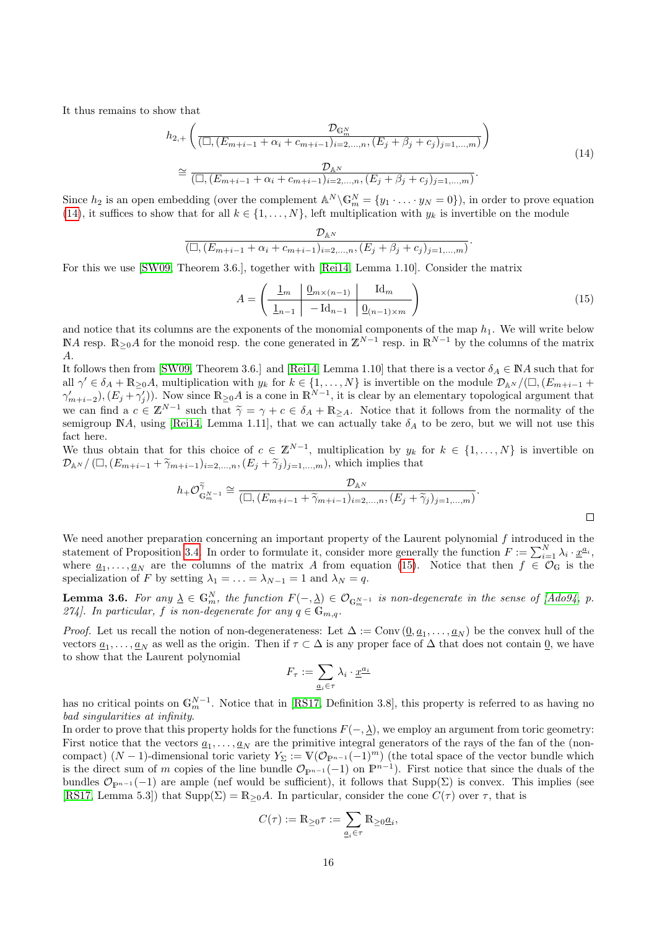It thus remains to show that

<span id="page-15-0"></span>
$$
h_{2,+}\left(\frac{\mathcal{D}_{\mathbb{G}_{m}^{N}}}{\left(\Box,(E_{m+i-1}+\alpha_{i}+c_{m+i-1})_{i=2,...,n},(E_{j}+\beta_{j}+c_{j})_{j=1,...,m}\right)}\right)
$$
  

$$
\cong \frac{\mathcal{D}_{\mathbb{A}^{N}}}{\left(\Box,(E_{m+i-1}+\alpha_{i}+c_{m+i-1})_{i=2,...,n},(E_{j}+\beta_{j}+c_{j})_{j=1,...,m}\right)}.
$$
 (14)

Since  $h_2$  is an open embedding (over the complement  $\mathbb{A}^N \backslash \mathbb{G}_m^N = \{y_1 \cdot \ldots \cdot y_N = 0\}$ ), in order to prove equation [\(14\)](#page-15-0), it suffices to show that for all  $k \in \{1, \ldots, N\}$ , left multiplication with  $y_k$  is invertible on the module

$$
\frac{\mathcal{D}_{\mathbb{A}^N}}{(\Box, (E_{m+i-1} + \alpha_i + c_{m+i-1})_{i=2,...,n}, (E_j + \beta_j + c_j)_{j=1,...,m})}.
$$

For this we use [\[SW09,](#page-35-3) Theorem 3.6.], together with [\[Rei14,](#page-34-6) Lemma 1.10]. Consider the matrix

<span id="page-15-1"></span>
$$
A = \left(\begin{array}{c|c} \frac{1}{m} & \frac{0}{m \times (n-1)} & \text{Id}_m \\ \hline \frac{1}{m-1} & -\text{Id}_{n-1} & \frac{0}{m-1 \times m} \end{array}\right) \tag{15}
$$

 $\Box$ 

and notice that its columns are the exponents of the monomial components of the map  $h_1$ . We will write below NA resp. R<sub>≥0</sub>A for the monoid resp. the cone generated in  $\mathbb{Z}^{N-1}$  resp. in R<sup>N-1</sup> by the columns of the matrix A.

It follows then from [\[SW09,](#page-35-3) Theorem 3.6.] and [\[Rei14,](#page-34-6) Lemma 1.10] that there is a vector  $\delta_A \in \mathbb{N}A$  such that for all  $\gamma' \in \delta_A + \mathbb{R}_{\geq 0}A$ , multiplication with  $y_k$  for  $k \in \{1, ..., N\}$  is invertible on the module  $\mathcal{D}_{\mathbb{A}^N}/(\square, (E_{m+i-1} +$  $(\gamma'_{m+i-2}), (E_j + \overline{\gamma}'_j)$ . Now since  $\mathbb{R}_{\geq 0}A$  is a cone in  $\mathbb{R}^{N-1}$ , it is clear by an elementary topological argument that we can find a  $c \in \mathbb{Z}^{N-1}$  such that  $\widetilde{\gamma} = \gamma + c \in \delta_A + \mathbb{R}_{\geq A}$ . Notice that it follows from the normality of the somigroup  $\mathbb{N}^A$ , using  $\text{Boi14}$ . Lomma 1.11, that we can actually take  $\delta_{\gamma}$  to be zero, semigroup NA, using [\[Rei14,](#page-34-6) Lemma 1.11], that we can actually take  $\delta_A$  to be zero, but we will not use this fact here.

We thus obtain that for this choice of  $c \in \mathbb{Z}^{N-1}$ , multiplication by  $y_k$  for  $k \in \{1, ..., N\}$  is invertible on  $\mathcal{D}_{\mathbb{A}^N}/(\Box, (E_{m+i-1} + \widetilde{\gamma}_{m+i-1})_{i=2,\dots,n}, (E_j + \widetilde{\gamma}_j)_{j=1,\dots,m}),$  which implies that

$$
h_+\mathcal{O}_{\mathbb{G}_m^{N-1}}^{\tilde{\gamma}}\cong \frac{\mathcal{D}_{\mathbb{A}^N}}{(\Box,(E_{m+i-1}+\tilde{\gamma}_{m+i-1})_{i=2,\ldots,n},(E_j+\tilde{\gamma}_j)_{j=1,\ldots,m})}.
$$

We need another preparation concerning an important property of the Laurent polynomial  $f$  introduced in the statement of Proposition [3.4.](#page-14-0) In order to formulate it, consider more generally the function  $F := \sum_{i=1}^{N} \lambda_i \cdot \underline{x}^{a_i}$ , where  $\underline{a}_1,\ldots,\underline{a}_N$  are the columns of the matrix A from equation [\(15\)](#page-15-1). Notice that then  $f \in \mathcal{O}_G$  is the specialization of F by setting  $\lambda_1 = \ldots = \lambda_{N-1} = 1$  and  $\lambda_N = q$ .

<span id="page-15-2"></span>**Lemma 3.6.** For any  $\underline{\lambda} \in \mathbb{G}_m^N$ , the function  $F(-, \underline{\lambda}) \in \mathcal{O}_{\mathbb{G}_m^{N-1}}$  is non-degenerate in the sense of [\[Ado94,](#page-33-9) p. 274]. In particular, f is non-degenerate for any  $q \in \mathbb{G}_{m,q}$ .

*Proof.* Let us recall the notion of non-degenerateness: Let  $\Delta := \text{Conv}(\underline{0}, \underline{a}_1, \dots, \underline{a}_N)$  be the convex hull of the vectors  $\underline{a}_1,\ldots,\underline{a}_N$  as well as the origin. Then if  $\tau\subset\Delta$  is any proper face of  $\Delta$  that does not contain  $\underline{0}$ , we have to show that the Laurent polynomial

$$
F_\tau := \sum_{\underline{a}_i \in \tau} \lambda_i \cdot \underline{x}^{\underline{a}_i}
$$

has no critical points on  $\mathbb{G}_m^{N-1}$ . Notice that in [\[RS17,](#page-35-0) Definition 3.8], this property is referred to as having no bad singularities at infinity.

In order to prove that this property holds for the functions  $F(-, \lambda)$ , we employ an argument from toric geometry: First notice that the vectors  $\underline{a}_1, \ldots, \underline{a}_N$  are the primitive integral generators of the rays of the fan of the (noncompact)  $(N-1)$ -dimensional toric variety  $Y_{\Sigma} := V(\mathcal{O}_{\mathbb{P}^{n-1}}(-1)^m)$  (the total space of the vector bundle which is the direct sum of m copies of the line bundle  $\mathcal{O}_{\mathbb{P}^{n-1}}(-1)$  on  $\mathbb{P}^{n-1}$ ). First notice that since the duals of the bundles  $\mathcal{O}_{p^{n-1}}(-1)$  are ample (nef would be sufficient), it follows that Supp( $\Sigma$ ) is convex. This implies (see [\[RS17,](#page-35-0) Lemma 5.3]) that  $\text{Supp}(\Sigma) = \mathbb{R}_{\geq 0}A$ . In particular, consider the cone  $C(\tau)$  over  $\tau$ , that is

$$
C(\tau) := \mathbb{R}_{\geq 0} \tau := \sum_{\underline{a}_i \in \tau} \mathbb{R}_{\geq 0} \underline{a}_i,
$$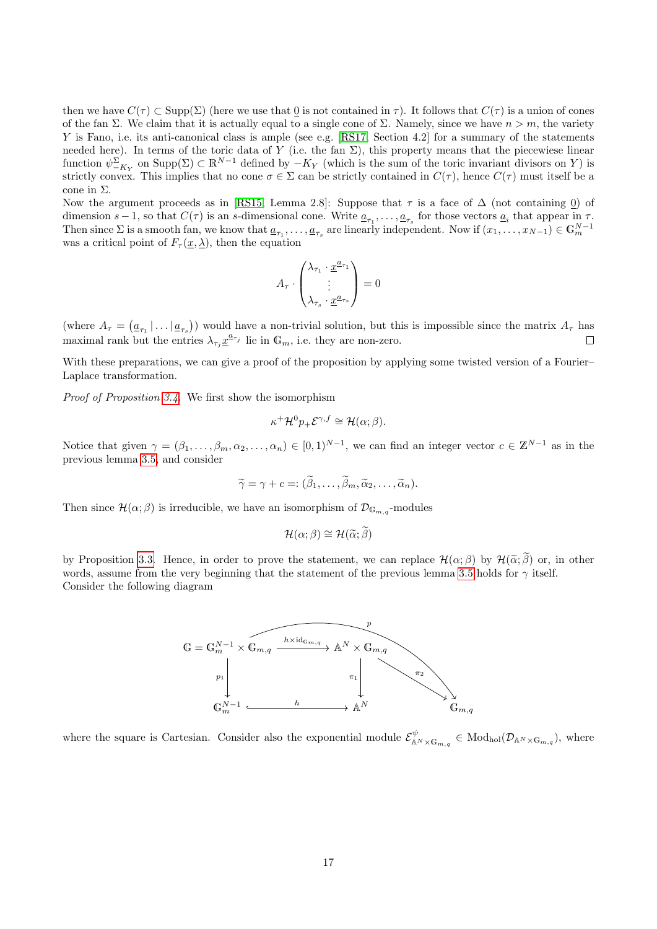then we have  $C(\tau) \subset \text{Supp}(\Sigma)$  (here we use that 0 is not contained in  $\tau$ ). It follows that  $C(\tau)$  is a union of cones of the fan Σ. We claim that it is actually equal to a single cone of Σ. Namely, since we have  $n > m$ , the variety Y is Fano, i.e. its anti-canonical class is ample (see e.g. [\[RS17,](#page-35-0) Section 4.2] for a summary of the statements needed here). In terms of the toric data of Y (i.e. the fan  $\Sigma$ ), this property means that the piecewiese linear function  $\psi_{-K_Y}^{\Sigma}$  on  $\text{Supp}(\Sigma) \subset \mathbb{R}^{N-1}$  defined by  $-K_Y$  (which is the sum of the toric invariant divisors on Y) is strictly convex. This implies that no cone  $\sigma \in \Sigma$  can be strictly contained in  $C(\tau)$ , hence  $C(\tau)$  must itself be a cone in Σ.

Now the argument proceeds as in [\[RS15,](#page-34-3) Lemma 2.8]: Suppose that  $\tau$  is a face of  $\Delta$  (not containing 0) of dimension  $s-1$ , so that  $C(\tau)$  is an s-dimensional cone. Write  $\underline{a}_{\tau_1}, \ldots, \underline{a}_{\tau_s}$  for those vectors  $\underline{a}_i$  that appear in  $\tau$ . Then since  $\Sigma$  is a smooth fan, we know that  $\underline{a}_{\tau_1}, \ldots, \underline{a}_{\tau_s}$  are linearly independent. Now if  $(x_1, \ldots, x_{N-1}) \in \mathbb{G}_m^{N-1}$ was a critical point of  $F_{\tau}(\underline{x}, \underline{\lambda})$ , then the equation

$$
A_{\tau} \cdot \begin{pmatrix} \lambda_{\tau_1} \cdot \underline{x}^{a_{\tau_1}} \\ \vdots \\ \lambda_{\tau_s} \cdot \underline{x}^{a_{\tau_s}} \end{pmatrix} = 0
$$

(where  $A_{\tau} = (\underline{a}_{\tau_1} | \dots | \underline{a}_{\tau_s})$ ) would have a non-trivial solution, but this is impossible since the matrix  $A_{\tau}$  has maximal rank but the entries  $\lambda_{\tau_j} \underline{x}^{a_{\tau_j}}$  lie in  $\mathbb{G}_m$ , i.e. they are non-zero.  $\Box$ 

With these preparations, we can give a proof of the proposition by applying some twisted version of a Fourier– Laplace transformation.

Proof of Proposition [3.4.](#page-14-0) We first show the isomorphism

$$
\kappa^+ \mathcal{H}^0 p_+ \mathcal{E}^{\gamma, f} \cong \mathcal{H}(\alpha; \beta).
$$

Notice that given  $\gamma = (\beta_1, \ldots, \beta_m, \alpha_2, \ldots, \alpha_n) \in [0, 1)^{N-1}$ , we can find an integer vector  $c \in \mathbb{Z}^{N-1}$  as in the previous lemma [3.5,](#page-14-1) and consider

$$
\widetilde{\gamma} = \gamma + c =: (\widetilde{\beta}_1, \ldots, \widetilde{\beta}_m, \widetilde{\alpha}_2, \ldots, \widetilde{\alpha}_n).
$$

Then since  $\mathcal{H}(\alpha;\beta)$  is irreducible, we have an isomorphism of  $\mathcal{D}_{\mathbb{G}_{m,q}}$ -modules

$$
\mathcal{H}(\alpha;\beta)\cong\mathcal{H}(\widetilde{\alpha};\widetilde{\beta})
$$

by Proposition [3.3.](#page-13-1) Hence, in order to prove the statement, we can replace  $\mathcal{H}(\alpha;\beta)$  by  $\mathcal{H}(\tilde{\alpha};\tilde{\beta})$  or, in other words, assume from the very beginning that the statement of the previous lemma [3.5](#page-14-1) holds for  $\gamma$  itself. Consider the following diagram



where the square is Cartesian. Consider also the exponential module  $\mathcal{E}_{A^{N}\times G_{m,q}}^{\psi} \in Mod_{hol}(\mathcal{D}_{A^{N}\times G_{m,q}})$ , where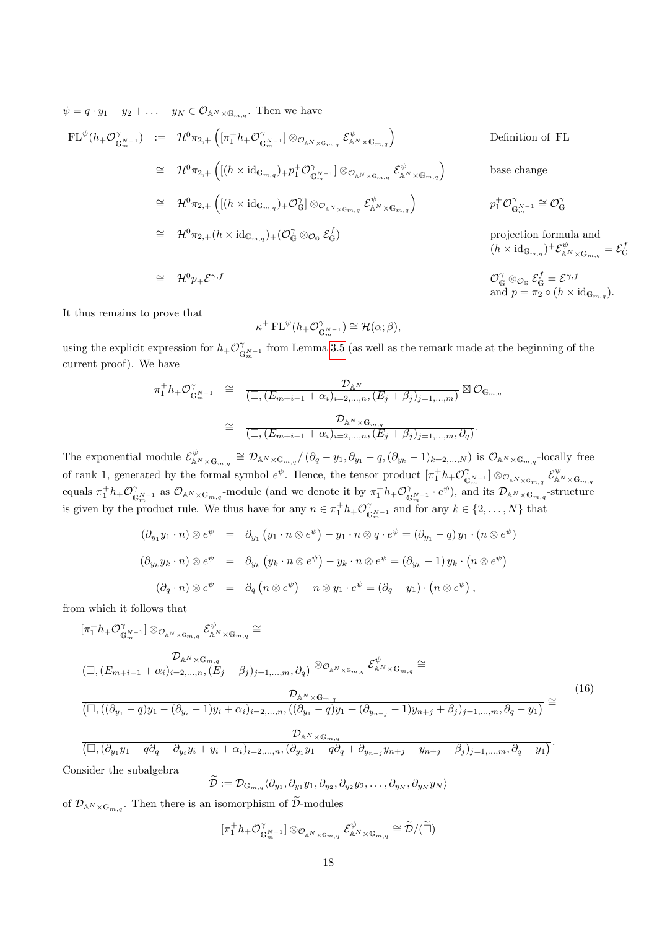$\psi = q \cdot y_1 + y_2 + \ldots + y_N \in \mathcal{O}_{\mathbb{A}^N \times \mathbb{G}_{m,q}}.$  Then we have

$$
\begin{array}{rcl}\n\text{FL}^{\psi}(h_{+}\mathcal{O}_{\mathbb{G}_{m}^{N-1}}^{\gamma}) & := & \mathcal{H}^{0}\pi_{2,+}\left([\pi_{1}^{+}h_{+}\mathcal{O}_{\mathbb{G}_{m}^{N-1}}^{\gamma}] \otimes_{\mathcal{O}_{\mathbb{A}^{N}\times\mathbb{G}_{m,q}}}\mathcal{E}_{\mathbb{A}^{N}\times\mathbb{G}_{m,q}}^{\psi}\right) \\
& \cong & \mathcal{H}^{0}\pi_{2,+}\left([(h\times \mathrm{id}_{\mathbb{G}_{m,q}})_{+}p_{1}^{+}\mathcal{O}_{\mathbb{G}_{m}^{N-1}}^{\gamma}] \otimes_{\mathcal{O}_{\mathbb{A}^{N}\times\mathbb{G}_{m,q}}}\mathcal{E}_{\mathbb{A}^{N}\times\mathbb{G}_{m,q}}^{\psi}\right) \\
& \cong & \mathcal{H}^{0}\pi_{2,+}\left([(h\times \mathrm{id}_{\mathbb{G}_{m,q}})_{+}\mathcal{O}_{\mathbb{G}}^{\gamma}] \otimes_{\mathcal{O}_{\mathbb{A}^{N}\times\mathbb{G}_{m,q}}}\mathcal{E}_{\mathbb{A}^{N}\times\mathbb{G}_{m,q}}^{\psi}\right) \\
& \cong & \mathcal{H}^{0}\pi_{2,+}(h\times \mathrm{id}_{\mathbb{G}_{m,q}})_{+}(\mathcal{O}_{\mathbb{G}}^{\gamma} \otimes_{\mathcal{O}_{\mathbb{G}}}\mathcal{E}_{\mathbb{G}}^{\ell}) \\
& \cong & \mathcal{H}^{0}\pi_{2,+}(h\times \mathrm{id}_{\mathbb{G}_{m,q}})_{+}(\mathcal{O}_{\mathbb{G}}^{\gamma} \otimes_{\mathcal{O}_{\mathbb{G}}}\mathcal{E}_{\mathbb{G}}^{\ell}) \\
& \cong & \mathcal{H}^{0}\pi_{2,+}(h\times \mathrm{id}_{\mathbb{G}_{m,q}})_{+}(\mathcal{O}_{\mathbb{G}}^{\gamma} \otimes_{\mathcal{O}_{\mathbb{G}}}\mathcal{E}_{\mathbb{G}}^{\ell}) \\
& \cong & \mathcal{H}^{0}\pi_{2,+}(h\times \mathrm{id}_{\mathbb{G}_{m,q}})_{+}(\mathcal{O}_{\mathbb{G}}^{\gamma} \otimes_{\mathcal{O}_{\mathbb{
$$

It thus remains to prove that

$$
\kappa^+ \operatorname{FL}^\psi(h_+ \mathcal{O}_{\mathbb{G}_m^{N-1}}^\gamma) \cong \mathcal{H}(\alpha;\beta),
$$

using the explicit expression for  $h_+\mathcal{O}_\epsilon^\gamma$  $\int_{\mathbb{G}_m^{N-1}}$  from Lemma [3.5](#page-14-1) (as well as the remark made at the beginning of the current proof). We have

$$
\pi_1^+ h_+ \mathcal{O}_{\mathbb{G}_m^{N-1}}^{\gamma} \cong \frac{\mathcal{D}_{\mathbb{A}^N}}{\left(\Box, (\overline{E}_{m+i-1} + \alpha_i)_{i=2,\dots,n}, (\overline{E}_j + \beta_j)_{j=1,\dots,m}\right)} \boxtimes \mathcal{O}_{\mathbb{G}_{m,q}}
$$

$$
\cong \frac{\mathcal{D}_{\mathbb{A}^N \times \mathbb{G}_{m,q}}}{\left(\Box, (\overline{E}_{m+i-1} + \alpha_i)_{i=2,\dots,n}, (\overline{E}_j + \beta_j)_{j=1,\dots,m}, \partial_q\right)}.
$$

The exponential module  $\mathcal{E}_{\mathbb{A}^N\times\mathbb{G}_{m,q}}^{\psi}\cong \mathcal{D}_{\mathbb{A}^N\times\mathbb{G}_{m,q}}/\left(\partial_q-y_1,\partial_{y_1}-q,(\partial_{y_k}-1)_{k=2,\dots,N}\right)$  is  $\mathcal{O}_{\mathbb{A}^N\times\mathbb{G}_{m,q}}$ -locally free of rank 1, generated by the formal symbol  $e^{\psi}$ . Hence, the tensor product  $[\pi_1^+ h_+ \mathcal{O}_\rho^{\gamma}]$  $[\mathbb{G}_{m}^{N-1}] \otimes_{\mathcal{O}_{\mathbb{A}^{N} \times \mathbb{G}_{m,q}}} \mathcal{E}_{\mathbb{A}^{N} \times \mathbb{G}_{m,q}}^{\psi}$ equals  $\pi_1^+ h_+ \mathcal{O}_0^{\gamma}$  $\int_{\mathbb{G}_m^{N-1}}^{\gamma}$  as  $\mathcal{O}_{\mathbb{A}^N \times \mathbb{G}_{m,q}}$ -module (and we denote it by  $\pi_1^+ h_+ \mathcal{O}_{\mathbb{G}}^{\gamma}$  $\mathbb{G}_{m}^{\gamma}$ <sub>G</sub><sub>*m*-1</sub> ·  $e^{\psi}$ ), and its  $\mathcal{D}_{\mathbb{A}^N \times \mathbb{G}_{m,q}}$ -structure is given by the product rule. We thus have for any  $n \in \pi_1^+ h_+ \mathcal{O}_\mathfrak{C}^\gamma$  $\mathbb{G}_{m}^{\gamma}$  and for any  $k \in \{2, \ldots, N\}$  that

$$
(\partial_{y_1} y_1 \cdot n) \otimes e^{\psi} = \partial_{y_1} (y_1 \cdot n \otimes e^{\psi}) - y_1 \cdot n \otimes q \cdot e^{\psi} = (\partial_{y_1} - q) y_1 \cdot (n \otimes e^{\psi})
$$
  

$$
(\partial_{y_k} y_k \cdot n) \otimes e^{\psi} = \partial_{y_k} (y_k \cdot n \otimes e^{\psi}) - y_k \cdot n \otimes e^{\psi} = (\partial_{y_k} - 1) y_k \cdot (n \otimes e^{\psi})
$$
  

$$
(\partial_q \cdot n) \otimes e^{\psi} = \partial_q (n \otimes e^{\psi}) - n \otimes y_1 \cdot e^{\psi} = (\partial_q - y_1) \cdot (n \otimes e^{\psi}),
$$

from which it follows that

<span id="page-17-0"></span>
$$
\begin{split}\n\left[\pi_{1}^{+}h_{+}\mathcal{O}_{\mathbb{G}_{m}^{N-1}}^{\gamma}\right]\otimes_{\mathcal{O}_{\mathbb{A}^{N}\times\mathbb{G}_{m,q}}}\mathcal{E}_{\mathbb{A}^{N}\times\mathbb{G}_{m,q}}^{\psi} &\cong \\
\frac{\mathcal{D}_{\mathbb{A}^{N}\times\mathbb{G}_{m,q}}}{\left(\Box,(E_{m+i-1}+\alpha_{i})_{i=2,\ldots,n},(E_{j}+\beta_{j})_{j=1,\ldots,m},\partial_{q}\right)}\otimes_{\mathcal{O}_{\mathbb{A}^{N}\times\mathbb{G}_{m,q}}}\mathcal{E}_{\mathbb{A}^{N}\times\mathbb{G}_{m,q}}^{\psi} &\cong \\
\frac{\mathcal{D}_{\mathbb{A}^{N}\times\mathbb{G}_{m,q}}}{\left(\Box,((\partial_{y_{1}}-q)y_{1}-(\partial_{y_{i}}-1)y_{i}+\alpha_{i})_{i=2,\ldots,n},((\partial_{y_{1}}-q)y_{1}+(\partial_{y_{n+j}}-1)y_{n+j}+\beta_{j})_{j=1,\ldots,m},\partial_{q}-y_{1}\right)} &\cong \\
\frac{\mathcal{D}_{\mathbb{A}^{N}\times\mathbb{G}_{m,q}}}{\left(\Box,(\partial_{y_{1}}y_{1}-q\partial_{q}-\partial_{y_{i}}y_{i}+y_{i}+\alpha_{i})_{i=2,\ldots,n},(\partial_{y_{1}}y_{1}-q\partial_{q}+\partial_{y_{n+j}}y_{n+j}-y_{n+j}+\beta_{j})_{j=1,\ldots,m},\partial_{q}-y_{1}\right)}.\n\end{split} \tag{16}
$$

Consider the subalgebra

$$
\widetilde{\mathcal{D}} := \mathcal{D}_{\mathbb{G}_{m,q}} \langle \partial_{y_1}, \partial_{y_1} y_1, \partial_{y_2}, \partial_{y_2} y_2, \dots, \partial_{y_N}, \partial_{y_N} y_N \rangle
$$

of  $\mathcal{D}_{\mathbb{A}^N\times\mathbb{G}_{m,q}}$ . Then there is an isomorphism of  $\mathcal{D}$ -modules

$$
[\pi_1^+ h_+ \mathcal{O}_{\mathbb{G}_m^{N-1}}^{\gamma}] \otimes_{\mathcal{O}_{\mathbb{A}^N \times \mathbb{G}_{m,q}}} \mathcal{E}_{\mathbb{A}^N \times \mathbb{G}_{m,q}}^{\psi} \cong \widetilde{\mathcal{D}}/(\widetilde{\Box})
$$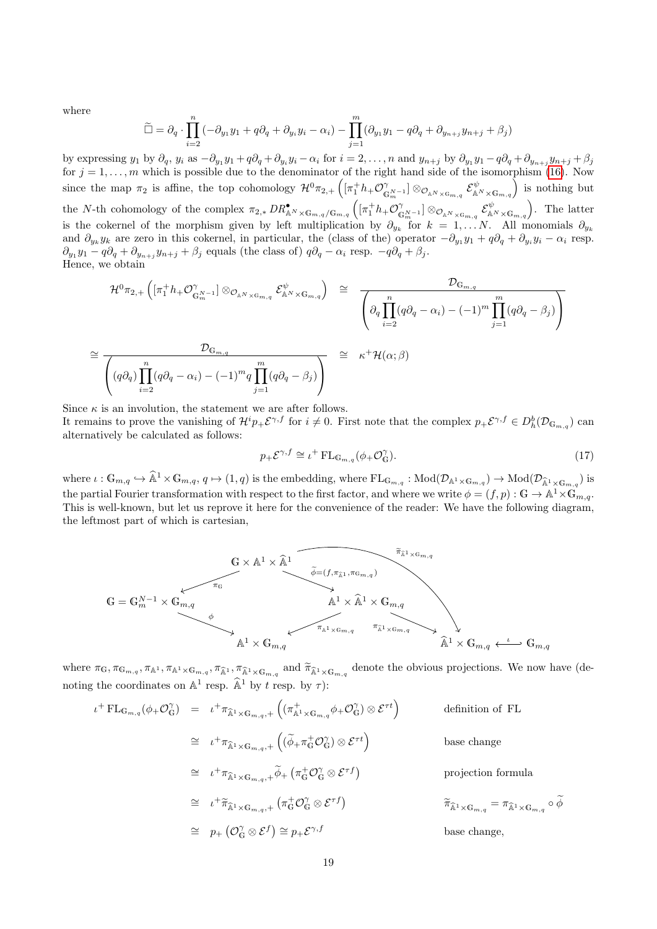where

<sup>∼</sup><sup>=</sup>

$$
\widetilde{\Box} = \partial_q \cdot \prod_{i=2}^n \left( -\partial_{y_1} y_1 + q \partial_q + \partial_{y_i} y_i - \alpha_i \right) - \prod_{j=1}^m (\partial_{y_1} y_1 - q \partial_q + \partial_{y_{n+j}} y_{n+j} + \beta_j)
$$

by expressing  $y_1$  by  $\partial_q$ ,  $y_i$  as  $-\partial_{y_1}y_1 + q\partial_q + \partial_{y_i}y_i - \alpha_i$  for  $i = 2, \ldots, n$  and  $y_{n+j}$  by  $\partial_{y_1}y_1 - q\partial_q + \partial_{y_{n+j}}y_{n+j} + \beta_j$ for  $j = 1, \ldots, m$  which is possible due to the denominator of the right hand side of the isomorphism [\(16\)](#page-17-0). Now since the map  $\pi_2$  is affine, the top cohomology  $\mathcal{H}^0 \pi_{2,+} \left( [\pi_1^+ h_+ \mathcal{O}_\mathfrak{C}^{\gamma_2} \right)$  $[\mathbb{G}_{\alpha}^{N-1}] \otimes_{\mathcal{O}_{\mathbb{A}^{N}}\times\mathbb{G}_{m,q}} \mathcal{E}_{\mathbb{A}^{N}\times\mathbb{G}_{m,q}}^{\psi}]$  is nothing but the N-th cohomology of the complex  $\pi_{2,*} DR_{\mathbb{A}^N\times\mathbb{G}_{m,q}/\mathbb{G}_{m,q}}^{\bullet} (\pi_1^+h_+\mathcal{O}_{\mathbb{C}^N}^{\circ})$  $\big\vert_{\mathbb{G}_m^{N-1}} \big\vert \otimes_{\mathcal{O}_{\mathbb{A}^N \times \mathbb{G}_{m,q}}} \mathcal{E}_{\mathbb{A}^N \times \mathbb{G}_{m,q}}^\psi \Big)$ . The latter is the cokernel of the morphism given by left multiplication by  $\partial_{y_k}$  for  $k = 1, \ldots N$ . All monomials  $\partial_{y_k}$ and  $\partial_{y_k} y_k$  are zero in this cokernel, in particular, the (class of the) operator  $-\partial_{y_1} y_1 + q \partial_q + \partial_{y_i} y_i - \alpha_i$  resp.  $\partial_{y_1} y_1 - q \partial_q + \partial_{y_{n+j}} y_{n+j} + \beta_j$  equals (the class of)  $q \partial_q - \alpha_i$  resp.  $-q \partial_q + \beta_j$ . Hence, we obtain

$$
\mathcal{H}^{0}\pi_{2,+}\left([\pi_{1}^{+}h_{+}\mathcal{O}_{\mathbb{G}_{m}^{N-1}}^{\gamma}] \otimes_{\mathcal{O}_{\mathbb{A}^{N}\times\mathbb{G}_{m,q}}} \mathcal{E}_{\mathbb{A}^{N}\times\mathbb{G}_{m,q}}^{\psi}\right) \cong \frac{\mathcal{D}_{\mathbb{G}_{m,q}}}{\left(\partial_{q}\prod_{i=2}^{n}(q\partial_{q}-\alpha_{i})-(-1)^{m}\prod_{j=1}^{m}(q\partial_{q}-\beta_{j})\right)}
$$
\n
$$
\mathcal{D}_{\mathbb{G}_{m,q}} \qquad \qquad \mathbb{D}_{\mathbb{G}_{m,q}} \qquad \qquad \mathbb{D}_{\mathbb{G}_{m,q}}
$$

$$
\left( (q\partial_q) \prod_{i=2}^n (q\partial_q - \alpha_i) - (-1)^m q \prod_{j=1}^m (q\partial_q - \beta_j) \right)
$$

Since  $\kappa$  is an involution, the statement we are after follows.

It remains to prove the vanishing of  $\mathcal{H}^i p_+ \mathcal{E}^{\gamma,f}$  for  $i \neq 0$ . First note that the complex  $p_+ \mathcal{E}^{\gamma,f} \in D_h^b(\mathcal{D}_{\mathbb{G}_{m,q}})$  can alternatively be calculated as follows:

<span id="page-18-0"></span>
$$
p_{+}\mathcal{E}^{\gamma,f} \cong \iota^{+}\operatorname{FL}_{\mathbb{G}_{m,q}}(\phi_{+}\mathcal{O}_{\mathbb{G}}^{\gamma}).\tag{17}
$$

where  $\iota: \mathbb{G}_{m,q} \hookrightarrow \hat{\mathbb{A}}^1 \times \mathbb{G}_{m,q}, q \mapsto (1,q)$  is the embedding, where  $FL_{\mathbb{G}_{m,q}}: Mod(\mathcal{D}_{\mathbb{A}^1 \times \mathbb{G}_{m,q}}) \to Mod(\mathcal{D}_{\hat{\mathbb{A}}^1 \times \mathbb{G}_{m,q}})$  is the partial Fourier transformation with respect to the first factor, and where we write  $\phi = (f, p) : \mathbb{G} \to \mathbb{A}^1 \times \mathbb{G}_{m,q}$ . This is well-known, but let us reprove it here for the convenience of the reader: We have the following diagram, the leftmost part of which is cartesian,



where  $\pi_{\mathbb{G}}, \pi_{\mathbb{G}_{m,q}}, \pi_{\mathbb{A}^1}, \pi_{\mathbb{A}^1} \times \mathbb{G}_{m,q}$ ,  $\pi_{\mathbb{A}^1} \times \mathbb{G}_{m,q}$  and  $\widetilde{\pi}_{\mathbb{A}^1} \times \mathbb{G}_{m,q}$  denote the obvious projections. We now have (denoting the coordinates on  $\mathbb{A}^1$  resp.  $\widehat{\mathbb{A}}^1$  by t resp. by  $\tau$ ):

$$
\iota^{+} \operatorname{FL}_{\mathbb{G}_{m,q}}(\phi_{+}\mathcal{O}_{\mathbb{G}}^{\gamma}) = \iota^{+}\pi_{\widehat{\mathbb{A}}^{1}\times\mathbb{G}_{m,q},+} \left( (\pi_{\mathbb{A}^{1}\times\mathbb{G}_{m,q}}^{+}\phi_{+}\mathcal{O}_{\mathbb{G}}^{\gamma}) \otimes \mathcal{E}^{\tau t} \right) \qquad \text{definition of FL}
$$
\n
$$
\cong \iota^{+}\pi_{\widehat{\mathbb{A}}^{1}\times\mathbb{G}_{m,q},+} \left( (\widetilde{\phi}_{+}\pi_{\mathbb{G}}^{+}\mathcal{O}_{\mathbb{G}}^{\gamma}) \otimes \mathcal{E}^{\tau t} \right) \qquad \text{base change}
$$
\n
$$
\cong \iota^{+}\pi_{\widehat{\mathbb{A}}^{1}\times\mathbb{G}_{m,q},+} \widetilde{\phi}_{+} \left( \pi_{\mathbb{G}}^{+}\mathcal{O}_{\mathbb{G}}^{\gamma} \otimes \mathcal{E}^{\tau f} \right) \qquad \text{projection formula}
$$
\n
$$
\cong \iota^{+}\widetilde{\pi}_{\widehat{\mathbb{A}}^{1}\times\mathbb{G}_{m,q},+} \left( \pi_{\mathbb{G}}^{+}\mathcal{O}_{\mathbb{G}}^{\gamma} \otimes \mathcal{E}^{\tau f} \right) \qquad \qquad \widetilde{\pi}_{\widehat{\mathbb{A}}^{1}\times\mathbb{G}_{m,q}} = \pi_{\widehat{\mathbb{A}}^{1}\times\mathbb{G}_{m,q}} \circ \widetilde{\phi}
$$
\n
$$
\cong p_{+} \left( \mathcal{O}_{\mathbb{G}}^{\gamma} \otimes \mathcal{E}^f \right) \cong p_{+} \mathcal{E}^{\gamma,f} \qquad \qquad \text{base change},
$$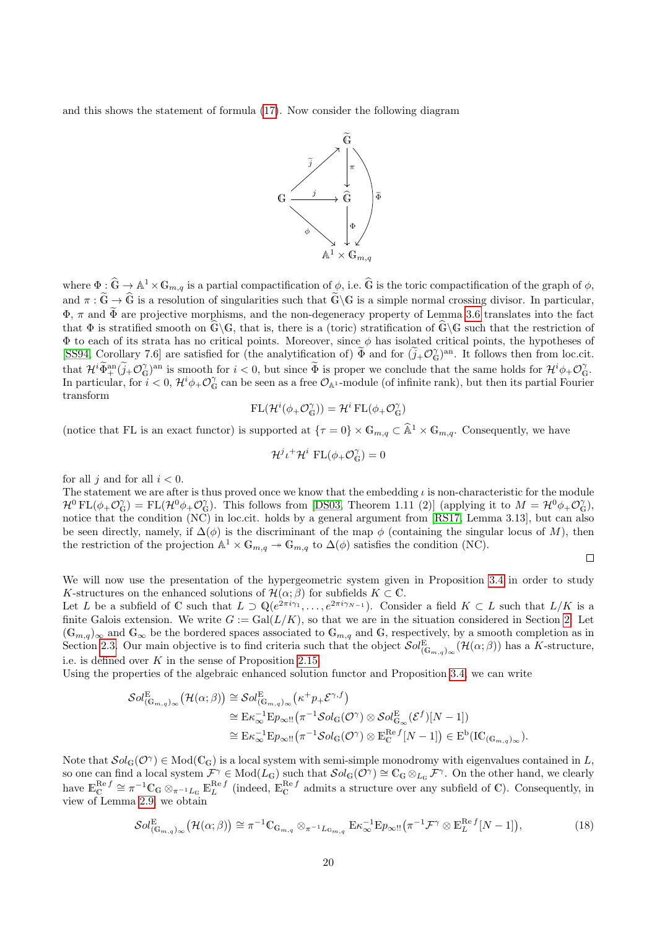and this shows the statement of formula [\(17\)](#page-18-0). Now consider the following diagram



where  $\Phi : \widehat{\mathbb{G}} \to \mathbb{A}^1 \times \mathbb{G}_{m,q}$  is a partial compactification of  $\phi$ , i.e.  $\widehat{\mathbb{G}}$  is the toric compactification of the graph of  $\phi$ , and  $\pi : \tilde{\mathbb{G}} \to \hat{\mathbb{G}}$  is a resolution of singularities such that  $\tilde{\mathbb{G}}\backslash\mathbb{G}$  is a simple normal crossing divisor. In particular,  $\Phi$ ,  $\pi$  and  $\widetilde{\Phi}$  are projective morphisms, and the non-degeneracy property of Lemma [3.6](#page-15-2) translates into the fact that  $\Phi$  is stratified smooth on  $\widehat{\mathbb{G}}\backslash\mathbb{G}$ , that is, there is a (toric) stratification of  $\widehat{\mathbb{G}}\backslash\mathbb{G}$  such that the restriction of  $\Phi$  to each of its strata has no critical points. Moreover, since  $\phi$  has isolated critical points, the hypotheses of [\[SS94,](#page-35-7) Corollary 7.6] are satisfied for (the analytification of)  $\widetilde{\Phi}$  and for  $(\widetilde{j}_{+}\mathcal{O}_{\mathbb{G}}^{\gamma})^{\text{an}}$ . It follows then from loc.cit. that  $\mathcal{H}^i \widetilde{\Phi}^{\text{an}}_{+}(\widetilde{j}_+ \mathcal{O}_\mathbb{G}^\gamma)^{\text{an}}$  is smooth for  $i < 0$ , but since  $\widetilde{\Phi}$  is proper we conclude that the same holds for  $\mathcal{H}^i \phi_+ \mathcal{O}_\mathbb{G}^\gamma$ . In particular, for  $i < 0$ ,  $\mathcal{H}^i\phi_+ \mathcal{O}_G^{\gamma}$  can be seen as a free  $\mathcal{O}_{\mathbb{A}^1}$ -module (of infinite rank), but then its partial Fourier transform

$$
\mathrm{FL}(\mathcal{H}^i(\phi_+\mathcal{O}_\mathbb{G}^\gamma))=\mathcal{H}^i\,\mathrm{FL}(\phi_+\mathcal{O}_\mathbb{G}^\gamma)
$$

(notice that FL is an exact functor) is supported at  $\{\tau = 0\} \times \mathbb{G}_{m,q} \subset \hat{\mathbb{A}}^1 \times \mathbb{G}_{m,q}$ . Consequently, we have

$$
\mathcal{H}^{j} \iota^{+} \mathcal{H}^{i} \operatorname{FL}(\phi_{+} \mathcal{O}_{\mathbb{G}}^{\gamma}) = 0
$$

for all i and for all  $i < 0$ .

The statement we are after is thus proved once we know that the embedding  $\iota$  is non-characteristic for the module  $\mathcal{H}^0 \text{ FL}(\phi_+ \mathcal{O}_{\mathbb{G}}^{\gamma}) = \text{FL}(\mathcal{H}^0 \phi_+ \mathcal{O}_{\mathbb{G}}^{\gamma}).$  This follows from [\[DS03,](#page-33-10) Theorem 1.11 (2)] (applying it to  $M = \mathcal{H}^0 \phi_+ \mathcal{O}_{\mathbb{G}}^{\gamma}$ ), notice that the condition (NC) in loc.cit. holds by a general argument from [\[RS17,](#page-35-0) Lemma 3.13], but can also be seen directly, namely, if  $\Delta(\phi)$  is the discriminant of the map  $\phi$  (containing the singular locus of M), then the restriction of the projection  $\mathbb{A}^1 \times \mathbb{G}_{m,q} \to \mathbb{G}_{m,q}$  to  $\Delta(\phi)$  satisfies the condition (NC).

$$
\Box
$$

We will now use the presentation of the hypergeometric system given in Proposition [3.4](#page-14-0) in order to study K-structures on the enhanced solutions of  $\mathcal{H}(\alpha;\beta)$  for subfields  $K \subset \mathbb{C}$ .

Let L be a subfield of C such that  $L \supset \mathbb{Q}(e^{2\pi i \gamma_1}, \ldots, e^{2\pi i \gamma_{N-1}})$ . Consider a field  $K \subset L$  such that  $L/K$  is a finite Galois extension. We write  $G := \text{Gal}(L/K)$ , so that we are in the situation considered in Section [2.](#page-1-0) Let  $(\mathbb{G}_{m,q})_{\infty}$  and  $\mathbb{G}_{\infty}$  be the bordered spaces associated to  $\mathbb{G}_{m,q}$  and  $\mathbb{G}$ , respectively, by a smooth completion as in Section [2.3.](#page-11-0) Our main objective is to find criteria such that the object  $\mathcal{S}ol_{(\mathbb{G}_{m,q})_{\infty}}^{\mathbb{E}}(\mathcal{H}(\alpha;\beta))$  has a K-structure, i.e. is defined over  $K$  in the sense of Proposition [2.15.](#page-10-3)

Using the properties of the algebraic enhanced solution functor and Proposition [3.4,](#page-14-0) we can write

$$
\begin{split} \mathcal{S}ol^{\mathcal{E}}_{(\mathbb{G}_{m,q})_{\infty}}\big(\mathcal{H}(\alpha;\beta)\big) &\cong \mathcal{S}ol^{\mathcal{E}}_{(\mathbb{G}_{m,q})_{\infty}}\big(\kappa^{+}p_{+}\mathcal{E}^{\gamma,f}\big) \\ &\cong \mathcal{E}\kappa_{\infty}^{-1}\mathcal{E}p_{\infty!!}\big(\pi^{-1}\mathcal{S}ol_{\mathbb{G}}(\mathcal{O}^{\gamma})\otimes\mathcal{S}ol^{\mathcal{E}}_{\mathbb{G}_{\infty}}(\mathcal{E}^{f})[N-1]\big) \\ &\cong \mathcal{E}\kappa_{\infty}^{-1}\mathcal{E}p_{\infty!!}\big(\pi^{-1}\mathcal{S}ol_{\mathbb{G}}(\mathcal{O}^{\gamma})\otimes\mathbb{E}^{\mathcal{R}\epsilon}_{\mathbb{C}}{}^{f}[N-1]\big) \in \mathcal{E}^{b}(\mathcal{IC}_{(\mathbb{G}_{m,q})_{\infty}}). \end{split}
$$

Note that  $Sol_{\mathbb{G}}(\mathcal{O}^{\gamma}) \in Mod(\mathbb{C}_{\mathbb{G}})$  is a local system with semi-simple monodromy with eigenvalues contained in L, so one can find a local system  $\mathcal{F}^{\gamma} \in Mod(L_{\mathbb{G}})$  such that  $\mathcal{S}ol_{\mathbb{G}}(\mathcal{O}^{\gamma}) \cong \mathbb{C}_{\mathbb{G}} \otimes_{L_{\mathbb{G}}} \mathcal{F}^{\gamma}$ . On the other hand, we clearly have  $\mathbb{E}_{\mathbb{C}}^{\mathbb{R}^e} \cong \pi^{-1} \mathbb{C}_{\mathbb{G}} \otimes_{\pi^{-1}L_{\mathbb{G}}} \mathbb{E}_{L}^{\mathbb{R}^e} f$  (indeed,  $\mathbb{E}_{\mathbb{C}}^{\mathbb{R}^e} f$  admits a structure over any subfield of  $\mathbb{C}$ ). Consequently, in view of Lemma [2.9,](#page-7-0) we obtain

<span id="page-19-0"></span>
$$
\mathcal{S}ol_{(\mathbb{G}_{m,q})_{\infty}}^{E}(\mathcal{H}(\alpha;\beta)) \cong \pi^{-1}\mathbb{C}_{\mathbb{G}_{m,q}} \otimes_{\pi^{-1}L_{\mathbb{G}_{m,q}}} \mathbb{E}\kappa_{\infty}^{-1}\mathbb{E}p_{\infty!!}(\pi^{-1}\mathcal{F}^{\gamma} \otimes \mathbb{E}_{L}^{\mathrm{Re}\,f}[N-1]),
$$
\n(18)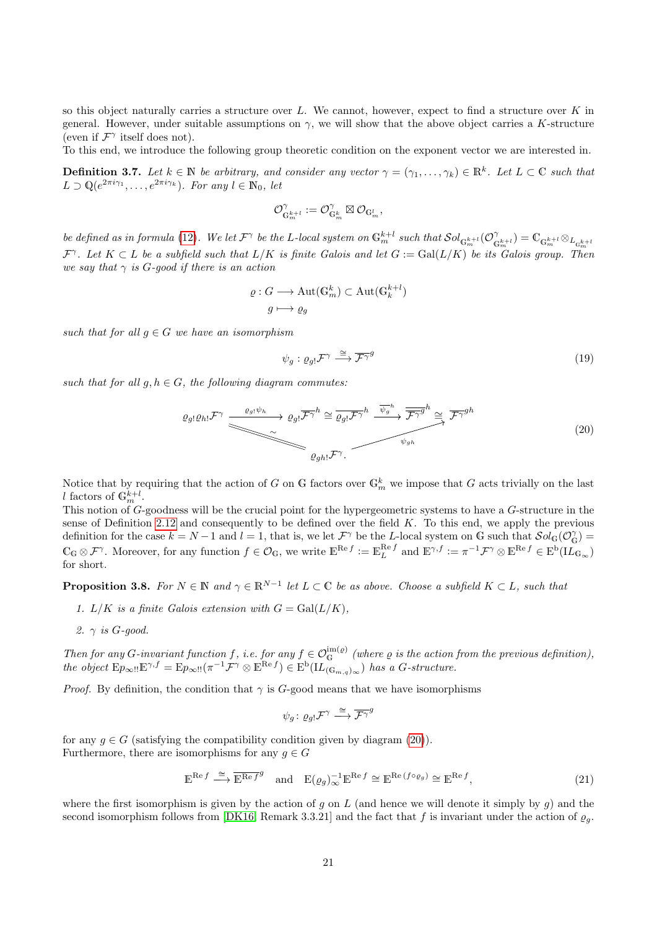so this object naturally carries a structure over L. We cannot, however, expect to find a structure over K in general. However, under suitable assumptions on  $\gamma$ , we will show that the above object carries a K-structure (even if  $\mathcal{F}^{\gamma}$  itself does not).

To this end, we introduce the following group theoretic condition on the exponent vector we are interested in.

<span id="page-20-3"></span>**Definition 3.7.** Let  $k \in \mathbb{N}$  be arbitrary, and consider any vector  $\gamma = (\gamma_1, \ldots, \gamma_k) \in \mathbb{R}^k$ . Let  $L \subset \mathbb{C}$  such that  $L \supset \mathbb{Q}(e^{2\pi i \gamma_1}, \ldots, e^{2\pi i \gamma_k}).$  For any  $l \in \mathbb{N}_0$ , let

$$
\mathcal{O}_{\mathbb{G}_m^{k+l}}^\gamma:=\mathcal{O}_{\mathbb{G}_m^k}^\gamma\boxtimes\mathcal{O}_{\mathbb{G}_m^l},
$$

be defined as in formula [\(12\)](#page-14-2). We let  $\mathcal{F}^\gamma$  be the L-local system on  $\mathbb{G}_m^{k+l}$  such that  $\mathcal{S}ol_{\mathbb{G}_m^{k+l}}(\mathcal{O}_\mathbb{C}^\gamma)$  $\mathbb{G}_m^{k+l}$ ) =  $\mathbb{C}_{\mathbb{G}_m^{k+l}} \otimes_{L_{\mathbb{G}_m^{k+l}}}$  $\mathcal{F}^{\gamma}$ . Let  $K \subset L$  be a subfield such that  $L/K$  is finite Galois and let  $G := \text{Gal}(L/K)$  be its Galois group. Then we say that  $\gamma$  is G-qood if there is an action

$$
\varrho: G \longrightarrow \text{Aut}(\mathbb{G}_m^k) \subset \text{Aut}(\mathbb{G}_k^{k+l})
$$

$$
g \longmapsto \varrho_g
$$

such that for all  $g \in G$  we have an isomorphism

<span id="page-20-4"></span>
$$
\psi_g: \varrho_g \mathcal{F}^\gamma \stackrel{\cong}{\longrightarrow} \overline{\mathcal{F}^{\gamma}}^g \tag{19}
$$

such that for all  $g, h \in G$ , the following diagram commutes:

<span id="page-20-0"></span>
$$
\varrho_{g} \colon \mathcal{Q}_{h} \colon \mathcal{F}^{\gamma} \xrightarrow{\varrho_{g} \colon \psi_{h}} \varrho_{g} \colon \overline{\mathcal{F}^{\gamma}}^{h} \cong \overline{\varrho_{g} \colon \mathcal{F}^{\gamma}}^{h} \xrightarrow{\overline{\psi_{g}}^{h}} \overline{\mathcal{F}^{\gamma}}^{g}^{h} \cong \overline{\mathcal{F}^{\gamma}}^{gh}
$$
\n
$$
\varrho_{gh} \colon \mathcal{F}^{\gamma}.
$$
\n
$$
(20)
$$

Notice that by requiring that the action of G on G factors over  $\mathbb{G}_m^k$  we impose that G acts trivially on the last l factors of  $\mathbb{G}_m^{k+l}$ .

This notion of G-goodness will be the crucial point for the hypergeometric systems to have a G-structure in the sense of Definition [2.12](#page-9-1) and consequently to be defined over the field  $K$ . To this end, we apply the previous definition for the case  $k = N - 1$  and  $l = 1$ , that is, we let  $\mathcal{F}^{\gamma}$  be the L-local system on G such that  $\mathcal{S}ol_{\mathbb{G}}(\mathcal{O}_{\mathbb{G}}^{\gamma})$  $\mathbb{C}_{\mathbb{G}} \otimes \mathcal{F}^{\gamma}$ . Moreover, for any function  $f \in \mathcal{O}_{\mathbb{G}}$ , we write  $\mathbb{E}^{\text{Re } f} := \mathbb{E}_{L}^{\text{Re } f}$  and  $\mathbb{E}^{\gamma, f} := \pi^{-1} \mathcal{F}^{\gamma} \otimes \mathbb{E}^{\text{Re } f} \in \text{E}^{\text{b}}(\mathbf{L}_{\mathbb{G}_{\infty}})$ for short.

<span id="page-20-2"></span>**Proposition 3.8.** For  $N \in \mathbb{N}$  and  $\gamma \in \mathbb{R}^{N-1}$  let  $L \subset \mathbb{C}$  be as above. Choose a subfield  $K \subset L$ , such that

- 1. L/K is a finite Galois extension with  $G = \text{Gal}(L/K)$ ,
- 2.  $\gamma$  is G-qood.

Then for any G-invariant function f, i.e. for any  $f \in \mathcal{O}_G^{\mathrm{im}(\varrho)}$  (where  $\varrho$  is the action from the previous definition), the object  $E p_{\infty} = E p_{\infty}$   $(\pi^{-1} \mathcal{F}^{\gamma} \otimes E^{\text{Re }f}) \in E^{\text{b}}(\mathbf{L}_{(\mathbb{G}_{m,q})_{\infty}})$  has a G-structure.

*Proof.* By definition, the condition that  $\gamma$  is G-good means that we have isomorphisms

$$
\psi_g\colon \varrho_{g!}\mathcal{F}^\gamma\stackrel{\cong}{\longrightarrow}\overline{\mathcal{F}^\gamma}^g
$$

for any  $g \in G$  (satisfying the compatibility condition given by diagram [\(20\)](#page-20-0)). Furthermore, there are isomorphisms for any  $g \in G$ 

<span id="page-20-1"></span>
$$
\mathbb{E}^{\text{Re }f} \xrightarrow{\cong} \overline{\mathbb{E}^{\text{Re }f}}^g \quad \text{and} \quad \mathbb{E}(\varrho_g)_{\infty}^{-1} \mathbb{E}^{\text{Re }f} \cong \mathbb{E}^{\text{Re }(f \circ \varrho_g)} \cong \mathbb{E}^{\text{Re }f},\tag{21}
$$

where the first isomorphism is given by the action of g on L (and hence we will denote it simply by g) and the second isomorphism follows from [\[DK16,](#page-33-3) Remark 3.3.21] and the fact that f is invariant under the action of  $\varrho_q$ .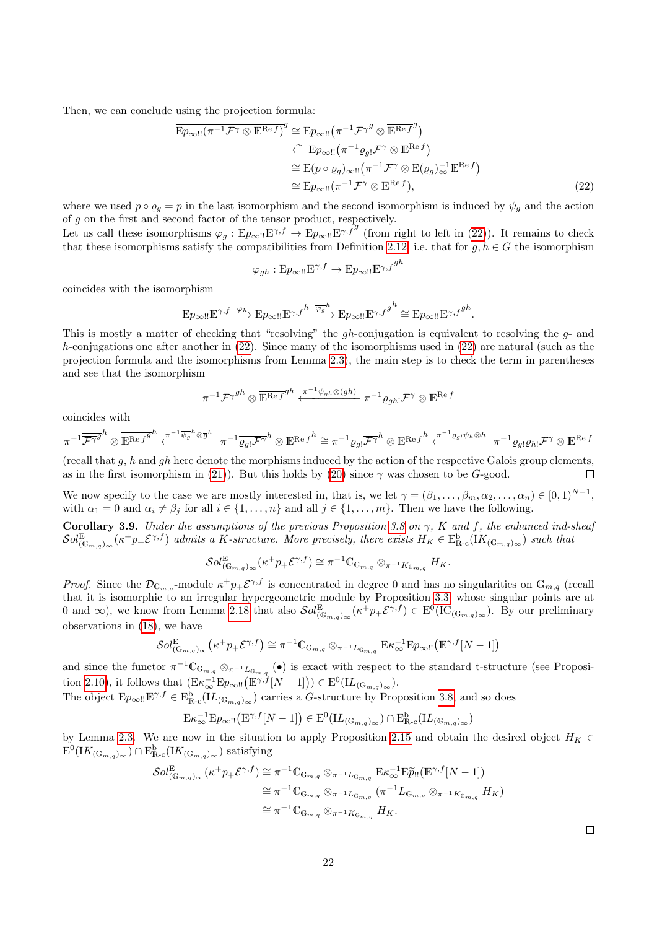Then, we can conclude using the projection formula:

$$
\overline{\mathbf{E}p_{\infty} \cdot \mathbf{E}^{n-f}}^{\mathcal{T} \otimes \mathbf{E}^{n} \otimes f} \cong \mathbf{E}p_{\infty} \cdot \mathbf{E}^{n-f} \otimes \overline{\mathbf{E}^{n} \otimes f}^{g}
$$
\n
$$
\stackrel{\sim}{\leftarrow} \mathbf{E}p_{\infty} \cdot \mathbf{E}^{n-f} \otimes \mathbf{E}^{n-f}
$$
\n
$$
\cong \mathbf{E}(p \circ \varrho_{g}) \otimes \mathbf{E}^{n-f} \otimes \mathbf{E}(\varrho_{g}) \otimes \mathbf{E}^{n-f}
$$
\n
$$
\cong \mathbf{E}p_{\infty} \cdot \mathbf{E}^{n-f} \otimes \mathbf{E}^{n-f}, \qquad (22)
$$

where we used  $p \circ q_q = p$  in the last isomorphism and the second isomorphism is induced by  $\psi_q$  and the action of  $g$  on the first and second factor of the tensor product, respectively.

Let us call these isomorphisms  $\varphi_g : E p_{\infty} : E^{\gamma,f} \to \overline{E p_{\infty} : E^{\gamma,f}}^g$  (from right to left in [\(22\)](#page-21-0)). It remains to check that these isomorphisms satisfy the compatibilities from Definition [2.12,](#page-9-1) i.e. that for  $g, h \in G$  the isomorphism

<span id="page-21-0"></span>
$$
\varphi_{gh}: E p_{\infty} \to E p_{\infty} \to E p_{\infty} \to F^{gh}
$$

coincides with the isomorphism

$$
\mathbb{E} p_{\infty!!} \mathbb{E}^{\gamma,f} \xrightarrow{\varphi_h} \overline{\mathbb{E} p_{\infty!!} \mathbb{E}^{\gamma,f}}^h \xrightarrow{\overline{\varphi_g}^h} \overline{\overline{\mathbb{E} p_{\infty!!} \mathbb{E}^{\gamma,f}}}^{h} \cong \overline{\mathbb{E} p_{\infty!!} \mathbb{E}^{\gamma,f}}^{gh}.
$$

This is mostly a matter of checking that "resolving" the gh-conjugation is equivalent to resolving the g- and h-conjugations one after another in  $(22)$ . Since many of the isomorphisms used in  $(22)$  are natural (such as the projection formula and the isomorphisms from Lemma [2.3\)](#page-4-0), the main step is to check the term in parentheses and see that the isomorphism

$$
\pi^{-1}\overline{\mathcal{F}^{\gamma}}^{gh}\otimes\overline{\mathbb{E}^{\mathrm{Re}f}}^{gh}\xleftarrow{\pi^{-1}\psi_{gh}\otimes(gh)}\pi^{-1}\varrho_{gh!}\mathcal{F}^{\gamma}\otimes\mathbb{E}^{\mathrm{Re}f}
$$

coincides with

$$
\pi^{-1}\overline{\mathcal{F}^{\gamma}}^{gh} \otimes \overline{\mathbb{E}^{\operatorname{Re} f}}^{gh} \xleftarrow{\pi^{-1}\overline{\psi_g}^h \otimes \overline{g}^h} \pi^{-1}\overline{\varrho_{gl}} \mathcal{F}^{\gamma^h} \otimes \overline{\mathbb{E}^{\operatorname{Re} f}}^{h} \cong \pi^{-1}\varrho_{gl}\overline{\mathcal{F}^{\gamma^h}} \otimes \overline{\mathbb{E}^{\operatorname{Re} f}}^{h} \xleftarrow{\pi^{-1}\varrho_{gl}\psi_h \otimes h} \pi^{-1}\varrho_{gl}\varrho_{hl}\mathcal{F}^{\gamma} \otimes \mathbb{E}^{\operatorname{Re} f}
$$

(recall that q, h and qh here denote the morphisms induced by the action of the respective Galois group elements, as in the first isomorphism in [\(21\)](#page-20-1)). But this holds by [\(20\)](#page-20-0) since  $\gamma$  was chosen to be G-good.  $\Box$ 

We now specify to the case we are mostly interested in, that is, we let  $\gamma = (\beta_1, \ldots, \beta_m, \alpha_2, \ldots, \alpha_n) \in [0, 1)^{N-1}$ , with  $\alpha_1 = 0$  and  $\alpha_i \neq \beta_j$  for all  $i \in \{1, \ldots, n\}$  and all  $j \in \{1, \ldots, m\}$ . Then we have the following.

<span id="page-21-1"></span>Corollary 3.9. Under the assumptions of the previous Proposition [3.8](#page-20-2) on  $\gamma$ , K and f, the enhanced ind-sheaf  $\mathcal{S}ol_{(\mathbb{G}_{m,q})_{\infty}}^{\mathbb{E}}(\kappa^+ p_+ \mathcal{E}^{\gamma,f})$  admits a K-structure. More precisely, there exists  $H_K \in \text{E}^{\text{b}}_{\mathbb{R} \text{-c}}(\text{IK}_{(\mathbb{G}_{m,q})_{\infty}})$  such that

$$
\mathcal{S}ol^{\mathrm{E}}_{(\mathbb{G}_{m,q})_{\infty}}(\kappa^+p_+\mathcal{E}^{\gamma,f}) \cong \pi^{-1}\mathbb{C}_{\mathbb{G}_{m,q}} \otimes_{\pi^{-1}K_{\mathbb{G}_{m,q}}} H_K.
$$

*Proof.* Since the  $\mathcal{D}_{\mathbb{G}_{m,q}}$ -module  $\kappa^+ p_+ \mathcal{E}^{\gamma,f}$  is concentrated in degree 0 and has no singularities on  $\mathbb{G}_{m,q}$  (recall that it is isomorphic to an irregular hypergeometric module by Proposition [3.3,](#page-13-1) whose singular points are at 0 and  $\infty$ ), we know from Lemma [2.18](#page-12-0) that also  $\mathcal{S}ol_{(\mathbb{G}_{m,q})_{\infty}}^{\mathbb{E}}(\kappa^+ p_+\mathcal{E}^{\gamma,f}) \in \mathrm{E}^0(\mathrm{IC}_{(\mathbb{G}_{m,q})_{\infty}})$ . By our preliminary observations in [\(18\)](#page-19-0), we have

$$
\mathcal{S}ol_{(\mathbb{G}_{m,q})_{\infty}}^{E}(\kappa^{+}p_{+}\mathcal{E}^{\gamma,f}) \cong \pi^{-1}\mathbb{C}_{\mathbb{G}_{m,q}} \otimes_{\pi^{-1}L_{\mathbb{G}_{m,q}}} \mathbb{E}\kappa_{\infty}^{-1}\mathbb{E}p_{\infty} \text{tr}(\mathbb{E}^{\gamma,f}[N-1])
$$

and since the functor  $\pi^{-1}\mathbb{C}_{\mathbb{G}_{m,q}} \otimes_{\pi^{-1}L_{\mathbb{G}_{m,q}}}$  ( $\bullet$ ) is exact with respect to the standard t-structure (see Proposi-tion [2.10\)](#page-8-0), it follows that  $(\mathbb{E} \kappa_{\infty}^{-1} \mathbb{E} p_{\infty} || (\mathbb{E}^{\gamma, f}[N-1])) \in \mathbb{E}^0(\mathbb{L}_{(\mathbb{G}_{m,q})_{\infty}}).$ 

The object  $E_{p_{\infty}!}E^{\gamma,f} \in E_{\mathbb{R}_{\infty}}^{\mathbf{b}}(IL_{(\mathbb{G}_{m,q})_{\infty}})$  carries a G-structure by Proposition [3.8,](#page-20-2) and so does

$$
\mathbf{E} \kappa_\infty^{-1} \mathbf{E} p_\infty \text{tr} \big( \mathbf{E}^{\gamma,f}[N-1] \big) \in \mathbf{E}^0(\mathbf{I} L_{(\mathbb{G}_{m,q})_\infty}) \cap \mathbf{E}^{\rm b}_{\mathbb{R}\text{-}\mathrm{c}}(\mathbf{I} L_{(\mathbb{G}_{m,q})_\infty})
$$

by Lemma [2.3.](#page-4-0) We are now in the situation to apply Proposition [2.15](#page-10-3) and obtain the desired object  $H_K \in$  $E^0(IK_{(\mathbb{G}_{m,q})_{\infty}}) \cap E^{\rm b}_{\mathbb{R}\text{-}\rm c}(IK_{(\mathbb{G}_{m,q})_{\infty}})$  satisfying

$$
\mathcal{S}ol_{(\mathbb{G}_{m,q})_{\infty}}^{E}(\kappa^{+}p_{+}\mathcal{E}^{\gamma,f}) \cong \pi^{-1}\mathbb{C}_{\mathbb{G}_{m,q}} \otimes_{\pi^{-1}L_{\mathbb{G}_{m,q}}} \mathbb{E}\kappa_{\infty}^{-1}\mathbb{E}\widetilde{p}_{!!}(\mathbb{E}^{\gamma,f}[N-1])
$$
  
\n
$$
\cong \pi^{-1}\mathbb{C}_{\mathbb{G}_{m,q}} \otimes_{\pi^{-1}L_{\mathbb{G}_{m,q}}} (\pi^{-1}L_{\mathbb{G}_{m,q}} \otimes_{\pi^{-1}K_{\mathbb{G}_{m,q}}} H_K)
$$
  
\n
$$
\cong \pi^{-1}\mathbb{C}_{\mathbb{G}_{m,q}} \otimes_{\pi^{-1}K_{\mathbb{G}_{m,q}}} H_K.
$$

 $\Box$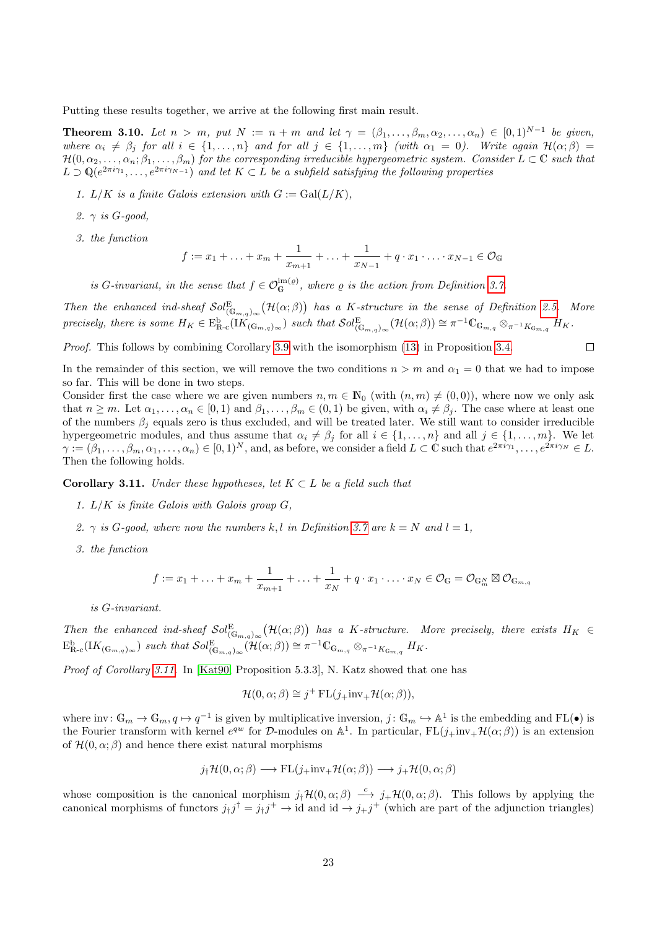Putting these results together, we arrive at the following first main result.

<span id="page-22-1"></span>**Theorem 3.10.** Let  $n > m$ , put  $N := n + m$  and let  $\gamma = (\beta_1, \ldots, \beta_m, \alpha_2, \ldots, \alpha_n) \in [0, 1)^{N-1}$  be given, where  $\alpha_i \neq \beta_j$  for all  $i \in \{1, \ldots, n\}$  and for all  $j \in \{1, \ldots, m\}$  (with  $\alpha_1 = 0$ ). Write again  $\mathcal{H}(\alpha; \beta)$  $\mathcal{H}(0,\alpha_2,\ldots,\alpha_n;\beta_1,\ldots,\beta_m)$  for the corresponding irreducible hypergeometric system. Consider  $L \subset \mathbb{C}$  such that  $L \supset \mathbb{Q}(e^{2\pi i \gamma_1}, \ldots, e^{2\pi i \gamma_{N-1}})$  and let  $K \subset L$  be a subfield satisfying the following properties

- 1.  $L/K$  is a finite Galois extension with  $G := \text{Gal}(L/K)$ ,
- 2.  $\gamma$  is G-good,
- 3. the function

$$
f := x_1 + \ldots + x_m + \frac{1}{x_{m+1}} + \ldots + \frac{1}{x_{N-1}} + q \cdot x_1 \cdot \ldots \cdot x_{N-1} \in \mathcal{O}_{\mathbb{G}}
$$

is G-invariant, in the sense that  $f \in \mathcal{O}_G^{\text{im}(\varrho)}$ , where  $\varrho$  is the action from Definition [3.7.](#page-20-3)

Then the enhanced ind-sheaf  $Sol_{(\mathbb{G}_{m,q})_{\infty}}^{\mathbb{E}}(\mathcal{H}(\alpha;\beta))$  has a K-structure in the sense of Definition [2.5.](#page-5-0) More precisely, there is some  $H_K \in \mathcal{E}_{\mathbb{R}_{\text{-c}}}^{\text{b}}(IK_{(\mathbb{G}_{m,q})_{\infty}})$  such that  $\mathcal{S}ol_{(\mathbb{G}_{m,q})_{\infty}}^{\mathbb{E}}(\mathcal{H}(\alpha;\beta)) \cong \pi^{-1}\mathbb{C}_{\mathbb{G}_{m,q}} \otimes_{\pi^{-1}K_{\mathbb{G}_{m,q}}} H_K$ .

 $\Box$ 

Proof. This follows by combining Corollary [3.9](#page-21-1) with the isomorphism [\(13\)](#page-14-3) in Proposition [3.4.](#page-14-0)

In the remainder of this section, we will remove the two conditions  $n > m$  and  $\alpha_1 = 0$  that we had to impose so far. This will be done in two steps.

Consider first the case where we are given numbers  $n, m \in \mathbb{N}_0$  (with  $(n, m) \neq (0, 0)$ ), where now we only ask that  $n \geq m$ . Let  $\alpha_1, \ldots, \alpha_n \in [0, 1)$  and  $\beta_1, \ldots, \beta_m \in (0, 1)$  be given, with  $\alpha_i \neq \beta_j$ . The case where at least one of the numbers  $\beta_i$  equals zero is thus excluded, and will be treated later. We still want to consider irreducible hypergeometric modules, and thus assume that  $\alpha_i \neq \beta_j$  for all  $i \in \{1, \ldots, n\}$  and all  $j \in \{1, \ldots, m\}$ . We let  $\gamma := (\beta_1, \ldots, \beta_m, \alpha_1, \ldots, \alpha_n) \in [0, 1)^N$ , and, as before, we consider a field  $L \subset \mathbb{C}$  such that  $e^{2\pi i \gamma_1}, \ldots, e^{2\pi i \gamma_N} \in L$ . Then the following holds.

<span id="page-22-0"></span>**Corollary 3.11.** Under these hypotheses, let  $K \subset L$  be a field such that

- 1. L/K is finite Galois with Galois group G,
- 2.  $\gamma$  is G-good, where now the numbers k, l in Definition [3.7](#page-20-3) are  $k = N$  and  $l = 1$ ,
- 3. the function

$$
f := x_1 + \ldots + x_m + \frac{1}{x_{m+1}} + \ldots + \frac{1}{x_N} + q \cdot x_1 \cdot \ldots \cdot x_N \in \mathcal{O}_{\mathbb{G}} = \mathcal{O}_{\mathbb{G}_m} \boxtimes \mathcal{O}_{\mathbb{G}_{m,q}}
$$

is G-invariant.

Then the enhanced ind-sheaf  $Sol_{(\mathbb{G}_{m,q})_{\infty}}^{\mathbb{E}}(\mathcal{H}(\alpha;\beta))$  has a K-structure. More precisely, there exists  $H_K \in$  $E_{\mathbb{R}\text{-c}}^{\text{b}}(IK_{(\mathbb{G}_{m,q})_{\infty}})$  such that  $\mathcal{S}ol_{(\mathbb{G}_{m,q})_{\infty}}^{\mathbb{E}}(\mathcal{H}(\alpha;\beta)) \cong \pi^{-1}\mathbb{C}_{\mathbb{G}_{m,q}} \otimes_{\pi^{-1}K_{\mathbb{G}_{m,q}}} H_K$ .

Proof of Corollary [3.11.](#page-22-0) In [\[Kat90,](#page-34-15) Proposition 5.3.3], N. Katz showed that one has

$$
\mathcal{H}(0,\alpha;\beta) \cong j^{+} \operatorname{FL}(j_{+} \text{inv}_{+} \mathcal{H}(\alpha;\beta)),
$$

where inv:  $\mathbb{G}_m \to \mathbb{G}_m, q \mapsto q^{-1}$  is given by multiplicative inversion,  $j: \mathbb{G}_m \to \mathbb{A}^1$  is the embedding and  $FL(\bullet)$  is the Fourier transform with kernel  $e^{qw}$  for  $\mathcal{D}$ -modules on  $\mathbb{A}^1$ . In particular,  $FL(j_+inv_+\mathcal{H}(\alpha;\beta))$  is an extension of  $\mathcal{H}(0, \alpha; \beta)$  and hence there exist natural morphisms

$$
j_{\dagger} \mathcal{H}(0,\alpha;\beta) \longrightarrow FL(j_{+}inv_{+} \mathcal{H}(\alpha;\beta)) \longrightarrow j_{+} \mathcal{H}(0,\alpha;\beta)
$$

whose composition is the canonical morphism  $j_{\dagger} \mathcal{H}(0,\alpha;\beta) \stackrel{c}{\longrightarrow} j_{+} \mathcal{H}(0,\alpha;\beta)$ . This follows by applying the canonical morphisms of functors  $j_j j^{\dagger} = j_j j^+ \rightarrow id$  and  $id \rightarrow j_+ j^+$  (which are part of the adjunction triangles)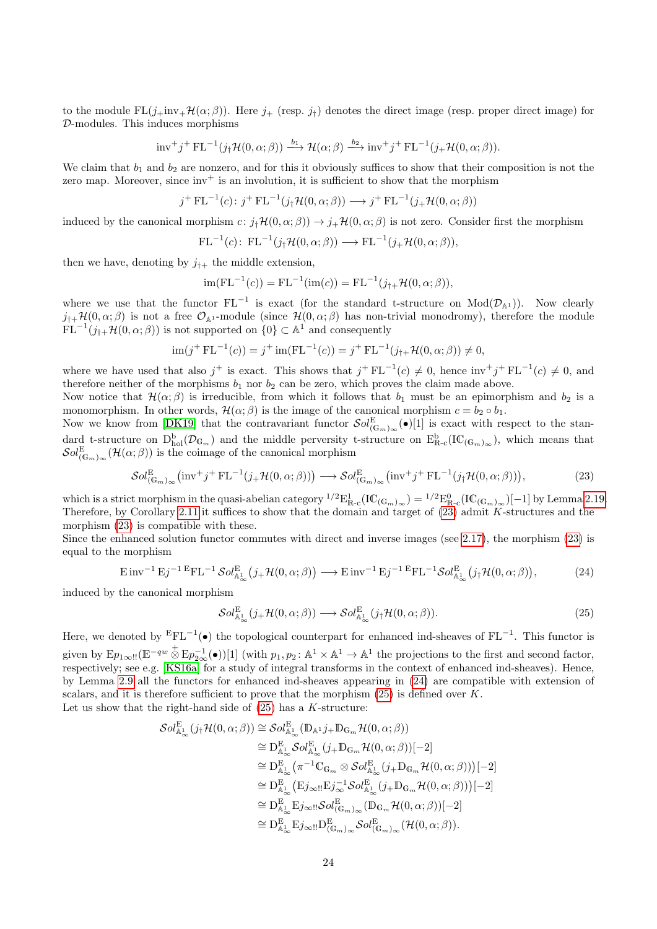to the module  $FL(j+inv+H(\alpha;\beta))$ . Here  $j_+$  (resp.  $j_i$ ) denotes the direct image (resp. proper direct image) for D-modules. This induces morphisms

$$
\text{inv}^+ j^+ \text{ FL}^{-1}(j_\dagger \mathcal{H}(0, \alpha; \beta)) \xrightarrow{b_1} \mathcal{H}(\alpha; \beta) \xrightarrow{b_2} \text{inv}^+ j^+ \text{ FL}^{-1}(j_+ \mathcal{H}(0, \alpha; \beta)).
$$

We claim that  $b_1$  and  $b_2$  are nonzero, and for this it obviously suffices to show that their composition is not the zero map. Moreover, since  $inv^+$  is an involution, it is sufficient to show that the morphism

$$
j^{+} \operatorname{FL}^{-1}(c) : j^{+} \operatorname{FL}^{-1}(j_{\dagger} \mathcal{H}(0, \alpha; \beta)) \longrightarrow j^{+} \operatorname{FL}^{-1}(j_{+} \mathcal{H}(0, \alpha; \beta))
$$

induced by the canonical morphism  $c: j_{\dagger} \mathcal{H}(0, \alpha; \beta) \rightarrow j_{+} \mathcal{H}(0, \alpha; \beta)$  is not zero. Consider first the morphism

$$
\mathrm{FL}^{-1}(c)\colon\operatorname{FL}^{-1}(j_{\dagger}\mathcal{H}(0,\alpha;\beta))\longrightarrow\operatorname{FL}^{-1}(j_{+}\mathcal{H}(0,\alpha;\beta)),
$$

then we have, denoting by  $j_{\dagger+}$  the middle extension,

$$
im(FL^{-1}(c)) = FL^{-1}(im(c)) = FL^{-1}(j_{\uparrow+}H(0,\alpha;\beta)),
$$

where we use that the functor  $FL^{-1}$  is exact (for the standard t-structure on  $Mod(\mathcal{D}_{A}1)$ ). Now clearly  $j_{\dagger+}H(0,\alpha;\beta)$  is not a free  $\mathcal{O}_{\mathbb{A}^1}$ -module (since  $H(0,\alpha;\beta)$  has non-trivial monodromy), therefore the module  $FL^{-1}(j_{\dagger+} \mathcal{H}(0,\alpha;\beta))$  is not supported on  $\{0\} \subset \mathbb{A}^1$  and consequently

$$
\operatorname{im}(j^{+} \operatorname{FL}^{-1}(c)) = j^{+} \operatorname{im}(\operatorname{FL}^{-1}(c)) = j^{+} \operatorname{FL}^{-1}(j_{\uparrow+} \mathcal{H}(0, \alpha; \beta)) \neq 0,
$$

where we have used that also j<sup>+</sup> is exact. This shows that  $j^+ \text{FL}^{-1}(c) \neq 0$ , hence  $\text{inv}^+ j^+ \text{FL}^{-1}(c) \neq 0$ , and therefore neither of the morphisms  $b_1$  nor  $b_2$  can be zero, which proves the claim made above.

Now notice that  $\mathcal{H}(\alpha;\beta)$  is irreducible, from which it follows that  $b_1$  must be an epimorphism and  $b_2$  is a monomorphism. In other words,  $\mathcal{H}(\alpha;\beta)$  is the image of the canonical morphism  $c = b_2 \circ b_1$ .

Now we know from [\[DK19\]](#page-33-4) that the contravariant functor  $\mathcal{S}ol_{(\mathbb{G}_m)_\infty}^{\mathbb{E}}(\bullet)[1]$  is exact with respect to the standard t-structure on  $D_{hol}^b(\mathcal{D}_{\mathbb{G}_m})$  and the middle perversity t-structure on  $E_{R-c}^b(\mathrm{IC}_{(\mathbb{G}_m)_\infty})$ , which means that  $\mathcal{S}ol_{(\mathbb{G}_m)_\infty}^{\mathbb{E}}(\mathcal{H}(\alpha;\beta))$  is the coimage of the canonical morphism

<span id="page-23-0"></span>
$$
\mathcal{S}ol_{(\mathbb{G}_m)_\infty}^{\mathbb{E}}\left(\text{inv}^+j^+\text{FL}^{-1}(j_+\mathcal{H}(0,\alpha;\beta))\right) \longrightarrow \mathcal{S}ol_{(\mathbb{G}_m)_\infty}^{\mathbb{E}}\left(\text{inv}^+j^+\text{FL}^{-1}(j_\dagger\mathcal{H}(0,\alpha;\beta))\right),\tag{23}
$$

which is a strict morphism in the quasi-abelian category  $^{1/2}E^1_{R-c}(IC_{(\mathbb{G}_m)_\infty}) = ^{1/2}E^0_{R-c}(IC_{(\mathbb{G}_m)_\infty})[-1]$  by Lemma [2.19.](#page-13-2) Therefore, by Corollary [2.11](#page-8-1) it suffices to show that the domain and target of [\(23\)](#page-23-0) admit K-structures and the morphism [\(23\)](#page-23-0) is compatible with these.

Since the enhanced solution functor commutes with direct and inverse images (see [2.17\)](#page-12-1), the morphism [\(23\)](#page-23-0) is equal to the morphism

<span id="page-23-1"></span>
$$
\operatorname{Einv}^{-1} \operatorname{Ej}^{-1} \operatorname{Ej}^{-1} \operatorname{Sol}_{\mathbb{A}_{\infty}^{\mathbb{L}}}^{\operatorname{E}} \left( j_{+} \mathcal{H}(0, \alpha; \beta) \right) \longrightarrow \operatorname{Einv}^{-1} \operatorname{Ej}^{-1} \operatorname{Ej}^{-1} \operatorname{GL}_{\mathbb{A}_{\infty}^{\mathbb{L}}}^{\operatorname{E}} \left( j_{\dagger} \mathcal{H}(0, \alpha; \beta) \right),\tag{24}
$$

induced by the canonical morphism

<span id="page-23-2"></span>
$$
\mathcal{S}ol_{\mathbb{A}^1_{\infty}}^{\mathcal{E}}(j_{+}\mathcal{H}(0,\alpha;\beta)) \longrightarrow \mathcal{S}ol_{\mathbb{A}^1_{\infty}}^{\mathcal{E}}(j_{\dagger}\mathcal{H}(0,\alpha;\beta)).
$$
\n(25)

Here, we denoted by  $EFL^{-1}(\bullet)$  the topological counterpart for enhanced ind-sheaves of  $FL^{-1}$ . This functor is given by  $E p_{1\infty}$ !! $(E^{-qw} \overset{+}{\otimes} E p_{2\infty}^{-1}(\bullet))[1]$  (with  $p_1, p_2 \colon \mathbb{A}^1 \times \mathbb{A}^1 \to \mathbb{A}^1$  the projections to the first and second factor, respectively; see e.g. [\[KS16a\]](#page-34-16) for a study of integral transforms in the context of enhanced ind-sheaves). Hence, by Lemma [2.9](#page-7-0) all the functors for enhanced ind-sheaves appearing in [\(24\)](#page-23-1) are compatible with extension of scalars, and it is therefore sufficient to prove that the morphism  $(25)$  is defined over K. Let us show that the right-hand side of  $(25)$  has a K-structure:

$$
\mathcal{S}ol_{\mathbb{A}^1_{\infty}}^{\mathcal{E}}(j_{\dagger}\mathcal{H}(0,\alpha;\beta)) \cong \mathcal{S}ol_{\mathbb{A}^1_{\infty}}^{\mathcal{E}}(\mathbb{D}_{\mathbb{A}^1}j_{+}\mathbb{D}_{\mathbb{G}_m}\mathcal{H}(0,\alpha;\beta))
$$
  
\n
$$
\cong \mathbb{D}_{\mathbb{A}^1_{\infty}}^{\mathcal{E}} \mathcal{S}ol_{\mathbb{A}^1_{\infty}}^{\mathcal{E}}(j_{+}\mathbb{D}_{\mathbb{G}_m}\mathcal{H}(0,\alpha;\beta))[-2]
$$
  
\n
$$
\cong \mathbb{D}_{\mathbb{A}^1_{\infty}}^{\mathcal{E}}\left(\pi^{-1}\mathbb{C}_{\mathbb{G}_m} \otimes \mathcal{S}ol_{\mathbb{A}^1_{\infty}}^{\mathcal{E}}(j_{+}\mathbb{D}_{\mathbb{G}_m}\mathcal{H}(0,\alpha;\beta))\right)[-2]
$$
  
\n
$$
\cong \mathbb{D}_{\mathbb{A}^1_{\infty}}^{\mathcal{E}}\left(\mathbb{E}j_{\infty}::\mathbb{E}j_{\infty}^{-1}\mathcal{S}ol_{\mathbb{A}^1_{\infty}}^{\mathcal{E}}(j_{+}\mathbb{D}_{\mathbb{G}_m}\mathcal{H}(0,\alpha;\beta))\right)[-2]
$$
  
\n
$$
\cong \mathbb{D}_{\mathbb{A}^1_{\infty}}^{\mathcal{E}}\mathbb{E}j_{\infty}::\mathcal{S}ol_{\mathbb{G}_{m}\backslash\infty}^{\mathcal{E}}(\mathbb{D}_{\mathbb{G}_m}\mathcal{H}(0,\alpha;\beta))[-2]
$$
  
\n
$$
\cong \mathbb{D}_{\mathbb{A}^1_{\infty}}^{\mathcal{E}}\mathbb{E}j_{\infty}::\mathbb{D}_{\mathbb{G}_{m}\backslash\infty}^{\mathcal{E}}\mathcal{S}ol_{\mathbb{G}_{m}\backslash\infty}^{\mathcal{E}}(\mathcal{H}(0,\alpha;\beta)).
$$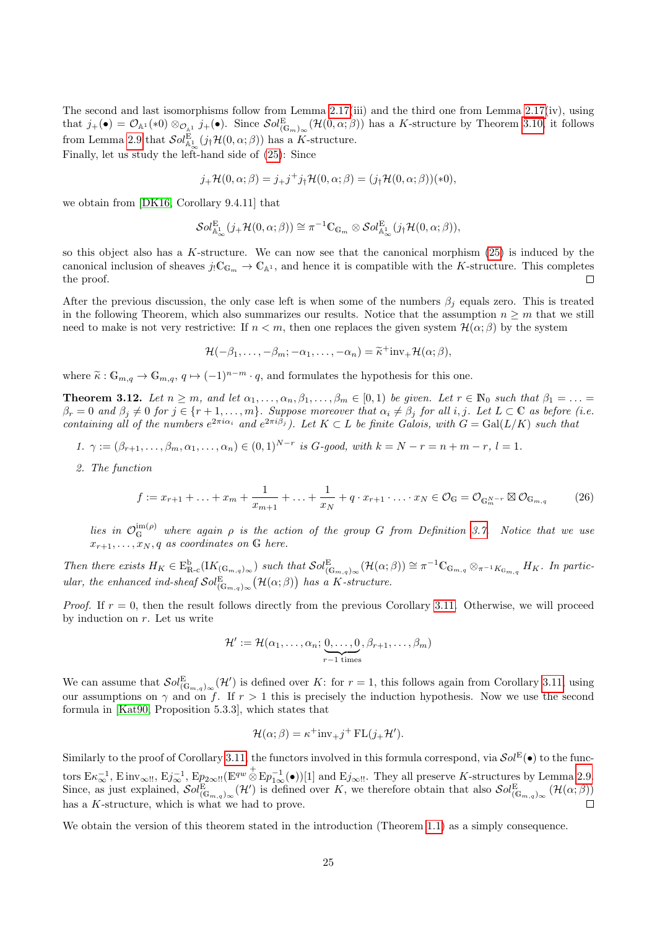The second and last isomorphisms follow from Lemma [2.17\(](#page-12-1)iii) and the third one from Lemma [2.17\(](#page-12-1)iv), using that  $j_+(\bullet) = \mathcal{O}_{\mathbb{A}^1}(*0) \otimes_{\mathcal{O}_{\mathbb{A}^1}} j_+(\bullet)$ . Since  $\mathcal{S}ol_{(\mathbb{G}_m)_\infty}^{\mathbb{E}}(\mathcal{H}(0,\alpha;\beta))$  has a K-structure by Theorem [3.10,](#page-22-1) it follows from Lemma [2.9](#page-7-0) that  $\mathcal{S}ol^{\mathcal{E}}_{\mathbb{A}^1_{\infty}}(j_{\dagger}\mathcal{H}(0,\alpha;\beta))$  has a K-structure.

Finally, let us study the left-hand side of [\(25\)](#page-23-2): Since

$$
j_{+}\mathcal{H}(0,\alpha;\beta) = j_{+}j^{+}j_{\dagger}\mathcal{H}(0,\alpha;\beta) = (j_{\dagger}\mathcal{H}(0,\alpha;\beta))(*0),
$$

we obtain from [\[DK16,](#page-33-3) Corollary 9.4.11] that

$$
\mathcal{S}ol^{\mathrm{E}}_{\mathbb{A}^1_\infty}(j_+\mathcal{H}(0,\alpha;\beta))\cong \pi^{-1}\mathbb{C}_{\mathbb{G}_m}\otimes \mathcal{S}ol^{\mathrm{E}}_{\mathbb{A}^1_\infty}(j_!\mathcal{H}(0,\alpha;\beta)),
$$

so this object also has a K-structure. We can now see that the canonical morphism  $(25)$  is induced by the canonical inclusion of sheaves  $j_!C_{G_m} \to C_{\mathbb{A}^1}$ , and hence it is compatible with the K-structure. This completes the proof.  $\Box$ 

After the previous discussion, the only case left is when some of the numbers  $\beta_i$  equals zero. This is treated in the following Theorem, which also summarizes our results. Notice that the assumption  $n \geq m$  that we still need to make is not very restrictive: If  $n < m$ , then one replaces the given system  $\mathcal{H}(\alpha;\beta)$  by the system

$$
\mathcal{H}(-\beta_1,\ldots,-\beta_m;-\alpha_1,\ldots,-\alpha_n)=\widetilde{\kappa}^+\mathrm{inv}_+\mathcal{H}(\alpha;\beta),
$$

where  $\tilde{\kappa}: \mathbb{G}_{m,q} \to \mathbb{G}_{m,q}, q \mapsto (-1)^{n-m} \cdot q$ , and formulates the hypothesis for this one.

<span id="page-24-0"></span>**Theorem 3.12.** Let  $n \ge m$ , and let  $\alpha_1, \ldots, \alpha_n, \beta_1, \ldots, \beta_m \in [0,1)$  be given. Let  $r \in \mathbb{N}_0$  such that  $\beta_1 = \ldots =$  $\beta_r=0$  and  $\beta_j\neq 0$  for  $j\in \{r+1,\ldots,m\}$ . Suppose moreover that  $\alpha_i\neq \beta_j$  for all i, j. Let  $L\subset\mathbb{C}$  as before (i.e. containing all of the numbers  $e^{2\pi i \alpha_i}$  and  $e^{2\pi i \beta_j}$ ). Let  $K \subset L$  be finite Galois, with  $G = \text{Gal}(L/K)$  such that

- 1.  $\gamma := (\beta_{r+1}, \ldots, \beta_m, \alpha_1, \ldots, \alpha_n) \in (0, 1)^{N-r}$  is G-good, with  $k = N r = n + m r$ ,  $l = 1$ .
- 2. The function

<span id="page-24-1"></span>
$$
f := x_{r+1} + \ldots + x_m + \frac{1}{x_{m+1}} + \ldots + \frac{1}{x_N} + q \cdot x_{r+1} \cdot \ldots \cdot x_N \in \mathcal{O}_G = \mathcal{O}_{G_m^{N-r}} \boxtimes \mathcal{O}_{G_{m,q}}
$$
(26)

lies in  $\mathcal{O}_G^{\text{im}(\rho)}$  where again  $\rho$  is the action of the group G from Definition [3.7.](#page-20-3) Notice that we use  $x_{r+1}, \ldots, x_N, q$  as coordinates on G here.

Then there exists  $H_K \in \mathcal{E}_{\mathbb{R}\text{-c}}^{\mathbb{b}}(K_{(\mathbb{G}_{m,q})_{\infty}})$  such that  $\mathcal{S}ol_{(\mathbb{G}_{m,q})_{\infty}}^{\mathbb{E}}(\mathcal{H}(\alpha;\beta)) \cong \pi^{-1}\mathbb{C}_{\mathbb{G}_{m,q}} \otimes_{\pi^{-1}K_{\mathbb{G}_{m,q}}} H_K$ . In particular, the enhanced ind-sheaf  $\mathcal{S}ol_{(\mathbb{G}_{m,q})_{\infty}}^{\mathbb{E}}(\mathcal{H}(\alpha;\beta))$  has a K-structure.

*Proof.* If  $r = 0$ , then the result follows directly from the previous Corollary [3.11.](#page-22-0) Otherwise, we will proceed by induction on  $r$ . Let us write

$$
\mathcal{H}' := \mathcal{H}(\alpha_1, \ldots, \alpha_n; \underbrace{0, \ldots, 0}_{r-1 \text{ times}}, \beta_{r+1}, \ldots, \beta_m)
$$

We can assume that  $\mathcal{S}ol_{(\mathbb{G}_{m,q})_{\infty}}^{\mathbb{E}}(\mathcal{H}')$  is defined over K: for  $r=1$ , this follows again from Corollary [3.11,](#page-22-0) using our assumptions on  $\gamma$  and on f. If  $r > 1$  this is precisely the induction hypothesis. Now we use the second formula in [\[Kat90,](#page-34-15) Proposition 5.3.3], which states that

$$
\mathcal{H}(\alpha;\beta) = \kappa^+ i n v_+ j^+ \operatorname{FL}(j_+ \mathcal{H}').
$$

Similarly to the proof of Corollary [3.11,](#page-22-0) the functors involved in this formula correspond, via  $\mathcal{S}ol^{\rm E}(\bullet)$  to the functors  $E \kappa_{\infty}^{-1}$ ,  $E \text{ inv}_{\infty}$ !!,  $E j_{\infty}^{-1}$ ,  $E p_{2\infty}$ !!( $E^{qw} \overset{+}{\otimes} E p_{1\infty}^{-1}(\bullet)$ )[1] and  $E j_{\infty}$ !!. They all preserve K-structures by Lemma [2.9.](#page-7-0) Since, as just explained,  $\mathcal{S}ol_{(\mathbb{G}_{m,q})_{\infty}}^{\mathbb{E}}(\mathcal{H}')$  is defined over K, we therefore obtain that also  $\mathcal{S}ol_{(\mathbb{G}_{m,q})_{\infty}}^{\mathbb{E}}(\mathcal{H}(\alpha;\beta))$ has a K-structure, which is what we had to prove.

We obtain the version of this theorem stated in the introduction (Theorem [1.1\)](#page-1-2) as a simply consequence.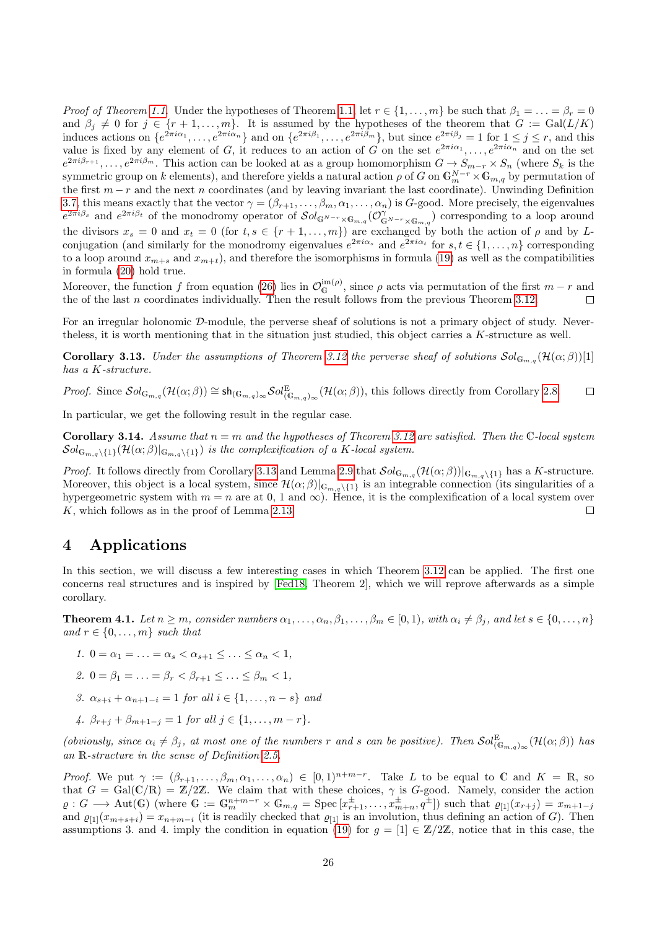*Proof of Theorem [1.1.](#page-1-2)* Under the hypotheses of Theorem [1.1,](#page-1-2) let  $r \in \{1, \ldots, m\}$  be such that  $\beta_1 = \ldots = \beta_r = 0$ and  $\beta_j \neq 0$  for  $j \in \{r+1,\ldots,m\}$ . It is assumed by the hypotheses of the theorem that  $G := \text{Gal}(L/K)$ induces actions on  $\{e^{2\pi i\alpha_1}, \ldots, e^{2\pi i\alpha_n}\}\$  and on  $\{e^{2\pi i\beta_1}, \ldots, e^{2\pi i\beta_m}\}\$ , but since  $e^{2\pi i\beta_j} = 1$  for  $1 \le j \le r$ , and this value is fixed by any element of G, it reduces to an action of G on the set  $e^{2\pi i\alpha_1}, \ldots, e^{2\pi i\alpha_n}$  and on the set  $e^{2\pi i\beta_{r+1}},\ldots,e^{2\pi i\beta_m}$ . This action can be looked at as a group homomorphism  $G\to S_{m-r}\times S_n$  (where  $S_k$  is the symmetric group on k elements), and therefore yields a natural action  $\rho$  of G on  $\mathbb{G}_m^{N-r} \times \mathbb{G}_{m,q}$  by permutation of the first  $m - r$  and the next n coordinates (and by leaving invariant the last coordinate). Unwinding Definition [3.7,](#page-20-3) this means exactly that the vector  $\gamma = (\beta_{r+1}, \ldots, \beta_m, \alpha_1, \ldots, \alpha_n)$  is G-good. More precisely, the eigenvalues  $e^{2\pi i\beta_s}$  and  $e^{2\pi i\beta_t}$  of the monodromy operator of  $\mathcal{S}ol_{\mathbb{G}^{N-r}\times\mathbb{G}_{m,q}}(\mathcal{O}_{\mathbb{G}^{N-r}\times\mathbb{G}_{m,q}}^{\gamma})$  corresponding to a loop around the divisors  $x_s = 0$  and  $x_t = 0$  (for  $t, s \in \{r+1, \ldots, m\}$ ) are exchanged by both the action of  $\rho$  and by Lconjugation (and similarly for the monodromy eigenvalues  $e^{2\pi i \alpha_s}$  and  $e^{2\pi i \alpha_t}$  for  $s, t \in \{1, ..., n\}$  corresponding to a loop around  $x_{m+s}$  and  $x_{m+t}$ , and therefore the isomorphisms in formula [\(19\)](#page-20-4) as well as the compatibilities in formula [\(20\)](#page-20-0) hold true.

Moreover, the function f from equation [\(26\)](#page-24-1) lies in  $\mathcal{O}_{\mathbb{G}}^{\mathrm{im}(\rho)}$ , since  $\rho$  acts via permutation of the first  $m-r$  and the of the last n coordinates individually. Then the result follows from the previous Theorem [3.12.](#page-24-0)

For an irregular holonomic D-module, the perverse sheaf of solutions is not a primary object of study. Nevertheless, it is worth mentioning that in the situation just studied, this object carries a K-structure as well.

<span id="page-25-1"></span>**Corollary 3.13.** Under the assumptions of Theorem [3.12](#page-24-0) the perverse sheaf of solutions  $\mathcal{S}ol_{\mathbb{G}_{m,q}}(\mathcal{H}(\alpha;\beta))[1]$ has a K-structure.

Proof. Since  $\mathcal{S}ol_{\mathbb{G}_{m,q}}(\mathcal{H}(\alpha;\beta)) \cong \mathsf{sh}_{(\mathbb{G}_{m,q})_{\infty}} \mathcal{S}ol_{(\mathbb{G}_{m,q})_{\infty}}^E(\mathcal{H}(\alpha;\beta))$ , this follows directly from Corollary [2.8.](#page-6-3)  $\Box$ 

In particular, we get the following result in the regular case.

<span id="page-25-2"></span>**Corollary 3.14.** Assume that  $n = m$  and the hypotheses of Theorem [3.12](#page-24-0) are satisfied. Then the C-local system  $\mathcal{S}ol_{\mathbb{G}_{m,q}\setminus\{1\}}(\mathcal{H}(\alpha;\beta)|_{\mathbb{G}_{m,q}\setminus\{1\}})$  is the complexification of a K-local system.

*Proof.* It follows directly from Corollary [3.13](#page-25-1) and Lemma [2.9](#page-7-0) that  $\mathcal{S}ol_{\mathbb{G}_{m,q}}(\mathcal{H}(\alpha;\beta))|_{\mathbb{G}_{m,q}\setminus\{1\}}$  has a K-structure. Moreover, this object is a local system, since  $\mathcal{H}(\alpha;\beta)|_{\mathbb{G}_{m,q}\setminus\{1\}}$  is an integrable connection (its singularities of a hypergeometric system with  $m = n$  are at 0, 1 and  $\infty$ ). Hence, it is the complexification of a local system over K, which follows as in the proof of Lemma [2.13.](#page-9-0)  $\Box$ 

# 4 Applications

In this section, we will discuss a few interesting cases in which Theorem [3.12](#page-24-0) can be applied. The first one concerns real structures and is inspired by [\[Fed18,](#page-34-5) Theorem 2], which we will reprove afterwards as a simple corollary.

<span id="page-25-0"></span>**Theorem 4.1.** Let  $n \geq m$ , consider numbers  $\alpha_1, \ldots, \alpha_n, \beta_1, \ldots, \beta_m \in [0,1)$ , with  $\alpha_i \neq \beta_j$ , and let  $s \in \{0, \ldots, n\}$ and  $r \in \{0, \ldots, m\}$  such that

- 1.  $0 = \alpha_1 = \ldots = \alpha_s < \alpha_{s+1} < \ldots < \alpha_n < 1$ ,
- 2.  $0 = \beta_1 = \ldots = \beta_r < \beta_{r+1} \leq \ldots \leq \beta_m < 1$ ,
- 3.  $\alpha_{s+i} + \alpha_{n+1-i} = 1$  for all  $i \in \{1, ..., n-s\}$  and
- 4.  $\beta_{r+i} + \beta_{m+1-j} = 1$  for all  $j \in \{1, ..., m-r\}.$

(obviously, since  $\alpha_i \neq \beta_j$ , at most one of the numbers r and s can be positive). Then  $\mathcal{S}ol_{(\mathbb{G}_{m,q})_{\infty}}^{\mathbb{E}}(\mathcal{H}(\alpha;\beta))$  has an R-structure in the sense of Definition [2.5.](#page-5-0)

*Proof.* We put  $\gamma := (\beta_{r+1}, \ldots, \beta_m, \alpha_1, \ldots, \alpha_n) \in [0,1)^{n+m-r}$ . Take L to be equal to C and  $K = \mathbb{R}$ , so that  $G = \text{Gal}(\mathbb{C}/\mathbb{R}) = \mathbb{Z}/2\mathbb{Z}$ . We claim that with these choices,  $\gamma$  is G-good. Namely, consider the action  $\varrho: G \longrightarrow \text{Aut}(\mathbb{G})$  (where  $\mathbb{G} := \mathbb{G}_m^{n+m-r} \times \mathbb{G}_{m,q} = \text{Spec} \left[ x_{r+1}^{\pm}, \ldots, x_{m+n}^{\pm}, q^{\pm} \right]$ ) such that  $\varrho_{[1]}(x_{r+j}) = x_{m+1-j}$ and  $\varrho_{[1]}(x_{m+s+i}) = x_{n+m-i}$  (it is readily checked that  $\varrho_{[1]}$  is an involution, thus defining an action of G). Then assumptions 3. and 4. imply the condition in equation [\(19\)](#page-20-4) for  $g = [1] \in \mathbb{Z}/2\mathbb{Z}$ , notice that in this case, the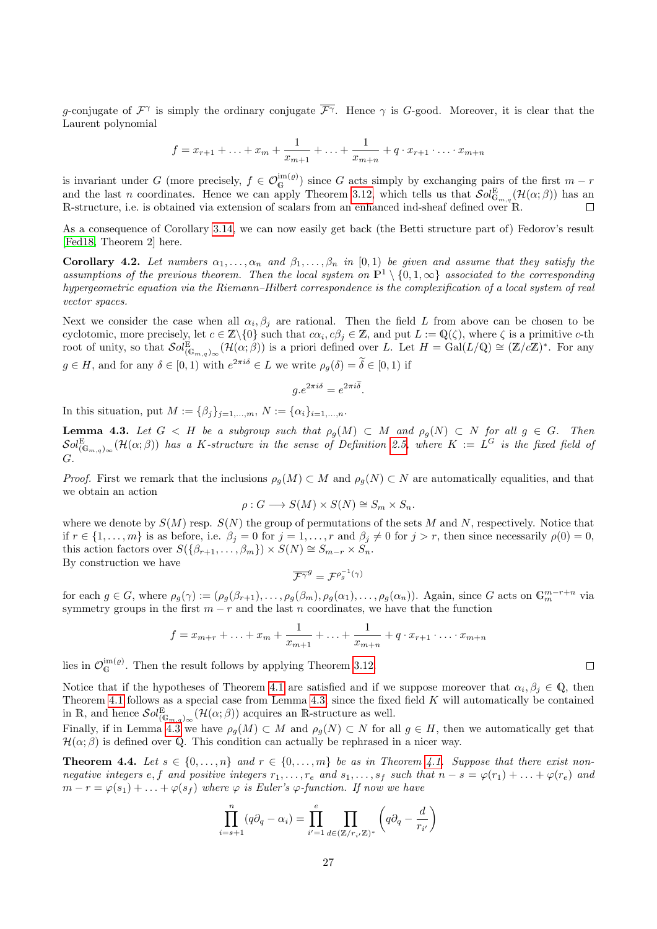g-conjugate of  $\mathcal{F}^{\gamma}$  is simply the ordinary conjugate  $\overline{\mathcal{F}^{\gamma}}$ . Hence  $\gamma$  is G-good. Moreover, it is clear that the Laurent polynomial

$$
f = x_{r+1} + \ldots + x_m + \frac{1}{x_{m+1}} + \ldots + \frac{1}{x_{m+n}} + q \cdot x_{r+1} \cdot \ldots \cdot x_{m+n}
$$

is invariant under G (more precisely,  $f \in \mathcal{O}_{\mathbb{G}}^{im(\varrho)}$ ) since G acts simply by exchanging pairs of the first  $m-r$ and the last n coordinates. Hence we can apply Theorem [3.12,](#page-24-0) which tells us that  $\mathcal{S}ol_{\mathbb{G}_{m,q}}^{\mathbb{E}}(\mathcal{H}(\alpha;\beta))$  has an R-structure, i.e. is obtained via extension of scalars from an enhanced ind-sheaf defined over R.  $\Box$ 

As a consequence of Corollary [3.14,](#page-25-2) we can now easily get back (the Betti structure part of) Fedorov's result [\[Fed18,](#page-34-5) Theorem 2] here.

Corollary 4.2. Let numbers  $\alpha_1, \ldots, \alpha_n$  and  $\beta_1, \ldots, \beta_n$  in [0,1] be given and assume that they satisfy the assumptions of the previous theorem. Then the local system on  $\mathbb{P}^1 \setminus \{0,1,\infty\}$  associated to the corresponding hypergeometric equation via the Riemann–Hilbert correspondence is the complexification of a local system of real vector spaces.

Next we consider the case when all  $\alpha_i, \beta_j$  are rational. Then the field L from above can be chosen to be cyclotomic, more precisely, let  $c \in \mathbb{Z}\setminus\{0\}$  such that  $c\alpha_i, c\beta_j \in \mathbb{Z}$ , and put  $L := \mathbb{Q}(\zeta)$ , where  $\zeta$  is a primitive c-th root of unity, so that  $\mathcal{S}ol_{(\mathbb{G}_{m,q})_{\infty}}^{\mathbb{E}}(\mathcal{H}(\alpha;\beta))$  is a priori defined over L. Let  $H = \text{Gal}(L/\mathbb{Q}) \cong (\mathbb{Z}/c\mathbb{Z})^*$ . For any  $g \in H$ , and for any  $\delta \in [0,1)$  with  $e^{2\pi i \delta} \in L$  we write  $\rho_g(\delta) = \delta \in [0,1)$  if

$$
g.e^{2\pi i\delta} = e^{2\pi i\widetilde{\delta}}.
$$

In this situation, put  $M := {\beta_i}_{i=1,...,m}$ ,  $N := {\alpha_i}_{i=1,...,n}$ .

<span id="page-26-1"></span>**Lemma 4.3.** Let  $G < H$  be a subgroup such that  $\rho_g(M) \subset M$  and  $\rho_g(N) \subset N$  for all  $g \in G$ . Then  $\mathcal{S}ol_{(\mathbb{G}_{m,q})_{\infty}}^{\mathrm{E}}(\mathcal{H}(\alpha;\beta))$  has a K-structure in the sense of Definition [2.5,](#page-5-0) where  $K:=L^G$  is the fixed field of G.

*Proof.* First we remark that the inclusions  $\rho_q(M) \subset M$  and  $\rho_q(N) \subset N$  are automatically equalities, and that we obtain an action

$$
\rho: G \longrightarrow S(M) \times S(N) \cong S_m \times S_n.
$$

where we denote by  $S(M)$  resp.  $S(N)$  the group of permutations of the sets M and N, respectively. Notice that if  $r \in \{1, \ldots, m\}$  is as before, i.e.  $\beta_j = 0$  for  $j = 1, \ldots, r$  and  $\beta_j \neq 0$  for  $j > r$ , then since necessarily  $\rho(0) = 0$ , this action factors over  $S(\{\beta_{r+1},\ldots,\beta_m\})\times S(N) \cong S_{m-r}\times S_n$ . By construction we have

$$
\overline{\mathcal{F}^{\gamma}}^g = \mathcal{F}^{\rho_g^{-1}(\gamma)}
$$

for each  $g \in G$ , where  $\rho_g(\gamma) := (\rho_g(\beta_{r+1}), \ldots, \rho_g(\beta_m), \rho_g(\alpha_1), \ldots, \rho_g(\alpha_n))$ . Again, since G acts on  $\mathbb{G}_m^{m-r+n}$  via symmetry groups in the first  $m - r$  and the last n coordinates, we have that the function

$$
f = x_{m+r} + \ldots + x_m + \frac{1}{x_{m+1}} + \ldots + \frac{1}{x_{m+n}} + q \cdot x_{r+1} \cdot \ldots \cdot x_{m+n}
$$

lies in  $\mathcal{O}_{G}^{im(\varrho)}$ . Then the result follows by applying Theorem [3.12.](#page-24-0)

Notice that if the hypotheses of Theorem [4.1](#page-25-0) are satisfied and if we suppose moreover that  $\alpha_i, \beta_j \in \mathbb{Q}$ , then Theorem [4.1](#page-25-0) follows as a special case from Lemma [4.3,](#page-26-1) since the fixed field K will automatically be contained in R, and hence  $\mathcal{S}ol_{(\mathbb{G}_{m,q})_{\infty}}^{E}(\mathcal{H}(\alpha;\beta))$  acquires an R-structure as well.

Finally, if in Lemma [4.3](#page-26-1) we have  $\rho_g(M) \subset M$  and  $\rho_g(N) \subset N$  for all  $g \in H$ , then we automatically get that  $\mathcal{H}(\alpha;\beta)$  is defined over Q. This condition can actually be rephrased in a nicer way.

<span id="page-26-0"></span>**Theorem 4.4.** Let  $s \in \{0, ..., n\}$  and  $r \in \{0, ..., m\}$  be as in Theorem [4.1.](#page-25-0) Suppose that there exist nonnegative integers e, f and positive integers  $r_1, \ldots, r_e$  and  $s_1, \ldots, s_f$  such that  $n - s = \varphi(r_1) + \ldots + \varphi(r_e)$  and  $m-r = \varphi(s_1) + \ldots + \varphi(s_f)$  where  $\varphi$  is Euler's  $\varphi$ -function. If now we have

$$
\prod_{i=s+1}^{n} (q\partial_q - \alpha_i) = \prod_{i'=1}^{e} \prod_{d \in (\mathbb{Z}/r_i/\mathbb{Z})^*} \left( q\partial_q - \frac{d}{r_{i'}} \right)
$$

 $\Box$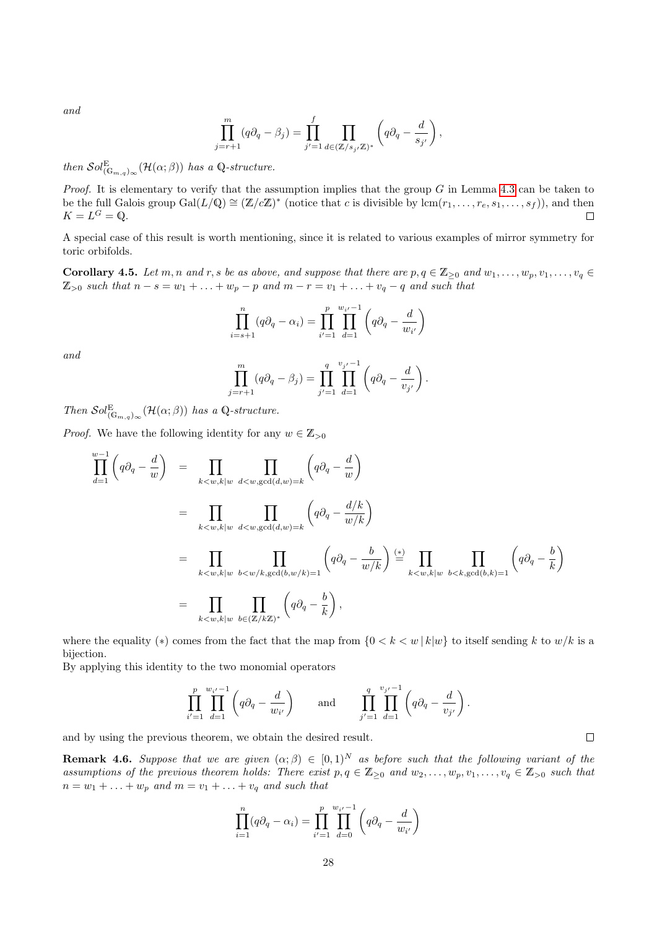and

$$
\prod_{j=r+1}^m (q\partial_q - \beta_j) = \prod_{j'=1}^f \prod_{d \in (\mathbb{Z}/s_{j'}\mathbb{Z})^*} \left(q\partial_q - \frac{d}{s_{j'}}\right),
$$

then  $Sol_{(\mathbb{G}_{m,q})_{\infty}}^{\mathbb{E}}(\mathcal{H}(\alpha;\beta))$  has a Q-structure.

*Proof.* It is elementary to verify that the assumption implies that the group  $G$  in Lemma [4.3](#page-26-1) can be taken to be the full Galois group  $Gal(L/\mathbb{Q}) \cong (\mathbb{Z}/c\mathbb{Z})^*$  (notice that c is divisible by  $lcm(r_1,\ldots,r_e,s_1,\ldots,s_f)$ ), and then  $K=L^G=\mathbb{Q}.$  $\Box$ 

A special case of this result is worth mentioning, since it is related to various examples of mirror symmetry for toric orbifolds.

**Corollary 4.5.** Let m, n and r, s be as above, and suppose that there are  $p, q \in \mathbb{Z}_{\geq 0}$  and  $w_1, \ldots, w_p, v_1, \ldots, v_q \in$  $\mathbb{Z}_{>0}$  such that  $n-s=w_1+\ldots+w_p-p$  and  $m-r=v_1+\ldots+v_q-q$  and such that

$$
\prod_{i=s+1}^{n} (q\partial_q - \alpha_i) = \prod_{i'=1}^{p} \prod_{d=1}^{w_{i'}-1} \left( q\partial_q - \frac{d}{w_{i'}} \right)
$$

and

$$
\prod_{j=r+1}^{m} (q\partial_q - \beta_j) = \prod_{j'=1}^{q} \prod_{d=1}^{v_{j'}-1} \left( q\partial_q - \frac{d}{v_{j'}} \right).
$$

Then  $\mathcal{S}ol_{(\mathbb{G}_{m,q})_{\infty}}^{\mathbb{E}}(\mathcal{H}(\alpha;\beta))$  has a Q-structure.

*Proof.* We have the following identity for any  $w \in \mathbb{Z}_{>0}$ 

$$
\prod_{d=1}^{w-1} \left( q \partial_q - \frac{d}{w} \right) = \prod_{k < w, k \mid w} \prod_{d < w, \gcd(d, w) = k} \left( q \partial_q - \frac{d}{w} \right)
$$
\n
$$
= \prod_{k < w, k \mid w} \prod_{d < w, \gcd(d, w) = k} \left( q \partial_q - \frac{d/k}{w/k} \right)
$$
\n
$$
= \prod_{k < w, k \mid w} \prod_{b < w / k, \gcd(b, w / k) = 1} \left( q \partial_q - \frac{b}{w/k} \right) \stackrel{(*)}{=} \prod_{k < w, k \mid w} \prod_{b < k, \gcd(b, k) = 1} \left( q \partial_q - \frac{b}{k} \right)
$$
\n
$$
= \prod_{k < w, k \mid w} \prod_{b \in (\mathbb{Z}/k\mathbb{Z})^*} \left( q \partial_q - \frac{b}{k} \right),
$$

where the equality (\*) comes from the fact that the map from  $\{0 < k < w | k|w\}$  to itself sending k to  $w/k$  is a bijection.

By applying this identity to the two monomial operators

$$
\prod_{i'=1}^p \prod_{d=1}^{w_{i'}-1} \left( q \partial_q - \frac{d}{w_{i'}} \right) \quad \text{and} \quad \prod_{j'=1}^q \prod_{d=1}^{v_{j'}-1} \left( q \partial_q - \frac{d}{v_{j'}} \right).
$$

and by using the previous theorem, we obtain the desired result.

**Remark 4.6.** Suppose that we are given  $(\alpha; \beta) \in [0, 1)^N$  as before such that the following variant of the assumptions of the previous theorem holds: There exist  $p, q \in \mathbb{Z}_{\geq 0}$  and  $w_2, \ldots, w_p, v_1, \ldots, v_q \in \mathbb{Z}_{\geq 0}$  such that  $n = w_1 + \ldots + w_p$  and  $m = v_1 + \ldots + v_q$  and such that

$$
\prod_{i=1}^{n} (q\partial_q - \alpha_i) = \prod_{i'=1}^{p} \prod_{d=0}^{w_{i'}-1} \left( q\partial_q - \frac{d}{w_{i'}} \right)
$$

 $\Box$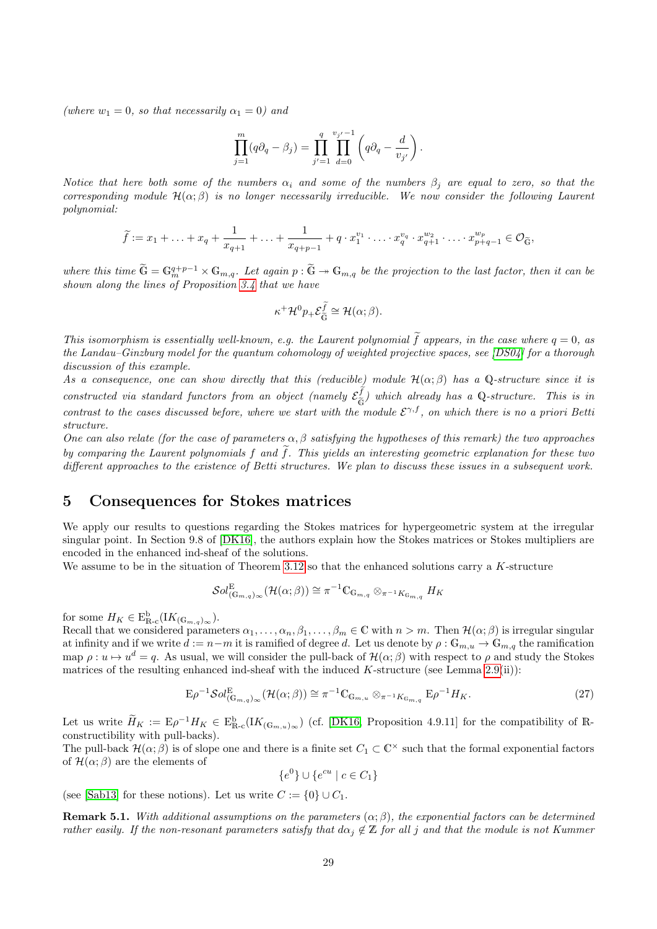(where  $w_1 = 0$ , so that necessarily  $\alpha_1 = 0$ ) and

$$
\prod_{j=1}^m (q\partial_q - \beta_j) = \prod_{j'=1}^q \prod_{d=0}^{v_{j'}-1} \left( q\partial_q - \frac{d}{v_{j'}} \right).
$$

Notice that here both some of the numbers  $\alpha_i$  and some of the numbers  $\beta_i$  are equal to zero, so that the corresponding module  $\mathcal{H}(\alpha;\beta)$  is no longer necessarily irreducible. We now consider the following Laurent polynomial:

$$
\widetilde{f} := x_1 + \ldots + x_q + \frac{1}{x_{q+1}} + \ldots + \frac{1}{x_{q+p-1}} + q \cdot x_1^{v_1} \cdot \ldots \cdot x_q^{v_q} \cdot x_{q+1}^{w_2} \cdot \ldots \cdot x_{p+q-1}^{w_p} \in \mathcal{O}_{\widetilde{\mathbb{G}}},
$$

where this time  $\widetilde{\mathbb{G}} = \mathbb{G}_m^{q+p-1} \times \mathbb{G}_{m,q}$ . Let again  $p : \widetilde{\mathbb{G}} \to \mathbb{G}_{m,q}$  be the projection to the last factor, then it can be shown along the lines of Proposition [3.4](#page-14-0) that we have

$$
\kappa^+ \mathcal{H}^0 p_+ \mathcal{E}_{\widetilde{\mathbb{G}}}^{\widetilde{f}} \cong \mathcal{H}(\alpha;\beta).
$$

This isomorphism is essentially well-known, e.g. the Laurent polynomial  $\tilde{f}$  appears, in the case where  $q=0$ , as the Landau–Ginzburg model for the quantum cohomology of weighted projective spaces, see [\[DS04\]](#page-33-11) for a thorough discussion of this example.

As a consequence, one can show directly that this (reducible) module  $\mathcal{H}(\alpha;\beta)$  has a Q-structure since it is constructed via standard functors from an object (namely  $\mathcal{E}_{\widetilde{\epsilon}}^f$  $\frac{df}{G}$ ) which already has a Q-structure. This is in contrast to the cases discussed before, where we start with the module  $\mathcal{E}^{\gamma,f}$ , on which there is no a priori Betta structure.

One can also relate (for the case of parameters  $\alpha, \beta$  satisfying the hypotheses of this remark) the two approaches by comparing the Laurent polynomials f and  $\tilde{f}$ . This yields an interesting geometric explanation for these two different approaches to the existence of Betti structures. We plan to discuss these issues in a subsequent work.

### <span id="page-28-0"></span>5 Consequences for Stokes matrices

We apply our results to questions regarding the Stokes matrices for hypergeometric system at the irregular singular point. In Section 9.8 of [\[DK16\]](#page-33-3), the authors explain how the Stokes matrices or Stokes multipliers are encoded in the enhanced ind-sheaf of the solutions.

We assume to be in the situation of Theorem [3.12](#page-24-0) so that the enhanced solutions carry a  $K$ -structure

$$
\mathcal{S}ol_{(\mathbb{G}_{m,q})_{\infty}}^{\mathbb{E}}(\mathcal{H}(\alpha;\beta))\cong \pi^{-1}\mathbb{C}_{\mathbb{G}_{m,q}}\otimes_{\pi^{-1}K_{\mathbb{G}_{m,q}}}H_{K}
$$

for some  $H_K \in \mathrm{E}^{\mathrm{b}}_{\mathbb{R}\text{-}\mathrm{c}}(K_{(\mathbb{G}_{m,q})_{\infty}}).$ 

Recall that we considered parameters  $\alpha_1, \ldots, \alpha_n, \beta_1, \ldots, \beta_m \in \mathbb{C}$  with  $n > m$ . Then  $\mathcal{H}(\alpha; \beta)$  is irregular singular at infinity and if we write  $d := n-m$  it is ramified of degree d. Let us denote by  $\rho : \mathbb{G}_{m,u} \to \mathbb{G}_{m,q}$  the ramification map  $\rho: u \mapsto u^d = q$ . As usual, we will consider the pull-back of  $\mathcal{H}(\alpha;\beta)$  with respect to  $\rho$  and study the Stokes matrices of the resulting enhanced ind-sheaf with the induced K-structure (see Lemma  $2.9(ii)$ ):

$$
\mathcal{E}\rho^{-1}\mathcal{S}ol_{(\mathbb{G}_{m,q})_{\infty}}^{E}(\mathcal{H}(\alpha;\beta))\cong\pi^{-1}\mathbb{C}_{\mathbb{G}_{m,u}}\otimes_{\pi^{-1}K_{\mathbb{G}_{m,q}}}E\rho^{-1}H_{K}.
$$
\n(27)

Let us write  $\widetilde{H}_K := \mathbf{E} \rho^{-1} H_K \in \mathbf{E}_{\mathbb{R}-c}^{\mathbf{b}} (K_{(\mathbb{G}_{m,u})_{\infty}})$  (cf. [\[DK16,](#page-33-3) Proposition 4.9.11] for the compatibility of  $\mathbb{R}$ constructibility with pull-backs).

The pull-back  $\mathcal{H}(\alpha;\beta)$  is of slope one and there is a finite set  $C_1 \subset \mathbb{C}^\times$  such that the formal exponential factors of  $\mathcal{H}(\alpha;\beta)$  are the elements of

$$
\{e^0\} \cup \{e^{cu} \mid c \in C_1\}
$$

(see [\[Sab13\]](#page-35-8) for these notions). Let us write  $C := \{0\} \cup C_1$ .

<span id="page-28-1"></span>**Remark 5.1.** With additional assumptions on the parameters  $(\alpha; \beta)$ , the exponential factors can be determined rather easily. If the non-resonant parameters satisfy that  $d\alpha_i \notin \mathbb{Z}$  for all j and that the module is not Kummer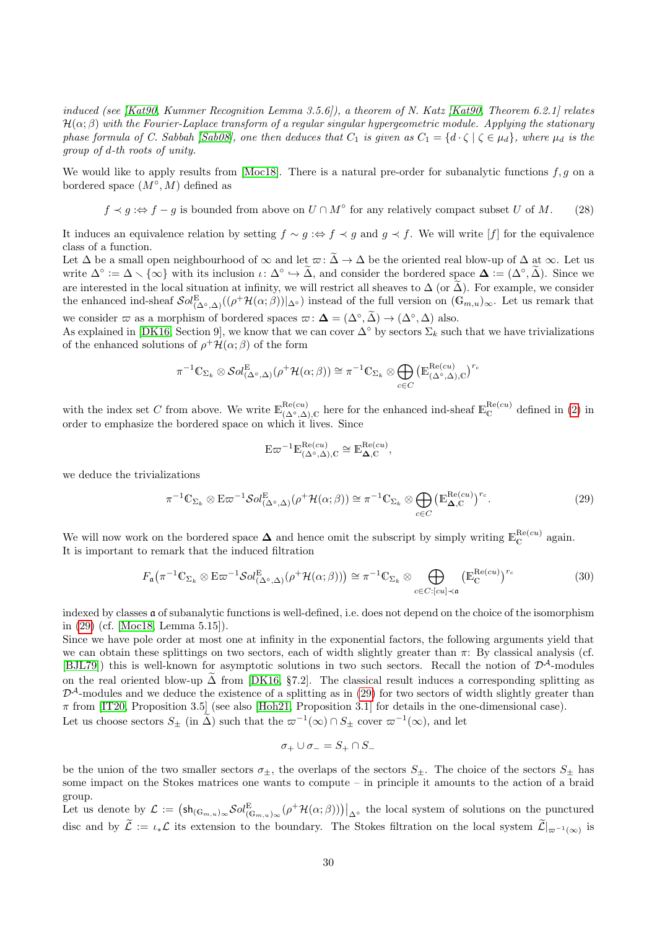induced (see [\[Kat90,](#page-34-15) Kummer Recognition Lemma 3.5.6]), a theorem of N. Katz [Kat90, Theorem 6.2.1] relates  $\mathcal{H}(\alpha;\beta)$  with the Fourier-Laplace transform of a regular singular hypergeometric module. Applying the stationary phase formula of C. Sabbah [\[Sab08\]](#page-35-9), one then deduces that  $C_1$  is given as  $C_1 = \{d \cdot \zeta \mid \zeta \in \mu_d\}$ , where  $\mu_d$  is the group of d-th roots of unity.

We would like to apply results from [\[Moc18\]](#page-34-14). There is a natural pre-order for subanalytic functions  $f, g$  on a bordered space  $(M^{\circ}, M)$  defined as

<span id="page-29-2"></span>
$$
f \prec g : \Leftrightarrow f - g
$$
 is bounded from above on  $U \cap M^{\circ}$  for any relatively compact subset U of M. (28)

It induces an equivalence relation by setting  $f \sim g : \Leftrightarrow f \prec g$  and  $g \prec f$ . We will write  $[f]$  for the equivalence class of a function.

Let  $\Delta$  be a small open neighbourhood of  $\infty$  and let  $\varpi$ :  $\widetilde{\Delta} \to \Delta$  be the oriented real blow-up of  $\Delta$  at  $\infty$ . Let us write  $\Delta^{\circ} := \Delta \setminus \{\infty\}$  with its inclusion  $\iota \colon \Delta^{\circ} \hookrightarrow \tilde{\Delta}$ , and consider the bordered space  $\Delta := (\Delta^{\circ}, \tilde{\Delta})$ . Since we are interested in the local situation at infinity, we will restrict all sheaves to  $\Delta$  (or  $\tilde{\Delta}$ ). For example, we consider the enhanced ind-sheaf  $\mathcal{S}ol_{(\Delta^{\circ}, \Delta)}^{E}((\rho^+\mathcal{H}(\alpha;\beta))|_{\Delta^{\circ}})$  instead of the full version on  $(\mathbb{G}_{m,u})_{\infty}$ . Let us remark that we consider  $\varpi$  as a morphism of bordered spaces  $\varpi$ :  $\Delta = (\Delta^{\circ}, \tilde{\Delta}) \rightarrow (\Delta^{\circ}, \Delta)$  also.

As explained in [\[DK16,](#page-33-3) Section 9], we know that we can cover  $\Delta^{\circ}$  by sectors  $\Sigma_k$  such that we have trivializations of the enhanced solutions of  $\rho^+ \mathcal{H}(\alpha;\beta)$  of the form

$$
\pi^{-1}\mathbb{C}_{\Sigma_k} \otimes Sol_{(\Delta^{\circ},\Delta)}^{\mathbb{E}}(\rho^+ \mathcal{H}(\alpha;\beta)) \cong \pi^{-1}\mathbb{C}_{\Sigma_k} \otimes \bigoplus_{c \in C} \left(\mathbb{E}_{(\Delta^{\circ},\Delta),\mathbb{C}}^{\text{Re}(cu)}\right)^{r_c}
$$

with the index set C from above. We write  $\mathbb{E}_{(\Delta^{\circ}, \Delta), \mathbb{C}}^{\text{Re}(cu)}$  here for the enhanced ind-sheaf  $\mathbb{E}_{\mathbb{C}}^{\text{Re}(cu)}$  defined in [\(2\)](#page-2-2) in order to emphasize the bordered space on which it lives. Since

$$
E\varpi^{-1}E_{(\Delta^{\circ},\Delta),C}^{Re(cu)} \cong E_{\Delta,C}^{Re(cu)},
$$

we deduce the trivializations

<span id="page-29-0"></span>
$$
\pi^{-1} \mathbb{C}_{\Sigma_k} \otimes \mathbb{E} \varpi^{-1} \mathcal{S}ol^{\mathbb{E}}_{(\Delta^{\circ}, \Delta)}(\rho^+ \mathcal{H}(\alpha; \beta)) \cong \pi^{-1} \mathbb{C}_{\Sigma_k} \otimes \bigoplus_{c \in C} \left( \mathbb{E}^{\mathrm{Re}(cu)}_{\Delta, C} \right)^{r_c}.
$$
 (29)

We will now work on the bordered space  $\Delta$  and hence omit the subscript by simply writing  $\mathbb{E}_{\mathbb{C}}^{\text{Re}(cu)}$  again. It is important to remark that the induced filtration

<span id="page-29-1"></span>
$$
F_{\mathfrak{a}}(\pi^{-1}\mathbb{C}_{\Sigma_k} \otimes \mathbb{E}\varpi^{-1}\mathcal{S}ol_{(\Delta^{\circ},\Delta)}^{\mathbb{E}}(\rho^+\mathcal{H}(\alpha;\beta))) \cong \pi^{-1}\mathbb{C}_{\Sigma_k} \otimes \bigoplus_{c \in C: [cu] \prec \mathfrak{a}} \left(\mathbb{E}_{\mathbb{C}}^{\mathrm{Re}(cu)}\right)^{r_c}
$$
(30)

indexed by classes a of subanalytic functions is well-defined, i.e. does not depend on the choice of the isomorphism in [\(29\)](#page-29-0) (cf. [\[Moc18,](#page-34-14) Lemma 5.15]).

Since we have pole order at most one at infinity in the exponential factors, the following arguments yield that we can obtain these splittings on two sectors, each of width slightly greater than  $\pi$ : By classical analysis (cf. [\[BJL79\]](#page-33-12)) this is well-known for asymptotic solutions in two such sectors. Recall the notion of  $\mathcal{D}^{\mathcal{A}}$ -modules on the real oriented blow-up  $\tilde{\Delta}$  from [\[DK16,](#page-33-3) §7.2]. The classical result induces a corresponding splitting as  $\mathcal{D}^{\mathcal{A}}$ -modules and we deduce the existence of a splitting as in [\(29\)](#page-29-0) for two sectors of width slightly greater than  $\pi$  from [\[IT20,](#page-34-17) Proposition 3.5] (see also [\[Hoh21,](#page-34-18) Proposition 3.1] for details in the one-dimensional case). Let us choose sectors  $S_{\pm}$  (in  $\tilde{\Delta}$ ) such that the  $\varpi^{-1}(\infty) \cap S_{\pm}$  cover  $\varpi^{-1}(\infty)$ , and let

$$
\sigma_+\cup\sigma_-=S_+\cap S_-
$$

be the union of the two smaller sectors  $\sigma_{\pm}$ , the overlaps of the sectors  $S_{\pm}$ . The choice of the sectors  $S_{\pm}$  has some impact on the Stokes matrices one wants to compute – in principle it amounts to the action of a braid group.

Let us denote by  $\mathcal{L} := (\mathsf{sh}_{(\mathbb{G}_{m,u})_{\infty}} \mathcal{S}ol_{(\mathbb{G}_{m,u})_{\infty}}^E(\rho^+ \mathcal{H}(\alpha;\beta)))|_{\Delta^{\circ}}$  the local system of solutions on the punctured disc and by  $\mathcal{L} := \iota_* \mathcal{L}$  its extension to the boundary. The Stokes filtration on the local system  $\mathcal{L}|_{\varpi^{-1}(\infty)}$  is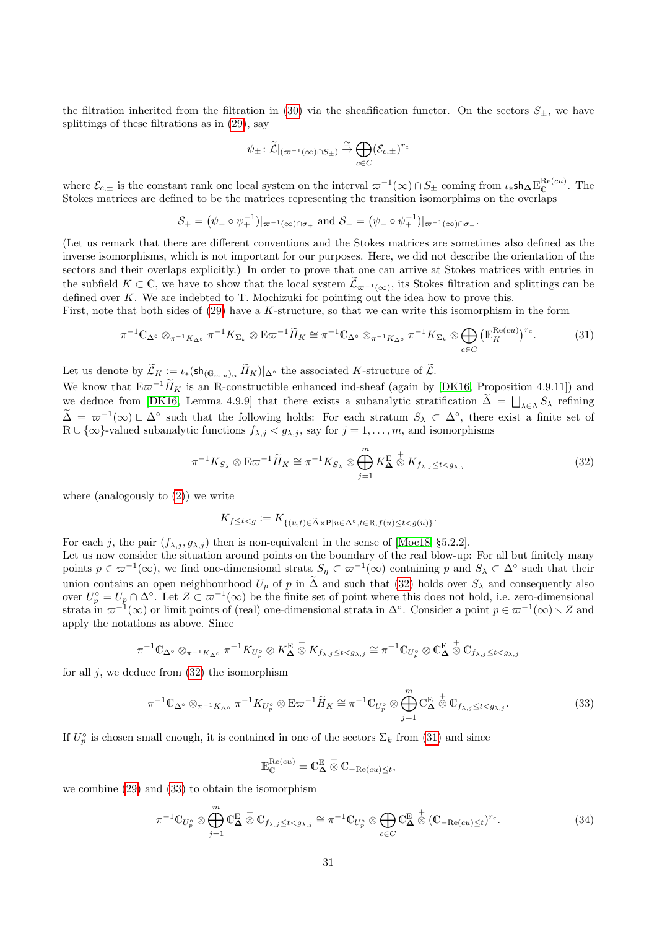the filtration inherited from the filtration in [\(30\)](#page-29-1) via the sheafification functor. On the sectors  $S_{\pm}$ , we have splittings of these filtrations as in [\(29\)](#page-29-0), say

$$
\psi_{\pm} : \widetilde{\mathcal{L}}|_{(\varpi^{-1}(\infty) \cap S_{\pm})} \stackrel{\cong}{\rightarrow} \bigoplus_{c \in C} (\mathcal{E}_{c,\pm})^{r_c}
$$

where  $\mathcal{E}_{c,\pm}$  is the constant rank one local system on the interval  $\varpi^{-1}(\infty) \cap S_{\pm}$  coming from  $\iota_*$ sh $\Delta \mathbb{E}_{\mathbb{C}}^{\text{Re}(cu)}$ . The Stokes matrices are defined to be the matrices representing the transition isomorphims on the overlaps

$$
\mathcal{S}_+=\big(\psi_-\circ\psi_+^{-1})|_{\varpi^{-1}(\infty)\cap\sigma_+}\text{ and }\mathcal{S}_-=\big(\psi_-\circ\psi_+^{-1})|_{\varpi^{-1}(\infty)\cap\sigma_-}.
$$

(Let us remark that there are different conventions and the Stokes matrices are sometimes also defined as the inverse isomorphisms, which is not important for our purposes. Here, we did not describe the orientation of the sectors and their overlaps explicitly.) In order to prove that one can arrive at Stokes matrices with entries in the subfield  $K \subset \mathbb{C}$ , we have to show that the local system  $\widetilde{\mathcal{L}}_{\varpi^{-1}(\infty)}$ , its Stokes filtration and splittings can be defined over K. We are indebted to T. Mochizuki for pointing out the idea how to prove this.

First, note that both sides of [\(29\)](#page-29-0) have a K-structure, so that we can write this isomorphism in the form

<span id="page-30-1"></span>
$$
\pi^{-1}\mathbb{C}_{\Delta^{\circ}}\otimes_{\pi^{-1}K_{\Delta^{\circ}}} \pi^{-1}K_{\Sigma_k}\otimes \mathbb{E}\varpi^{-1}\widetilde{H}_K \cong \pi^{-1}\mathbb{C}_{\Delta^{\circ}}\otimes_{\pi^{-1}K_{\Delta^{\circ}}} \pi^{-1}K_{\Sigma_k}\otimes \bigoplus_{c\in C} \left(\mathbb{E}_K^{\mathrm{Re}(cu)}\right)^{r_c}.\tag{31}
$$

Let us denote by  $\widetilde{\mathcal{L}}_K := \iota_*(\mathsf{sh}_{(\mathbb{G}_{m,u})_\infty} \widetilde{H}_K)|_{\Delta^\circ}$  the associated K-structure of  $\widetilde{\mathcal{L}}$ .

We know that  $E\varpi^{-1}\widetilde{H}_K$  is an R-constructible enhanced ind-sheaf (again by [\[DK16,](#page-33-3) Proposition 4.9.11]) and we deduce from [\[DK16,](#page-33-3) Lemma 4.9.9] that there exists a subanalytic stratification  $\Delta = \bigsqcup_{\lambda \in \Lambda} S_{\lambda}$  refining  $\tilde{\Delta} = \varpi^{-1}(\infty) \sqcup \Delta^{\circ}$  such that the following holds: For each stratum  $S_{\lambda} \subset \Delta^{\circ}$ , there exist a finite set of  $\mathbb{R} \cup \{\infty\}$ -valued subanalytic functions  $f_{\lambda,j} < g_{\lambda,j}$ , say for  $j = 1, \ldots, m$ , and isomorphisms

<span id="page-30-0"></span>
$$
\pi^{-1}K_{S_{\lambda}} \otimes \mathbf{E}\varpi^{-1}\widetilde{H}_K \cong \pi^{-1}K_{S_{\lambda}} \otimes \bigoplus_{j=1}^m K_{\Delta}^{\mathbf{E}} \overset{+}{\otimes} K_{f_{\lambda,j} \leq t < g_{\lambda,j}} \tag{32}
$$

where (analogously to  $(2)$ ) we write

$$
K_f \leq t < g := K_{\{(u,t) \in \widetilde{\Delta} \times \mathsf{P} | u \in \Delta^\circ, t \in \mathbb{R}, f(u) \leq t < g(u)\}}.
$$

For each j, the pair  $(f_{\lambda,j}, g_{\lambda,j})$  then is non-equivalent in the sense of [\[Moc18,](#page-34-14) §5.2.2]. Let us now consider the situation around points on the boundary of the real blow-up: For all but finitely many points  $p \in \varpi^{-1}(\infty)$ , we find one-dimensional strata  $S_{\eta} \subset \varpi^{-1}(\infty)$  containing p and  $S_{\lambda} \subset \Delta^{\circ}$  such that their union contains an open neighbourhood  $U_p$  of p in  $\Delta$  and such that [\(32\)](#page-30-0) holds over  $S_\lambda$  and consequently also<br>over  $U_p^{\circ} = U_p \cap \Delta^{\circ}$ . Let  $Z \subset \varpi^{-1}(\infty)$  be the finite set of point where this does not hold, i.e. zero strata in  $\varpi^{-1}(\infty)$  or limit points of (real) one-dimensional strata in  $\Delta^{\circ}$ . Consider a point  $p \in \varpi^{-1}(\infty) \setminus Z$  and apply the notations as above. Since

$$
\pi^{-1}\mathbb{C}_{\Delta^{\circ}}\otimes_{\pi^{-1}K_{\Delta^{\circ}}}\pi^{-1}K_{U_{p}^{\circ}}\otimes K_{\Delta}^{E} \overset{+}{\otimes}K_{f_{\lambda,j}\leq t < g_{\lambda,j}}\cong \pi^{-1}\mathbb{C}_{U_{p}^{\circ}}\otimes \mathbb{C}_{\Delta}^{E} \overset{+}{\otimes} \mathbb{C}_{f_{\lambda,j}\leq t < g_{\lambda,j}}
$$

for all  $j$ , we deduce from  $(32)$  the isomorphism

<span id="page-30-2"></span>
$$
\pi^{-1}\mathbb{C}_{\Delta^{\circ}}\otimes_{\pi^{-1}K_{\Delta^{\circ}}}\pi^{-1}K_{U_p^{\circ}}\otimes \mathbb{E}\varpi^{-1}\widetilde{H}_K \cong \pi^{-1}\mathbb{C}_{U_p^{\circ}}\otimes \bigoplus_{j=1}^m \mathbb{C}_{\Delta}^{\mathbb{E}}\overset{+}{\otimes} \mathbb{C}_{f_{\lambda,j}\leq t\n(33)
$$

If  $U_p^{\circ}$  is chosen small enough, it is contained in one of the sectors  $\Sigma_k$  from [\(31\)](#page-30-1) and since

$$
\mathbb{E}_{\mathbb{C}}^{\mathrm{Re}(cu)}=\mathbb{C}_{\boldsymbol{\Delta}}^{\mathrm{E}}\overset{+}{\otimes}\mathbb{C}_{-\mathrm{Re}(cu)\leq t},
$$

we combine [\(29\)](#page-29-0) and [\(33\)](#page-30-2) to obtain the isomorphism

<span id="page-30-3"></span>
$$
\pi^{-1} \mathbb{C}_{U_p^{\circ}} \otimes \bigoplus_{j=1}^m \mathbb{C}_{\Delta}^{\mathcal{E}} \stackrel{+}{\otimes} \mathbb{C}_{f_{\lambda,j} \leq t < g_{\lambda,j}} \cong \pi^{-1} \mathbb{C}_{U_p^{\circ}} \otimes \bigoplus_{c \in C} \mathbb{C}_{\Delta}^{\mathcal{E}} \stackrel{+}{\otimes} (\mathbb{C}_{-\text{Re}(cu) \leq t})^{r_c}.
$$
\n
$$
(34)
$$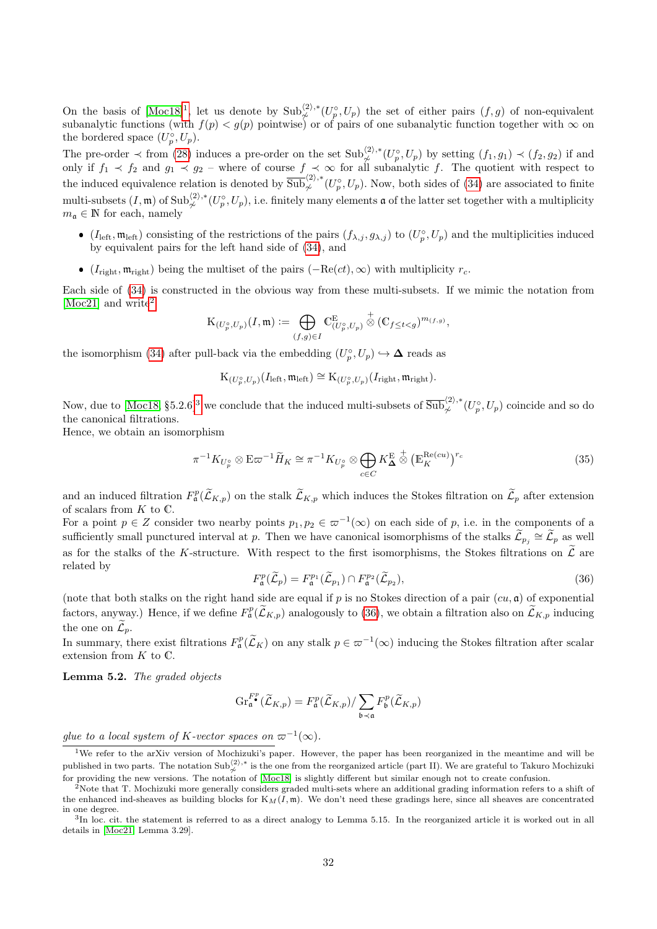On the basis of  $[{\rm Moc18}]^1$  $[{\rm Moc18}]^1$  $[{\rm Moc18}]^1$ , let us denote by  ${\rm Sub}^{(2),*}_{\not \sim}(U^{\circ}_p, U_p)$  the set of either pairs  $(f, g)$  of non-equivalent subanalytic functions (with  $f(p) < g(p)$  pointwise) or of pairs of one subanalytic function together with  $\infty$  on the bordered space  $(U_p^{\circ}, U_p)$ .

The pre-order  $\prec$  from [\(28\)](#page-29-2) induces a pre-order on the set  $\text{Sub}_{\not\sim}^{\langle 2 \rangle, *}(U_p^{\circ}, U_p)$  by setting  $(f_1, g_1) \prec (f_2, g_2)$  if and only if  $f_1 \prec f_2$  and  $g_1 \prec g_2$  – where of course  $f \prec \infty$  for all subanalytic f. The quotient with respect to the induced equivalence relation is denoted by  $\overline{\text{Sub}}_{\not\sim}^{\langle 2 \rangle, *}(U_p^{\circ}, U_p)$ . Now, both sides of [\(34\)](#page-30-3) are associated to finite multi-subsets  $(I, \mathfrak{m})$  of  $\text{Sub}_{\not\sim}^{\langle 2 \rangle, *}(U_p^{\circ}, U_p)$ , i.e. finitely many elements  $\mathfrak{a}$  of the latter set together with a multiplicity  $m_{\mathfrak{a}} \in \mathbb{N}$  for each, namely

- $(I_{\text{left}}, \mathfrak{m}_{\text{left}})$  consisting of the restrictions of the pairs  $(f_{\lambda,j}, g_{\lambda,j})$  to  $(U_p^{\circ}, U_p)$  and the multiplicities induced by equivalent pairs for the left hand side of [\(34\)](#page-30-3), and
- ( $I_{\text{right}}, \mathfrak{m}_{\text{right}}$ ) being the multiset of the pairs ( $-\text{Re}(ct), \infty$ ) with multiplicity  $r_c$ .

Each side of [\(34\)](#page-30-3) is constructed in the obvious way from these multi-subsets. If we mimic the notation from [\[Moc21\]](#page-34-19) and write<sup>[2](#page-31-1)</sup>

$$
\mathcal{K}_{(U^\circ_p,U_p)}(I,\mathfrak{m}):=\bigoplus_{(f,g)\in I}\mathbb{C}^\mathcal{E}_{(U^\circ_p,U_p)}\overset{+}{\otimes} (\mathbb{C}_{f\leq t< g})^{m_{(f,g)}},
$$

the isomorphism [\(34\)](#page-30-3) after pull-back via the embedding  $(U_p^{\circ}, U_p) \hookrightarrow \mathbf{\Delta}$  reads as

$$
\mathrm{K}_{(U_p^{\circ}, U_p)}(I_{\mathrm{left}}, \mathfrak{m}_{\mathrm{left}}) \cong \mathrm{K}_{(U_p^{\circ}, U_p)}(I_{\mathrm{right}}, \mathfrak{m}_{\mathrm{right}}).
$$

Now, due to [\[Moc18,](#page-34-14) §5.2.6]<sup>[3](#page-31-2)</sup> we conclude that the induced multi-subsets of  $\overline{\text{Sub}}_{\not\sim}^{(2),*}(U_p^{\circ}, U_p)$  coincide and so do the canonical filtrations.

Hence, we obtain an isomorphism

$$
\pi^{-1} K_{U_p^{\circ}} \otimes \mathbf{E} \varpi^{-1} \widetilde{H}_K \cong \pi^{-1} K_{U_p^{\circ}} \otimes \bigoplus_{c \in C} K_{\Delta}^{\mathbf{E}} \overset{+}{\otimes} \left( \mathbb{E}_K^{\text{Re}(cu)} \right)^{r_c} \tag{35}
$$

and an induced filtration  $F_{\mathfrak{a}}^p(\widetilde{\mathcal{L}}_{K,p})$  on the stalk  $\widetilde{\mathcal{L}}_{K,p}$  which induces the Stokes filtration on  $\widetilde{\mathcal{L}}_p$  after extension of scalars from  $K$  to  $\mathbb{C}.$ 

For a point  $p \in Z$  consider two nearby points  $p_1, p_2 \in \varpi^{-1}(\infty)$  on each side of p, i.e. in the components of a sufficiently small punctured interval at p. Then we have canonical isomorphisms of the stalks  $\widetilde{\mathcal{L}}_{p_j} \cong \widetilde{\mathcal{L}}_p$  as well as for the stalks of the K-structure. With respect to the first isomorphisms, the Stokes filtrations on  $\tilde{\mathcal{L}}$  are related by

<span id="page-31-3"></span>
$$
F_{\mathfrak{a}}^p(\widetilde{\mathcal{L}}_p) = F_{\mathfrak{a}}^{p_1}(\widetilde{\mathcal{L}}_{p_1}) \cap F_{\mathfrak{a}}^{p_2}(\widetilde{\mathcal{L}}_{p_2}),\tag{36}
$$

(note that both stalks on the right hand side are equal if p is no Stokes direction of a pair  $(cu, \mathfrak{a})$  of exponential factors, anyway.) Hence, if we define  $F^p_{\mathfrak{a}}(\widetilde{\mathcal{L}}_{K,p})$  analogously to [\(36\)](#page-31-3), we obtain a filtration also on  $\widetilde{\mathcal{L}}_{K,p}$  inducing the one on  $\mathcal{L}_p$ .

In summary, there exist filtrations  $F_{\mathfrak{a}}^p(\widetilde{\mathcal{L}}_K)$  on any stalk  $p \in \varpi^{-1}(\infty)$  inducing the Stokes filtration after scalar extension from K to C.

<span id="page-31-4"></span>Lemma 5.2. The graded objects

$$
\mathrm{Gr}^{F^\mathbf{p}}_{\mathfrak{a}}(\widetilde{\mathcal{L}}_{K,p})=F^p_{\mathfrak{a}}(\widetilde{\mathcal{L}}_{K,p})/\sum_{\mathfrak{b}\prec\mathfrak{a}}F^p_{\mathfrak{b}}(\widetilde{\mathcal{L}}_{K,p})
$$

glue to a local system of K-vector spaces on  $\varpi^{-1}(\infty)$ .

<span id="page-31-0"></span><sup>1</sup>We refer to the arXiv version of Mochizuki's paper. However, the paper has been reorganized in the meantime and will be published in two parts. The notation Sub $\frac{\langle 2 \rangle,*}{\varphi}$  is the one from the reorganized article (part II). We are grateful to Takuro Mochizuki for providing the new versions. The notation of [\[Moc18\]](#page-34-14) is slightly different but similar enough not to create confusion.

<span id="page-31-1"></span> $2$ Note that T. Mochizuki more generally considers graded multi-sets where an additional grading information refers to a shift of the enhanced ind-sheaves as building blocks for  $K_M(I, \mathfrak{m})$ . We don't need these gradings here, since all sheaves are concentrated in one degree.

<span id="page-31-2"></span><sup>&</sup>lt;sup>3</sup>In loc. cit. the statement is referred to as a direct analogy to Lemma 5.15. In the reorganized article it is worked out in all details in [\[Moc21,](#page-34-19) Lemma 3.29].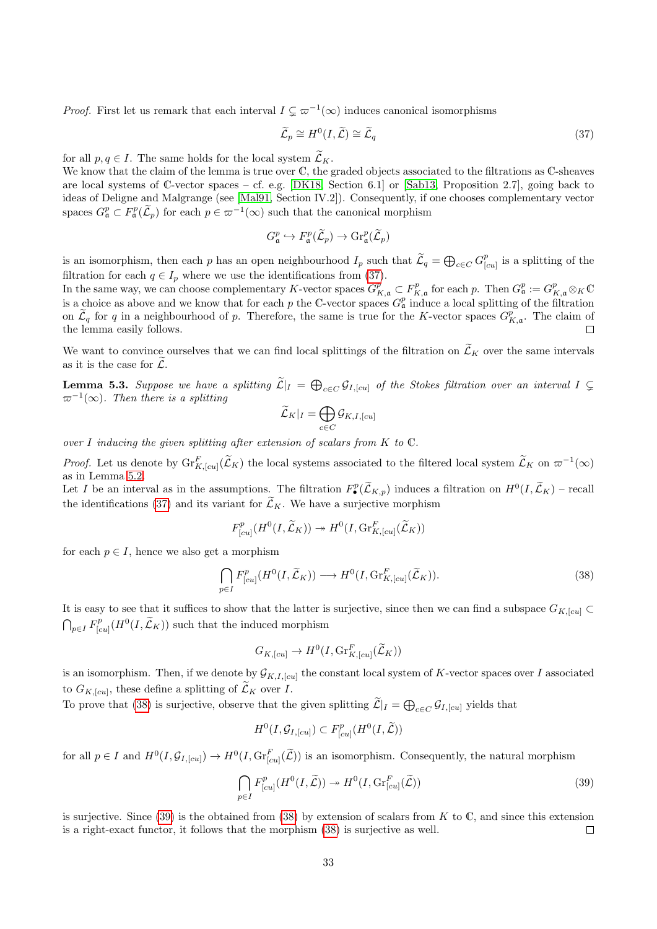*Proof.* First let us remark that each interval  $I \subsetneq \varpi^{-1}(\infty)$  induces canonical isomorphisms

<span id="page-32-0"></span>
$$
\widetilde{\mathcal{L}}_p \cong H^0(I, \widetilde{\mathcal{L}}) \cong \widetilde{\mathcal{L}}_q \tag{37}
$$

for all  $p, q \in I$ . The same holds for the local system  $\widetilde{\mathcal{L}}_K$ .

We know that the claim of the lemma is true over C, the graded objects associated to the filtrations as C-sheaves are local systems of C-vector spaces – cf. e.g. [\[DK18,](#page-33-13) Section 6.1] or [\[Sab13,](#page-35-8) Proposition 2.7], going back to ideas of Deligne and Malgrange (see [\[Mal91,](#page-34-20) Section IV.2]). Consequently, if one chooses complementary vector spaces  $G_{\mathfrak{a}}^p \subset F_{\mathfrak{a}}^p(\widetilde{\mathcal{L}}_p)$  for each  $p \in \varpi^{-1}(\infty)$  such that the canonical morphism

$$
G_{\mathfrak{a}}^p \hookrightarrow F_{\mathfrak{a}}^p(\widetilde{\mathcal{L}}_p) \to \mathrm{Gr}_{\mathfrak{a}}^p(\widetilde{\mathcal{L}}_p)
$$

is an isomorphism, then each p has an open neighbourhood  $I_p$  such that  $\widetilde{\mathcal{L}}_q = \bigoplus_{c \in C} G^p$  $\int_{[cu]}^p$  is a splitting of the filtration for each  $q \in I_p$  where we use the identifications from [\(37\)](#page-32-0).

In the same way, we can choose complementary K-vector spaces  $G_{K,\mathfrak{a}}^p \subset F_{K,\mathfrak{a}}^p$  for each p. Then  $G_{\mathfrak{a}}^p := G_{K,\mathfrak{a}}^p \otimes_K \mathbb{C}$ is a choice as above and we know that for each p the C-vector spaces  $G^p_\mathfrak{a}$  induce a local splitting of the filtration on  $\widetilde{\mathcal{L}}_q$  for q in a neighbourhood of p. Therefore, the same is true for the K-vector spaces  $G_{K,\mathfrak{a}}^p$ . The claim of the lemma easily follows.  $\Box$ 

We want to convince ourselves that we can find local splittings of the filtration on  $\widetilde{\mathcal{L}}_K$  over the same intervals as it is the case for  $\mathcal{L}$ .

<span id="page-32-3"></span>**Lemma 5.3.** Suppose we have a splitting  $\widetilde{\mathcal{L}}|_{I} = \bigoplus_{c \in C} \mathcal{G}_{I,[cu]}$  of the Stokes filtration over an interval  $I \subsetneq$  $\varpi^{-1}(\infty)$ . Then there is a splitting

$$
\widetilde{\mathcal{L}}_K|_I = \bigoplus_{c \in C} \mathcal{G}_{K,I,[cu]}
$$

over I inducing the given splitting after extension of scalars from  $K$  to  $\mathbb{C}$ .

Proof. Let us denote by  $\operatorname{Gr}_{K,[cu]}^F(\widetilde{\mathcal{L}}_K)$  the local systems associated to the filtered local system  $\widetilde{\mathcal{L}}_K$  on  $\varpi^{-1}(\infty)$ as in Lemma [5.2.](#page-31-4)

Let I be an interval as in the assumptions. The filtration  $F_{\bullet}^p(\widetilde{\mathcal{L}}_{K,p})$  induces a filtration on  $H^0(I,\widetilde{\mathcal{L}}_K)$  – recall the identifications [\(37\)](#page-32-0) and its variant for  $\tilde{\mathcal{L}}_K$ . We have a surjective morphism

$$
F_{[cu]}^p(H^0(I,\widetilde{\mathcal{L}}_K)) \twoheadrightarrow H^0(I,\mathrm{Gr}_{K,[cu]}^F(\widetilde{\mathcal{L}}_K))
$$

for each  $p \in I$ , hence we also get a morphism

<span id="page-32-1"></span>
$$
\bigcap_{p\in I} F_{[cu]}^p(H^0(I,\widetilde{\mathcal{L}}_K)) \longrightarrow H^0(I,\text{Gr}_{K,[cu]}^F(\widetilde{\mathcal{L}}_K)).
$$
\n(38)

It is easy to see that it suffices to show that the latter is surjective, since then we can find a subspace  $G_{K,[cu]} \subset$  $\bigcap_{p\in I} F_{[c]}^p$  $\lim_{[cu]} (H^0(I, \tilde{\mathcal{L}}_K))$  such that the induced morphism

$$
G_{K,[cu]}\to H^0(I,\mathrm{Gr}^F_{K,[cu]}(\widetilde{\mathcal{L}}_K))
$$

is an isomorphism. Then, if we denote by  $\mathcal{G}_{K,I,[cu]}$  the constant local system of K-vector spaces over I associated to  $G_{K,[cu]}$ , these define a splitting of  $\mathcal{L}_K$  over I.

To prove that [\(38\)](#page-32-1) is surjective, observe that the given splitting  $\mathcal{L}|_I = \bigoplus_{c \in C} \mathcal{G}_{I,[cu]}$  yields that

$$
H^0(I, \mathcal{G}_{I, [cu]}) \subset F^p_{[cu]}(H^0(I, \widetilde{\mathcal{L}}))
$$

for all  $p \in I$  and  $H^0(I, \mathcal{G}_{I, [cu]}) \to H^0(I, \text{Gr}_{[cu]}^F(\widetilde{\mathcal{L}}))$  is an isomorphism. Consequently, the natural morphism

<span id="page-32-2"></span>
$$
\bigcap_{p\in I} F_{[cu]}^p(H^0(I,\widetilde{\mathcal{L}})) \twoheadrightarrow H^0(I, \text{Gr}_{[cu]}^F(\widetilde{\mathcal{L}}))
$$
\n(39)

is surjective. Since  $(39)$  is the obtained from  $(38)$  by extension of scalars from K to C, and since this extension is a right-exact functor, it follows that the morphism [\(38\)](#page-32-1) is surjective as well.  $\Box$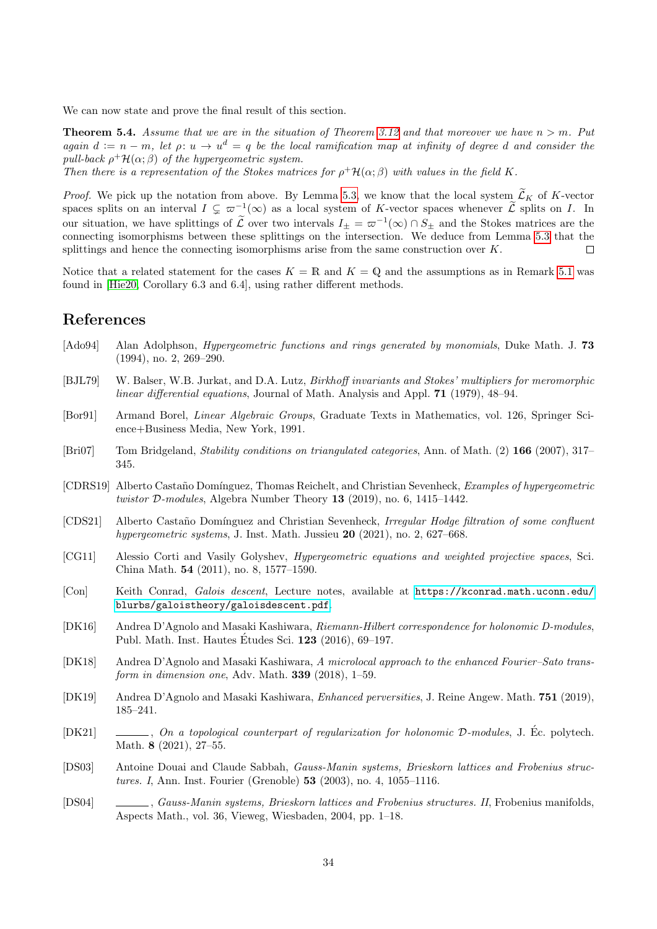We can now state and prove the final result of this section.

**Theorem 5.4.** Assume that we are in the situation of Theorem [3.12](#page-24-0) and that moreover we have  $n > m$ . Put again  $d := n - m$ , let  $\rho: u \to u^d = q$  be the local ramification map at infinity of degree d and consider the pull-back  $\rho^+ \mathcal{H}(\alpha;\beta)$  of the hypergeometric system.

Then there is a representation of the Stokes matrices for  $\rho^+ \mathcal{H}(\alpha;\beta)$  with values in the field K.

*Proof.* We pick up the notation from above. By Lemma [5.3,](#page-32-3) we know that the local system  $\tilde{\mathcal{L}}_K$  of K-vector spaces splits on an interval  $I \subsetneq \varpi^{-1}(\infty)$  as a local system of K-vector spaces whenever  $\widetilde{\mathcal{L}}$  splits on I. In our situation, we have splittings of  $\tilde{\mathcal{L}}$  over two intervals  $I_{\pm} = \varpi^{-1}(\infty) \cap S_{\pm}$  and the Stokes matrices are the connecting isomorphisms between these splittings on the intersection. We deduce from Lemma [5.3](#page-32-3) that the splittings and hence the connecting isomorphisms arise from the same construction over K.  $\Box$ 

Notice that a related statement for the cases  $K = \mathbb{R}$  and  $K = \mathbb{Q}$  and the assumptions as in Remark [5.1](#page-28-1) was found in [\[Hie20,](#page-34-21) Corollary 6.3 and 6.4], using rather different methods.

## References

- <span id="page-33-9"></span>[Ado94] Alan Adolphson, *Hypergeometric functions and rings generated by monomials*, Duke Math. J. **73** (1994), no. 2, 269–290.
- <span id="page-33-12"></span>[BJL79] W. Balser, W.B. Jurkat, and D.A. Lutz, Birkhoff invariants and Stokes' multipliers for meromorphic linear differential equations, Journal of Math. Analysis and Appl. 71 (1979), 48–94.
- <span id="page-33-6"></span>[Bor91] Armand Borel, Linear Algebraic Groups, Graduate Texts in Mathematics, vol. 126, Springer Science+Business Media, New York, 1991.
- <span id="page-33-8"></span>[Bri07] Tom Bridgeland, Stability conditions on triangulated categories, Ann. of Math. (2) 166 (2007), 317– 345.
- <span id="page-33-1"></span>[CDRS19] Alberto Castaño Domínguez, Thomas Reichelt, and Christian Sevenheck, Examples of hypergeometric twistor D-modules, Algebra Number Theory 13 (2019), no. 6, 1415–1442.
- <span id="page-33-0"></span>[CDS21] Alberto Castaño Domínguez and Christian Sevenheck, Irregular Hodge filtration of some confluent hypergeometric systems, J. Inst. Math. Jussieu 20 (2021), no. 2, 627–668.
- <span id="page-33-2"></span>[CG11] Alessio Corti and Vasily Golyshev, Hypergeometric equations and weighted projective spaces, Sci. China Math. 54 (2011), no. 8, 1577–1590.
- <span id="page-33-7"></span>[Con] Keith Conrad, Galois descent, Lecture notes, available at [https://kconrad.math.uconn.edu/](https://kconrad.math.uconn.edu/blurbs/galoistheory/galoisdescent.pdf) [blurbs/galoistheory/galoisdescent.pdf](https://kconrad.math.uconn.edu/blurbs/galoistheory/galoisdescent.pdf).
- <span id="page-33-3"></span>[DK16] Andrea D'Agnolo and Masaki Kashiwara, Riemann-Hilbert correspondence for holonomic D-modules, Publ. Math. Inst. Hautes Etudes Sci. **123** (2016), 69–197.
- <span id="page-33-13"></span>[DK18] Andrea D'Agnolo and Masaki Kashiwara, A microlocal approach to the enhanced Fourier–Sato transform in dimension one, Adv. Math. 339 (2018), 1–59.
- <span id="page-33-4"></span>[DK19] Andrea D'Agnolo and Masaki Kashiwara, Enhanced perversities, J. Reine Angew. Math. 751 (2019), 185–241.
- <span id="page-33-5"></span>[DK21]  $\qquad \qquad \qquad$ , On a topological counterpart of regularization for holonomic D-modules, J. Ec. polytech. Math. 8 (2021), 27–55.
- <span id="page-33-10"></span>[DS03] Antoine Douai and Claude Sabbah, Gauss-Manin systems, Brieskorn lattices and Frobenius structures. I, Ann. Inst. Fourier (Grenoble) 53 (2003), no. 4, 1055–1116.
- <span id="page-33-11"></span>[DS04] , Gauss-Manin systems, Brieskorn lattices and Frobenius structures. II, Frobenius manifolds, Aspects Math., vol. 36, Vieweg, Wiesbaden, 2004, pp. 1–18.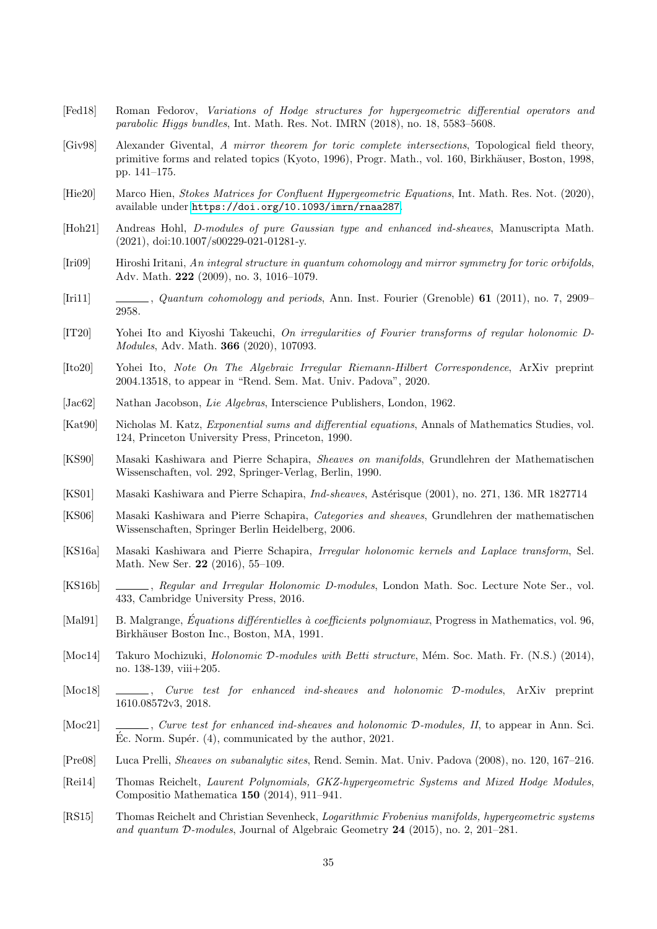- <span id="page-34-5"></span>[Fed18] Roman Fedorov, Variations of Hodge structures for hypergeometric differential operators and parabolic Higgs bundles, Int. Math. Res. Not. IMRN (2018), no. 18, 5583–5608.
- <span id="page-34-0"></span>[Giv98] Alexander Givental, A mirror theorem for toric complete intersections, Topological field theory, primitive forms and related topics (Kyoto, 1996), Progr. Math., vol. 160, Birkhäuser, Boston, 1998, pp. 141–175.
- <span id="page-34-21"></span>[Hie20] Marco Hien, Stokes Matrices for Confluent Hypergeometric Equations, Int. Math. Res. Not. (2020), available under <https://doi.org/10.1093/imrn/rnaa287>.
- <span id="page-34-18"></span>[Hoh21] Andreas Hohl, D-modules of pure Gaussian type and enhanced ind-sheaves, Manuscripta Math. (2021), doi:10.1007/s00229-021-01281-y.
- <span id="page-34-1"></span>[Iri09] Hiroshi Iritani, An integral structure in quantum cohomology and mirror symmetry for toric orbifolds, Adv. Math. 222 (2009), no. 3, 1016–1079.
- <span id="page-34-2"></span>[Iri11] , Quantum cohomology and periods, Ann. Inst. Fourier (Grenoble) 61 (2011), no. 7, 2909– 2958.
- <span id="page-34-17"></span>[IT20] Yohei Ito and Kiyoshi Takeuchi, On irregularities of Fourier transforms of regular holonomic D-Modules, Adv. Math. 366 (2020), 107093.
- <span id="page-34-12"></span>[Ito20] Yohei Ito, Note On The Algebraic Irregular Riemann-Hilbert Correspondence, ArXiv preprint 2004.13518, to appear in "Rend. Sem. Mat. Univ. Padova", 2020.
- <span id="page-34-10"></span>[Jac62] Nathan Jacobson, *Lie Algebras*, Interscience Publishers, London, 1962.
- <span id="page-34-15"></span>[Kat90] Nicholas M. Katz, Exponential sums and differential equations, Annals of Mathematics Studies, vol. 124, Princeton University Press, Princeton, 1990.
- <span id="page-34-9"></span>[KS90] Masaki Kashiwara and Pierre Schapira, Sheaves on manifolds, Grundlehren der Mathematischen Wissenschaften, vol. 292, Springer-Verlag, Berlin, 1990.
- <span id="page-34-7"></span>[KS01] Masaki Kashiwara and Pierre Schapira, *Ind-sheaves*, Astérisque (2001), no. 271, 136. MR 1827714
- <span id="page-34-8"></span>[KS06] Masaki Kashiwara and Pierre Schapira, Categories and sheaves, Grundlehren der mathematischen Wissenschaften, Springer Berlin Heidelberg, 2006.
- <span id="page-34-16"></span>[KS16a] Masaki Kashiwara and Pierre Schapira, Irregular holonomic kernels and Laplace transform, Sel. Math. New Ser. 22 (2016), 55–109.
- <span id="page-34-13"></span>[KS16b] , Regular and Irregular Holonomic D-modules, London Math. Soc. Lecture Note Ser., vol. 433, Cambridge University Press, 2016.
- <span id="page-34-20"></span>[Mal91] B. Malgrange, *Équations différentielles à coefficients polynomiaux*, Progress in Mathematics, vol. 96, Birkhäuser Boston Inc., Boston, MA, 1991.
- <span id="page-34-4"></span>[Moc14] Takuro Mochizuki, *Holonomic D-modules with Betti structure*, Mém. Soc. Math. Fr. (N.S.) (2014), no. 138-139, viii+205.
- <span id="page-34-14"></span>[Moc18]  $\Box$ , Curve test for enhanced ind-sheaves and holonomic D-modules, ArXiv preprint 1610.08572v3, 2018.
- <span id="page-34-19"></span>[Moc21] , Curve test for enhanced ind-sheaves and holonomic  $D$ -modules, II, to appear in Ann. Sci.  $\acute{E}c$ . Norm. Supér. (4), communicated by the author, 2021.
- <span id="page-34-11"></span>[Pre08] Luca Prelli, Sheaves on subanalytic sites, Rend. Semin. Mat. Univ. Padova (2008), no. 120, 167–216.
- <span id="page-34-6"></span>[Rei14] Thomas Reichelt, Laurent Polynomials, GKZ-hypergeometric Systems and Mixed Hodge Modules, Compositio Mathematica 150 (2014), 911–941.
- <span id="page-34-3"></span>[RS15] Thomas Reichelt and Christian Sevenheck, Logarithmic Frobenius manifolds, hypergeometric systems and quantum D-modules, Journal of Algebraic Geometry 24 (2015), no. 2, 201–281.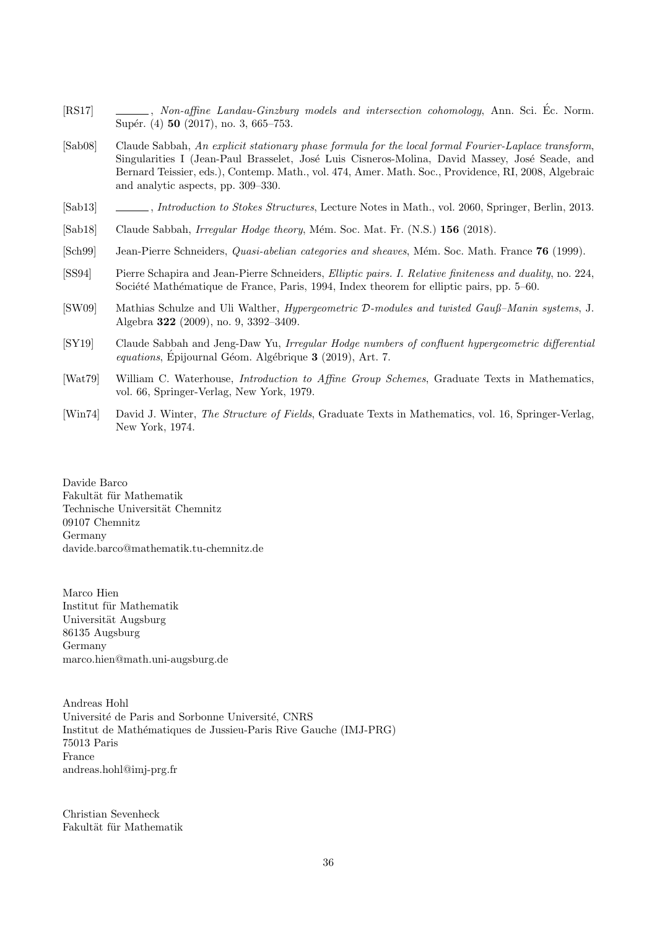- <span id="page-35-0"></span>[RS17] , Non-affine Landau-Ginzburg models and intersection cohomology, Ann. Sci. Ec. Norm. Supér. (4) 50 (2017), no. 3, 665–753.
- <span id="page-35-9"></span>[Sab08] Claude Sabbah, An explicit stationary phase formula for the local formal Fourier-Laplace transform, Singularities I (Jean-Paul Brasselet, José Luis Cisneros-Molina, David Massey, José Seade, and Bernard Teissier, eds.), Contemp. Math., vol. 474, Amer. Math. Soc., Providence, RI, 2008, Algebraic and analytic aspects, pp. 309–330.
- <span id="page-35-8"></span>[Sab13] , Introduction to Stokes Structures, Lecture Notes in Math., vol. 2060, Springer, Berlin, 2013.
- <span id="page-35-1"></span>[Sab18] Claude Sabbah, *Irregular Hodge theory*, Mém. Soc. Mat. Fr. (N.S.) 156 (2018).
- <span id="page-35-6"></span>[Sch99] Jean-Pierre Schneiders, *Quasi-abelian categories and sheaves*, Mém. Soc. Math. France 76 (1999).
- <span id="page-35-7"></span>[SS94] Pierre Schapira and Jean-Pierre Schneiders, Elliptic pairs. I. Relative finiteness and duality, no. 224, Société Mathématique de France, Paris, 1994, Index theorem for elliptic pairs, pp. 5–60.
- <span id="page-35-3"></span>[SW09] Mathias Schulze and Uli Walther, Hypergeometric D-modules and twisted Gauß–Manin systems, J. Algebra 322 (2009), no. 9, 3392–3409.
- <span id="page-35-2"></span>[SY19] Claude Sabbah and Jeng-Daw Yu, Irregular Hodge numbers of confluent hypergeometric differential  $equations,$  Épijournal Géom. Algébrique  $3$  (2019), Art. 7.
- <span id="page-35-4"></span>[Wat79] William C. Waterhouse, *Introduction to Affine Group Schemes*, Graduate Texts in Mathematics, vol. 66, Springer-Verlag, New York, 1979.
- <span id="page-35-5"></span>[Win74] David J. Winter, The Structure of Fields, Graduate Texts in Mathematics, vol. 16, Springer-Verlag, New York, 1974.

Davide Barco Fakultät für Mathematik Technische Universität Chemnitz 09107 Chemnitz Germany davide.barco@mathematik.tu-chemnitz.de

Marco Hien Institut für Mathematik Universität Augsburg 86135 Augsburg Germany marco.hien@math.uni-augsburg.de

Andreas Hohl Université de Paris and Sorbonne Université, CNRS Institut de Mathématiques de Jussieu-Paris Rive Gauche (IMJ-PRG) 75013 Paris France andreas.hohl@imj-prg.fr

Christian Sevenheck Fakultät für Mathematik